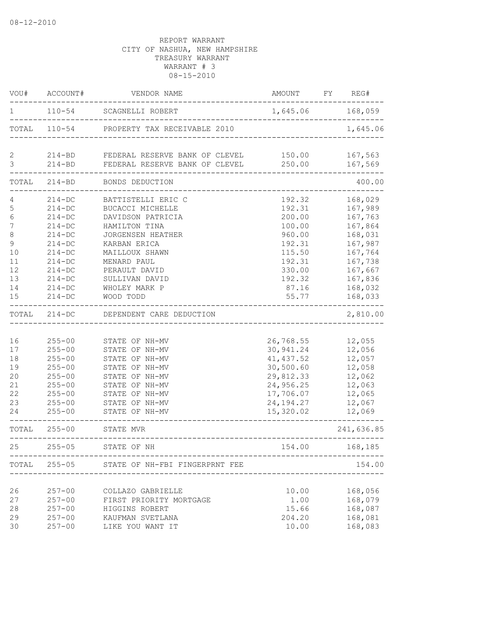| VOU#                                                                      | ACCOUNT#                                                                                                                                                     | VENDOR NAME                                                                                                                                                                                                         | AMOUNT                                                                                                               | REG#<br><b>FY</b>                                                                                                                |
|---------------------------------------------------------------------------|--------------------------------------------------------------------------------------------------------------------------------------------------------------|---------------------------------------------------------------------------------------------------------------------------------------------------------------------------------------------------------------------|----------------------------------------------------------------------------------------------------------------------|----------------------------------------------------------------------------------------------------------------------------------|
| 1                                                                         | $110 - 54$                                                                                                                                                   | SCAGNELLI ROBERT                                                                                                                                                                                                    | 1,645.06 168,059                                                                                                     |                                                                                                                                  |
| TOTAL                                                                     |                                                                                                                                                              | 110-54 PROPERTY TAX RECEIVABLE 2010                                                                                                                                                                                 |                                                                                                                      | 1,645.06                                                                                                                         |
| 2<br>3                                                                    | $214 - BD$                                                                                                                                                   | 214-BD FEDERAL RESERVE BANK OF CLEVEL 150.00<br>FEDERAL RESERVE BANK OF CLEVEL                                                                                                                                      | 250.00                                                                                                               | 167,563<br>167,569                                                                                                               |
| TOTAL                                                                     | $214 - BD$                                                                                                                                                   | BONDS DEDUCTION                                                                                                                                                                                                     |                                                                                                                      | 400.00                                                                                                                           |
| $\mathsf S$<br>6<br>7<br>$\,8\,$<br>9<br>10<br>11<br>12<br>13<br>14<br>15 | $214 - DC$<br>$214 - DC$<br>$214 - DC$<br>$214 - DC$<br>$214-DC$<br>$214-DC$<br>$214-DC$<br>$214-DC$<br>$214 - DC$<br>$214 - DC$<br>$214 - DC$<br>$214 - DC$ | BATTISTELLI ERIC C<br>BUCACCI MICHELLE<br>DAVIDSON PATRICIA<br>HAMILTON TINA<br>JORGENSEN HEATHER<br>KARBAN ERICA<br>MAILLOUX SHAWN<br>MENARD PAUL<br>PERAULT DAVID<br>SULLIVAN DAVID<br>WHOLEY MARK P<br>WOOD TODD | 192.32<br>192.31<br>200.00<br>100.00<br>960.00<br>192.31<br>115.50<br>192.31<br>330.00<br>192.32<br>87.16<br>55.77   | 168,029<br>167,989<br>167,763<br>167,864<br>168,031<br>167,987<br>167,764<br>167,738<br>167,667<br>167,836<br>168,032<br>168,033 |
| TOTAL                                                                     | $214 - DC$                                                                                                                                                   | DEPENDENT CARE DEDUCTION                                                                                                                                                                                            |                                                                                                                      | 2,810.00                                                                                                                         |
| 16<br>17<br>18<br>19<br>20<br>21<br>22<br>23<br>24                        | $255 - 00$<br>$255 - 00$<br>$255 - 00$<br>$255 - 00$<br>$255 - 00$<br>$255 - 00$<br>$255 - 00$<br>$255 - 00$<br>$255 - 00$                                   | STATE OF NH-MV<br>STATE OF NH-MV<br>STATE OF NH-MV<br>STATE OF NH-MV<br>STATE OF NH-MV<br>STATE OF NH-MV<br>STATE OF NH-MV<br>STATE OF NH-MV<br>STATE OF NH-MV                                                      | 26,768.55<br>30,941.24<br>41, 437.52<br>30,500.60<br>29,812.33<br>24,956.25<br>17,706.07<br>24, 194. 27<br>15,320.02 | 12,055<br>12,056<br>12,057<br>12,058<br>12,062<br>12,063<br>12,065<br>12,067<br>12,069                                           |
| TOTAL                                                                     | $255 - 00$                                                                                                                                                   | STATE MVR                                                                                                                                                                                                           |                                                                                                                      | 241,636.85                                                                                                                       |
| 25                                                                        | $255 - 05$                                                                                                                                                   | STATE OF NH                                                                                                                                                                                                         | 154.00                                                                                                               | 168,185                                                                                                                          |
| TOTAL                                                                     | $255 - 05$                                                                                                                                                   | STATE OF NH-FBI FINGERPRNT FEE                                                                                                                                                                                      |                                                                                                                      | 154.00                                                                                                                           |
| 26<br>27<br>28<br>29<br>30                                                | $257 - 00$<br>$257 - 00$<br>$257 - 00$<br>$257 - 00$<br>$257 - 00$                                                                                           | COLLAZO GABRIELLE<br>FIRST PRIORITY MORTGAGE<br>HIGGINS ROBERT<br>KAUFMAN SVETLANA<br>LIKE YOU WANT IT                                                                                                              | 10.00<br>1.00<br>15.66<br>204.20<br>10.00                                                                            | 168,056<br>168,079<br>168,087<br>168,081<br>168,083                                                                              |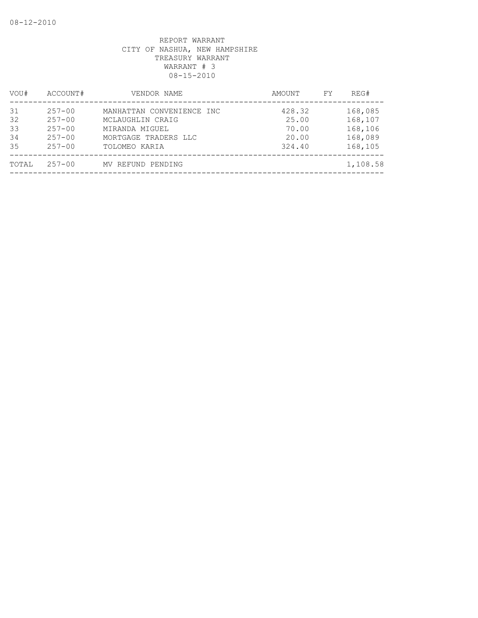| VOU#                       | ACCOUNT#                                                           | VENDOR NAME                                                                                              | AMOUNT                                      | FY | REG#                                                |
|----------------------------|--------------------------------------------------------------------|----------------------------------------------------------------------------------------------------------|---------------------------------------------|----|-----------------------------------------------------|
| 31<br>32<br>33<br>34<br>35 | $257 - 00$<br>$257 - 00$<br>$257 - 00$<br>$257 - 00$<br>$257 - 00$ | MANHATTAN CONVENIENCE INC<br>MCLAUGHLIN CRAIG<br>MIRANDA MIGUEL<br>MORTGAGE TRADERS LLC<br>TOLOMEO KARIA | 428.32<br>25.00<br>70.00<br>20.00<br>324.40 |    | 168,085<br>168,107<br>168,106<br>168,089<br>168,105 |
| TOTAL                      | $257 - 00$                                                         | MV REFUND PENDING                                                                                        |                                             |    | 1,108.58                                            |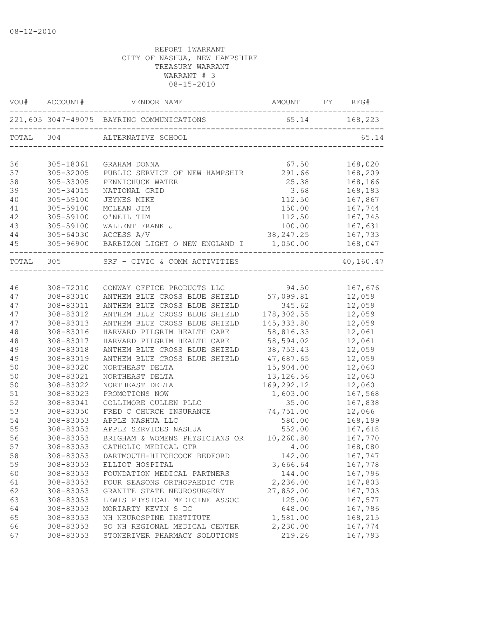| VOU#      | ACCOUNT#  | VENDOR NAME                                           | AMOUNT FY     | REG#               |
|-----------|-----------|-------------------------------------------------------|---------------|--------------------|
|           |           | 221,605 3047-49075 BAYRING COMMUNICATIONS 65.14 168,2 | 65.14 168,223 |                    |
| TOTAL 304 |           | ALTERNATIVE SCHOOL                                    |               | 65.14              |
| 36        | 305-18061 |                                                       | 67.50         |                    |
| 37        | 305-32005 | GRAHAM DONNA<br>PUBLIC SERVICE OF NEW HAMPSHIR        | 291.66        | 168,020<br>168,209 |
| 38        | 305-33005 | PENNICHUCK WATER                                      | 25.38         | 168,166            |
| 39        | 305-34015 | NATIONAL GRID                                         | 3.68          | 168,183            |
| 40        | 305-59100 | <b>JEYNES MIKE</b>                                    | 112.50        | 167,867            |
| 41        | 305-59100 | MCLEAN JIM                                            | 150.00        | 167,744            |
| 42        | 305-59100 | O'NEIL TIM                                            | 112.50        | 167,745            |
| 43        | 305-59100 | WALLENT FRANK J                                       | 100.00        | 167,631            |
| 44        | 305-64030 | ACCESS A/V                                            | 38, 247.25    | 167,733            |
| 45        |           | 305-96900 BARBIZON LIGHT O NEW ENGLAND I 1,050.00     |               | 168,047            |
|           |           |                                                       |               | -------            |
| TOTAL 305 |           | SRF - CIVIC & COMM ACTIVITIES                         |               | 40,160.47          |
|           |           |                                                       |               |                    |
| 46        | 308-72010 | CONWAY OFFICE PRODUCTS LLC                            | 94.50         | 167,676            |
| 47        | 308-83010 | ANTHEM BLUE CROSS BLUE SHIELD 57,099.81               |               | 12,059             |
| 47        | 308-83011 | ANTHEM BLUE CROSS BLUE SHIELD                         | 345.62        | 12,059             |
| 47        | 308-83012 | ANTHEM BLUE CROSS BLUE SHIELD                         | 178,302.55    | 12,059             |
| 47        | 308-83013 | ANTHEM BLUE CROSS BLUE SHIELD                         | 145, 333.80   | 12,059             |
| 48        | 308-83016 | HARVARD PILGRIM HEALTH CARE                           | 58,816.33     | 12,061             |
| 48        | 308-83017 | HARVARD PILGRIM HEALTH CARE                           | 58,594.02     | 12,061             |
| 49        | 308-83018 | ANTHEM BLUE CROSS BLUE SHIELD                         | 38,753.43     | 12,059             |
| 49        | 308-83019 | ANTHEM BLUE CROSS BLUE SHIELD                         | 47,687.65     | 12,059             |
| 50        | 308-83020 | NORTHEAST DELTA                                       | 15,904.00     | 12,060             |
| 50        | 308-83021 | NORTHEAST DELTA                                       | 13, 126.56    | 12,060             |
| 50        | 308-83022 | NORTHEAST DELTA                                       | 169,292.12    | 12,060             |
| 51        | 308-83023 | PROMOTIONS NOW                                        | 1,603.00      | 167,568            |
| 52        | 308-83041 | COLLIMORE CULLEN PLLC                                 | 35.00         | 167,838            |
| 53        | 308-83050 | FRED C CHURCH INSURANCE                               | 74,751.00     | 12,066             |
| 54        | 308-83053 | APPLE NASHUA LLC                                      | 580.00        | 168,199            |
| 55        | 308-83053 | APPLE SERVICES NASHUA                                 | 552.00        | 167,618            |
| 56        | 308-83053 | BRIGHAM & WOMENS PHYSICIANS OR                        | 10,260.80     | 167,770            |
| 57        | 308-83053 | CATHOLIC MEDICAL CTR                                  | 4.00          | 168,080            |
| 58        | 308-83053 | DARTMOUTH-HITCHCOCK BEDFORD                           | 142.00        | 167,747            |
| 59        | 308-83053 | ELLIOT HOSPITAL                                       | 3,666.64      | 167,778            |
| 60        | 308-83053 | FOUNDATION MEDICAL PARTNERS                           | 144.00        | 167,796            |
| 61        | 308-83053 | FOUR SEASONS ORTHOPAEDIC CTR                          | 2,236.00      | 167,803            |
| 62        | 308-83053 | GRANITE STATE NEUROSURGERY                            | 27,852.00     | 167,703            |
| 63        | 308-83053 | LEWIS PHYSICAL MEDICINE ASSOC                         | 125.00        | 167,577            |
| 64        | 308-83053 | MORIARTY KEVIN S DC                                   | 648.00        | 167,786            |
| 65        | 308-83053 | NH NEUROSPINE INSTITUTE                               | 1,581.00      | 168,215            |
| 66        | 308-83053 | SO NH REGIONAL MEDICAL CENTER                         | 2,230.00      | 167,774            |
| 67        | 308-83053 | STONERIVER PHARMACY SOLUTIONS                         | 219.26        | 167,793            |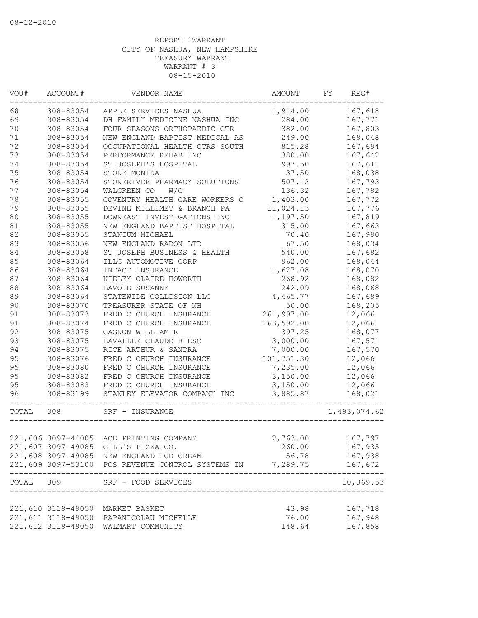| VOU#  | ACCOUNT#           | VENDOR NAME                                                        | AMOUNT          | FY | REG#               |
|-------|--------------------|--------------------------------------------------------------------|-----------------|----|--------------------|
| 68    | 308-83054          | APPLE SERVICES NASHUA                                              | 1,914.00        |    | 167,618            |
| 69    | 308-83054          | DH FAMILY MEDICINE NASHUA INC                                      | 284.00          |    | 167,771            |
| 70    | 308-83054          | FOUR SEASONS ORTHOPAEDIC CTR                                       | 382.00          |    | 167,803            |
| 71    | 308-83054          | NEW ENGLAND BAPTIST MEDICAL AS                                     | 249.00          |    | 168,048            |
| 72    | 308-83054          | OCCUPATIONAL HEALTH CTRS SOUTH                                     | 815.28          |    | 167,694            |
| 73    | 308-83054          | PERFORMANCE REHAB INC                                              | 380.00          |    | 167,642            |
| 74    | 308-83054          | ST JOSEPH'S HOSPITAL                                               | 997.50          |    | 167,611            |
| 75    | 308-83054          | STONE MONIKA                                                       | 37.50           |    | 168,038            |
| 76    | 308-83054          | STONERIVER PHARMACY SOLUTIONS                                      | 507.12          |    | 167,793            |
| 77    | 308-83054          | WALGREEN CO<br>W/C                                                 | 136.32          |    | 167,782            |
| 78    | 308-83055          | COVENTRY HEALTH CARE WORKERS C                                     | 1,403.00        |    | 167,772            |
| 79    | 308-83055          | DEVINE MILLIMET & BRANCH PA                                        | 11,024.13       |    | 167,776            |
| 80    | 308-83055          | DOWNEAST INVESTIGATIONS INC                                        | 1,197.50        |    | 167,819            |
| 81    | 308-83055          | NEW ENGLAND BAPTIST HOSPITAL                                       | 315.00          |    | 167,663            |
| 82    | 308-83055          | STANIUM MICHAEL                                                    | 70.40           |    | 167,990            |
| 83    | 308-83056          | NEW ENGLAND RADON LTD                                              | 67.50           |    | 168,034            |
| 84    | 308-83058          | ST JOSEPH BUSINESS & HEALTH                                        | 540.00          |    | 167,682            |
| 85    | 308-83064          | ILLG AUTOMOTIVE CORP                                               | 962.00          |    | 168,044            |
| 86    | 308-83064          | INTACT INSURANCE                                                   | 1,627.08        |    | 168,070            |
| 87    | 308-83064          | KIELEY CLAIRE HOWORTH                                              | 268.92          |    | 168,082            |
| 88    | 308-83064          | LAVOIE SUSANNE                                                     | 242.09          |    | 168,068            |
| 89    | 308-83064          | STATEWIDE COLLISION LLC                                            | 4,465.77        |    | 167,689            |
| 90    | 308-83070          | TREASURER STATE OF NH                                              | 50.00           |    | 168,205            |
| 91    | 308-83073          | FRED C CHURCH INSURANCE                                            | 261,997.00      |    | 12,066             |
| 91    | 308-83074          | FRED C CHURCH INSURANCE                                            | 163,592.00      |    | 12,066             |
| 92    | 308-83075          | GAGNON WILLIAM R                                                   | 397.25          |    | 168,077            |
| 93    | 308-83075          | LAVALLEE CLAUDE B ESQ                                              | 3,000.00        |    | 167,571            |
| 94    | 308-83075          | RICE ARTHUR & SANDRA                                               | 7,000.00        |    | 167,570            |
| 95    | 308-83076          | FRED C CHURCH INSURANCE                                            | 101,751.30      |    | 12,066             |
| 95    | 308-83080          | FRED C CHURCH INSURANCE                                            | 7,235.00        |    | 12,066             |
| 95    | 308-83082          | FRED C CHURCH INSURANCE                                            | 3,150.00        |    | 12,066             |
| 95    | 308-83083          | FRED C CHURCH INSURANCE                                            | 3,150.00        |    | 12,066             |
| 96    | 308-83199          | STANLEY ELEVATOR COMPANY INC<br>------------------                 | 3,885.87        |    | 168,021            |
| TOTAL | 308                | SRF - INSURANCE                                                    |                 |    | 1,493,074.62       |
|       |                    |                                                                    |                 |    |                    |
|       |                    | 221,606 3097-44005 ACE PRINTING COMPANY                            | 2,763.00        |    | 167,797            |
|       |                    | 221,607 3097-49085 GILL'S PIZZA CO.                                | 260.00          |    | 167,935            |
|       |                    | 221,608 3097-49085 NEW ENGLAND ICE CREAM                           | 56.78           |    | 167,938            |
|       |                    | 221,609 3097-53100 PCS REVENUE CONTROL SYSTEMS IN 7,289.75 167,672 |                 |    |                    |
|       |                    | TOTAL 309 SRF - FOOD SERVICES<br>-----------------------           |                 |    | 10,369.53          |
|       |                    |                                                                    | 43.98           |    |                    |
|       | 221,610 3118-49050 | MARKET BASKET                                                      |                 |    | 167,718            |
|       | 221,611 3118-49050 | PAPANICOLAU MICHELLE<br>221,612 3118-49050 WALMART COMMUNITY       | 76.00<br>148.64 |    | 167,948<br>167,858 |
|       |                    |                                                                    |                 |    |                    |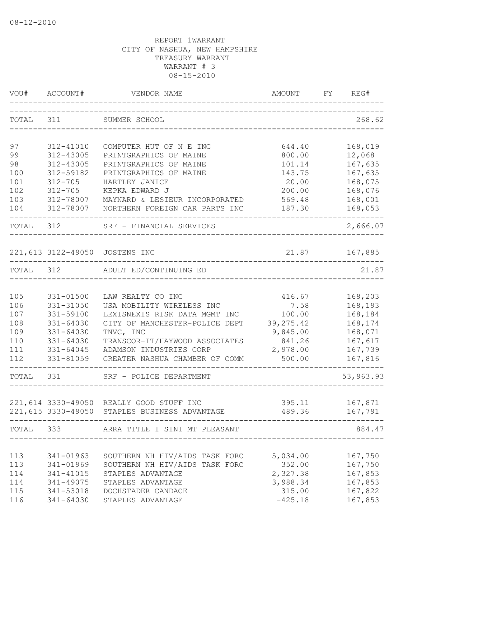| VOU#      | ACCOUNT#      | VENDOR NAME                                   | AMOUNT     | FY | REG#      |
|-----------|---------------|-----------------------------------------------|------------|----|-----------|
| TOTAL     | 311           | SUMMER SCHOOL                                 |            |    | 268.62    |
| 97        | 312-41010     | COMPUTER HUT OF N E INC                       | 644.40     |    | 168,019   |
| 99        | 312-43005     | PRINTGRAPHICS OF MAINE                        | 800.00     |    | 12,068    |
| 98        | 312-43005     | PRINTGRAPHICS OF MAINE                        | 101.14     |    | 167,635   |
| 100       | 312-59182     | PRINTGRAPHICS OF MAINE                        | 143.75     |    | 167,635   |
| 101       | $312 - 705$   | HARTLEY JANICE                                | 20.00      |    | 168,075   |
| 102       | $312 - 705$   | KEPKA EDWARD J                                | 200.00     |    | 168,076   |
| 103       | 312-78007     | MAYNARD & LESIEUR INCORPORATED                | 569.48     |    | 168,001   |
| 104       | 312-78007     | NORTHERN FOREIGN CAR PARTS INC                | 187.30     |    | 168,053   |
| TOTAL     | 312           | SRF - FINANCIAL SERVICES                      |            |    | 2,666.07  |
|           |               | 221,613 3122-49050 JOSTENS INC                | 21.87      |    | 167,885   |
| TOTAL 312 |               | ADULT ED/CONTINUING ED                        |            |    | 21.87     |
|           |               |                                               |            |    |           |
| 105       | 331-01500     | LAW REALTY CO INC                             | 416.67     |    | 168,203   |
| 106       | 331-31050     | USA MOBILITY WIRELESS INC                     | 7.58       |    | 168,193   |
| 107       | 331-59100     | LEXISNEXIS RISK DATA MGMT INC                 | 100.00     |    | 168,184   |
| 108       | 331-64030     | CITY OF MANCHESTER-POLICE DEPT                | 39, 275.42 |    | 168,174   |
| 109       | $331 - 64030$ | TNVC, INC                                     | 9,845.00   |    | 168,071   |
| 110       | 331-64030     | TRANSCOR-IT/HAYWOOD ASSOCIATES                | 841.26     |    | 167,617   |
| 111       | 331-64045     | ADAMSON INDUSTRIES CORP                       | 2,978.00   |    | 167,739   |
| 112       | 331-81059     | GREATER NASHUA CHAMBER OF COMM                | 500.00     |    | 167,816   |
| TOTAL     | 331           | SRF - POLICE DEPARTMENT                       |            |    | 53,963.93 |
|           |               |                                               |            |    |           |
|           |               | 221,614 3330-49050 REALLY GOOD STUFF INC      | 395.11     |    | 167,871   |
|           |               | 221,615 3330-49050 STAPLES BUSINESS ADVANTAGE | 489.36     |    | 167,791   |
| TOTAL 333 |               | ARRA TITLE I SINI MT PLEASANT                 |            |    | 884.47    |
|           |               |                                               |            |    |           |
| 113       | 341-01963     | SOUTHERN NH HIV/AIDS TASK FORC                | 5,034.00   |    | 167,750   |
| 113       | 341-01969     | SOUTHERN NH HIV/AIDS TASK FORC                | 352.00     |    | 167,750   |
| 114       | 341-41015     | STAPLES ADVANTAGE                             | 2,327.38   |    | 167,853   |
| 114       | 341-49075     | STAPLES ADVANTAGE                             | 3,988.34   |    | 167,853   |
| 115       | 341-53018     | DOCHSTADER CANDACE                            | 315.00     |    | 167,822   |
| 116       | 341-64030     | STAPLES ADVANTAGE                             | $-425.18$  |    | 167,853   |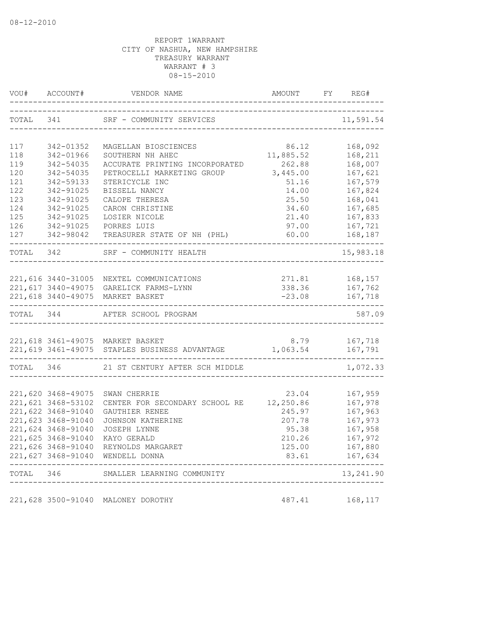|           |                    |                                                                          |                 | 11,591.54            |
|-----------|--------------------|--------------------------------------------------------------------------|-----------------|----------------------|
| 117       | 342-01352          | MAGELLAN BIOSCIENCES                                                     | 86.12           |                      |
| 118       | 342-01966          | SOUTHERN NH AHEC                                                         | 11,885.52       | 168,092<br>168,211   |
| 119       | 342-54035          | ACCURATE PRINTING INCORPORATED                                           | 262.88          | 168,007              |
| 120       | 342-54035          | PETROCELLI MARKETING GROUP                                               | 3,445.00        | 167,621              |
| 121       | 342-59133          | STERICYCLE INC                                                           | 51.16           | 167,579              |
| 122       | 342-91025          | BISSELL NANCY                                                            | 14.00           | 167,824              |
| 123       | 342-91025          | CALOPE THERESA                                                           | 25.50           | 168,041              |
| 124       | 342-91025          | CARON CHRISTINE                                                          | 34.60           | 167,685              |
| 125       | 342-91025          | LOSIER NICOLE                                                            | 21.40           | 167,833              |
|           | 126 342-91025      | PORRES LUIS                                                              | 97.00           | 167,721              |
| 127       |                    | 342-98042 TREASURER STATE OF NH (PHL)                                    | 60.00           | 168,187              |
| TOTAL 342 |                    | ------------------<br>SRF - COMMUNITY HEALTH                             |                 | -------<br>15,983.18 |
|           |                    |                                                                          |                 |                      |
|           |                    | 221,616 3440-31005 NEXTEL COMMUNICATIONS                                 |                 | 271.81 168,157       |
|           |                    | 221,617 3440-49075 GARELICK FARMS-LYNN                                   |                 | 338.36 167,762       |
|           |                    | 221,618 3440-49075 MARKET BASKET                                         |                 | $-23.08$ 167,718     |
| TOTAL 344 |                    | AFTER SCHOOL PROGRAM                                                     |                 | 587.09               |
|           |                    | 221,618 3461-49075 MARKET BASKET                                         | 8.79 167,718    |                      |
|           |                    | 221, 619 3461-49075 STAPLES BUSINESS ADVANTAGE 1, 063.54 167, 791        |                 |                      |
|           |                    | TOTAL 346 21 ST CENTURY AFTER SCH MIDDLE                                 |                 | 1,072.33             |
|           |                    |                                                                          |                 |                      |
|           | 221,620 3468-49075 | SWAN CHERRIE                                                             | 23.04           | 167,959              |
|           | 221,621 3468-53102 | CENTER FOR SECONDARY SCHOOL RE 12,250.86                                 |                 | 167,978              |
|           | 221,622 3468-91040 | GAUTHIER RENEE                                                           | 245.97          | 167,963              |
|           | 221,623 3468-91040 | JOHNSON KATHERINE                                                        | 207.78          | 167,973              |
|           | 221,624 3468-91040 | <b>JOSEPH LYNNE</b>                                                      | 95.38           | 167,958              |
|           | 221,625 3468-91040 | KAYO GERALD                                                              | 210.26          | 167,972              |
|           |                    | 221,626 3468-91040 REYNOLDS MARGARET<br>221,627 3468-91040 WENDELL DONNA | 125.00<br>83.61 | 167,880<br>167,634   |
| TOTAL 346 |                    | SMALLER LEARNING COMMUNITY                                               |                 | 13,241.90            |
|           | ---------          | ----------------                                                         |                 |                      |
|           |                    | 221,628 3500-91040 MALONEY DOROTHY                                       |                 | 487.41 168,117       |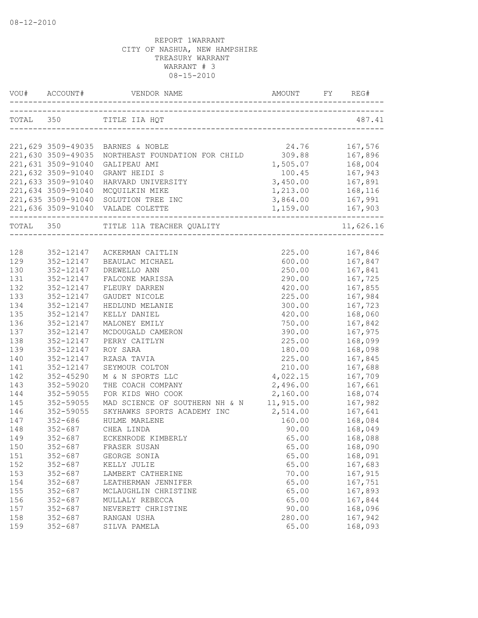| VOU#      |                    |                                                   | AMOUNT             |           |
|-----------|--------------------|---------------------------------------------------|--------------------|-----------|
| TOTAL 350 |                    | TITLE IIA HQT                                     |                    | 487.41    |
|           |                    |                                                   |                    |           |
|           |                    | 221,629 3509-49035 BARNES & NOBLE                 | 24.76              | 167,576   |
|           |                    | 221,630 3509-49035 NORTHEAST FOUNDATION FOR CHILD | 309.88             | 167,896   |
|           | 221,631 3509-91040 | GALIPEAU AMI                                      | 1,505.07<br>100.45 | 168,004   |
|           | 221,632 3509-91040 | GRANT HEIDI S                                     |                    | 167,943   |
|           | 221,633 3509-91040 | HARVARD UNIVERSITY                                | 3,450.00 167,891   |           |
|           |                    | 221,634 3509-91040 MCQUILKIN MIKE                 | 1,213.00 168,116   |           |
|           |                    | 221,635 3509-91040 SOLUTION TREE INC              | 3,864.00 167,991   |           |
|           |                    | 221,636 3509-91040 VALADE COLETTE                 | 1,159.00 167,903   |           |
| TOTAL 350 |                    | TITLE 11A TEACHER QUALITY                         |                    | 11,626.16 |
|           |                    |                                                   |                    |           |
| 128       |                    | 352-12147 ACKERMAN CAITLIN                        | 225.00             | 167,846   |
| 129       | 352-12147          | BEAULAC MICHAEL                                   | 600.00             | 167,847   |
| 130       | 352-12147          | DREWELLO ANN                                      | 250.00             | 167,841   |
| 131       | 352-12147          | FALCONE MARISSA                                   | 290.00             | 167,725   |
| 132       | 352-12147          | FLEURY DARREN                                     | 420.00             | 167,855   |
| 133       | 352-12147          | GAUDET NICOLE                                     | 225.00             | 167,984   |
| 134       | 352-12147          | HEDLUND MELANIE                                   | 300.00             | 167,723   |
| 135       | 352-12147          | KELLY DANIEL                                      | 420.00             | 168,060   |
| 136       | 352-12147          | MALONEY EMILY                                     | 750.00             | 167,842   |
| 137       | 352-12147          | MCDOUGALD CAMERON                                 | 390.00             | 167,975   |
| 138       | 352-12147          | PERRY CAITLYN                                     | 225.00             | 168,099   |
| 139       | 352-12147          | ROY SARA                                          | 180.00             | 168,098   |
| 140       | 352-12147          | RZASA TAVIA                                       | 225.00             | 167,845   |
| 141       | 352-12147          | SEYMOUR COLTON                                    | 210.00             | 167,688   |
| 142       | 352-45290          | M & N SPORTS LLC                                  | 4,022.15           | 167,709   |
| 143       | 352-59020          | THE COACH COMPANY                                 | 2,496.00           | 167,661   |
| 144       | 352-59055          | FOR KIDS WHO COOK                                 | 2,160.00           | 168,074   |
| 145       | 352-59055          | MAD SCIENCE OF SOUTHERN NH & N                    | 11,915.00          | 167,982   |
| 146       | 352-59055          | SKYHAWKS SPORTS ACADEMY INC                       | 2,514.00           | 167,641   |
| 147       | $352 - 686$        | HULME MARLENE                                     | 160.00             | 168,084   |
| 148       |                    | 352-687 CHEA LINDA                                | 90.00              | 168,049   |
| 149       |                    | 352-687 ECKENRODE KIMBERLY                        | 65.00              | 168,088   |
| 150       | $352 - 687$        | FRASER SUSAN                                      | 65.00              | 168,090   |
| 151       | $352 - 687$        | GEORGE SONIA                                      | 65.00              | 168,091   |
| 152       | $352 - 687$        | KELLY JULIE                                       | 65.00              | 167,683   |
| 153       | $352 - 687$        | LAMBERT CATHERINE                                 | 70.00              | 167,915   |
| 154       | $352 - 687$        | LEATHERMAN JENNIFER                               | 65.00              | 167,751   |
| 155       | $352 - 687$        | MCLAUGHLIN CHRISTINE                              | 65.00              | 167,893   |
| 156       | $352 - 687$        | MULLALY REBECCA                                   | 65.00              | 167,844   |
| 157       | $352 - 687$        | NEVERETT CHRISTINE                                | 90.00              | 168,096   |
| 158       | $352 - 687$        | RANGAN USHA                                       | 280.00             | 167,942   |
| 159       | $352 - 687$        | SILVA PAMELA                                      | 65.00              | 168,093   |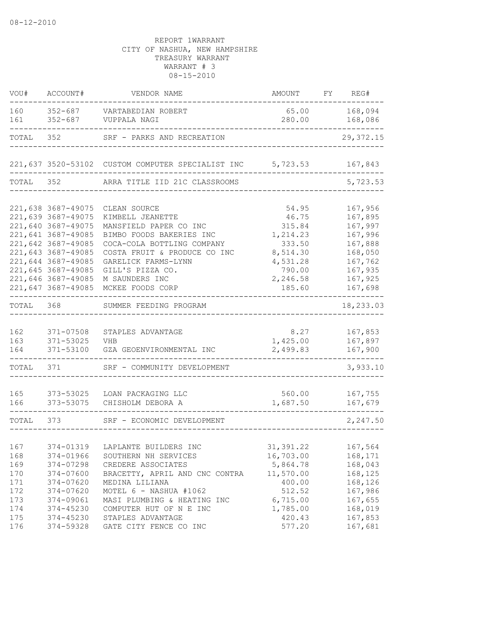| VOU#                                                        | ACCOUNT#                                                                                                                                                                                                                 | VENDOR NAME                                                                                                                                                                                                                           | AMOUNT                                                                                                 | FY | REG#                                                                                                       |
|-------------------------------------------------------------|--------------------------------------------------------------------------------------------------------------------------------------------------------------------------------------------------------------------------|---------------------------------------------------------------------------------------------------------------------------------------------------------------------------------------------------------------------------------------|--------------------------------------------------------------------------------------------------------|----|------------------------------------------------------------------------------------------------------------|
| 160<br>161                                                  | $352 - 687$<br>$352 - 687$                                                                                                                                                                                               | VARTABEDIAN ROBERT<br>VUPPALA NAGI                                                                                                                                                                                                    | 65.00<br>280.00                                                                                        |    | 168,094<br>168,086                                                                                         |
| TOTAL                                                       | 352                                                                                                                                                                                                                      | SRF - PARKS AND RECREATION                                                                                                                                                                                                            |                                                                                                        |    | 29, 372.15                                                                                                 |
|                                                             |                                                                                                                                                                                                                          | 221,637 3520-53102 CUSTOM COMPUTER SPECIALIST INC 5,723.53                                                                                                                                                                            |                                                                                                        |    | 167,843                                                                                                    |
| TOTAL                                                       | 352                                                                                                                                                                                                                      | ARRA TITLE IID 21C CLASSROOMS                                                                                                                                                                                                         |                                                                                                        |    | 5,723.53                                                                                                   |
|                                                             | 221,638 3687-49075<br>221,639 3687-49075<br>221,640 3687-49075<br>221,641 3687-49085<br>221,642 3687-49085<br>221,643 3687-49085<br>221,644 3687-49085<br>221,645 3687-49085<br>221,646 3687-49085<br>221,647 3687-49085 | CLEAN SOURCE<br>KIMBELL JEANETTE<br>MANSFIELD PAPER CO INC<br>BIMBO FOODS BAKERIES INC<br>COCA-COLA BOTTLING COMPANY<br>COSTA FRUIT & PRODUCE CO INC<br>GARELICK FARMS-LYNN<br>GILL'S PIZZA CO.<br>M SAUNDERS INC<br>MCKEE FOODS CORP | 54.95<br>46.75<br>315.84<br>1,214.23<br>333.50<br>8,514.30<br>4,531.28<br>790.00<br>2,246.58<br>185.60 |    | 167,956<br>167,895<br>167,997<br>167,996<br>167,888<br>168,050<br>167,762<br>167,935<br>167,925<br>167,698 |
| TOTAL                                                       | 368                                                                                                                                                                                                                      | SUMMER FEEDING PROGRAM                                                                                                                                                                                                                |                                                                                                        |    | 18,233.03                                                                                                  |
| 162<br>163<br>164                                           | 371-07508<br>371-53025<br>371-53100                                                                                                                                                                                      | STAPLES ADVANTAGE<br>VHB<br>GZA GEOENVIRONMENTAL INC                                                                                                                                                                                  | 8.27<br>1,425.00<br>2,499.83                                                                           |    | 167,853<br>167,897<br>167,900                                                                              |
| TOTAL                                                       | 371                                                                                                                                                                                                                      | SRF - COMMUNITY DEVELOPMENT                                                                                                                                                                                                           |                                                                                                        |    | 3,933.10                                                                                                   |
| 165<br>166                                                  | 373-53025<br>373-53075                                                                                                                                                                                                   | LOAN PACKAGING LLC<br>CHISHOLM DEBORA A                                                                                                                                                                                               | 560.00<br>1,687.50                                                                                     |    | 167,755<br>167,679                                                                                         |
| TOTAL                                                       | 373                                                                                                                                                                                                                      | SRF - ECONOMIC DEVELOPMENT                                                                                                                                                                                                            |                                                                                                        |    | 2,247.50                                                                                                   |
| 167<br>168<br>169<br>170<br>171<br>172<br>173<br>174<br>175 | 374-01319<br>374-01966<br>374-07298<br>374-07600<br>374-07620<br>374-07620<br>374-09061<br>374-45230<br>374-45230                                                                                                        | LAPLANTE BUILDERS INC<br>SOUTHERN NH SERVICES<br>CREDERE ASSOCIATES<br>BRACETTY, APRIL AND CNC CONTRA<br>MEDINA LILIANA<br>MOTEL 6 - NASHUA #1062<br>MASI PLUMBING & HEATING INC<br>COMPUTER HUT OF N E INC<br>STAPLES ADVANTAGE      | 31, 391.22<br>16,703.00<br>5,864.78<br>11,570.00<br>400.00<br>512.52<br>6,715.00<br>1,785.00<br>420.43 |    | 167,564<br>168,171<br>168,043<br>168,125<br>168,126<br>167,986<br>167,655<br>168,019<br>167,853            |
| 176                                                         | 374-59328                                                                                                                                                                                                                | GATE CITY FENCE CO INC                                                                                                                                                                                                                | 577.20                                                                                                 |    | 167,681                                                                                                    |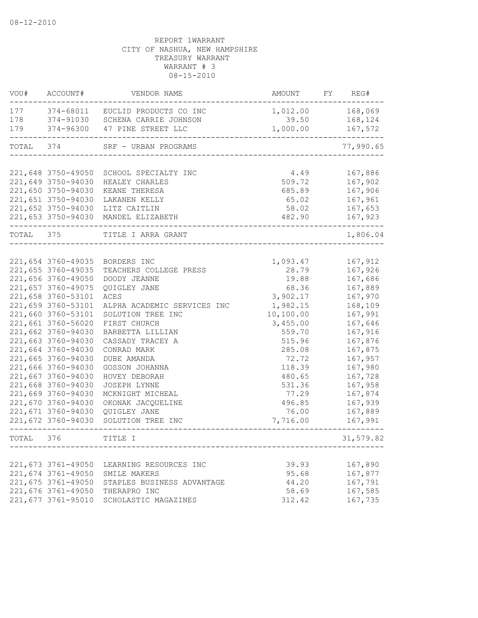| VOU#      | ACCOUNT#           | VENDOR NAME                      | AMOUNT           | FY | REG#       |
|-----------|--------------------|----------------------------------|------------------|----|------------|
| 177       |                    | 374-68011 EUCLID PRODUCTS CO INC | 1,012.00 168,069 |    |            |
| 178       |                    | 374-91030 SCHENA CARRIE JOHNSON  | 39.50            |    | 168,124    |
| 179       | 374-96300          | 47 PINE STREET LLC               | 1,000.00         |    | 167,572    |
| TOTAL 374 |                    | SRF - URBAN PROGRAMS             |                  |    | 77,990.65  |
|           |                    |                                  |                  |    |            |
|           | 221,648 3750-49050 | SCHOOL SPECIALTY INC             | 4.49             |    | 167,886    |
|           | 221,649 3750-94030 | HEALEY CHARLES                   | 509.72           |    | 167,902    |
|           | 221,650 3750-94030 | KEANE THERESA                    | 685.89           |    | 167,906    |
|           | 221,651 3750-94030 | LAKANEN KELLY                    | 65.02            |    | 167,961    |
|           | 221,652 3750-94030 | LITZ CAITLIN                     | 58.02            |    | 167,653    |
|           | 221,653 3750-94030 | MANDEL ELIZABETH                 | 482.90           |    | 167,923    |
| TOTAL     | 375                | TITLE I ARRA GRANT               |                  |    | 1,806.04   |
|           |                    |                                  |                  |    |            |
|           | 221,654 3760-49035 | BORDERS INC                      | 1,093.47         |    | 167,912    |
|           | 221,655 3760-49035 | TEACHERS COLLEGE PRESS           | 28.79            |    | 167,926    |
|           | 221,656 3760-49050 | DOODY JEANNE                     | 19.88            |    | 167,686    |
|           | 221,657 3760-49075 | QUIGLEY JANE                     | 68.36            |    | 167,889    |
|           | 221,658 3760-53101 | ACES                             | 3,902.17         |    | 167,970    |
|           | 221,659 3760-53101 | ALPHA ACADEMIC SERVICES INC      | 1,982.15         |    | 168,109    |
|           | 221,660 3760-53101 | SOLUTION TREE INC                | 10, 100.00       |    | 167,991    |
|           | 221,661 3760-56020 | FIRST CHURCH                     | 3,455.00         |    | 167,646    |
|           | 221,662 3760-94030 | BARBETTA LILLIAN                 | 559.70           |    | 167,916    |
|           | 221,663 3760-94030 | CASSADY TRACEY A                 | 515.96           |    | 167,876    |
|           | 221,664 3760-94030 | CONRAD MARK                      | 285.08           |    | 167,875    |
|           | 221,665 3760-94030 | DUBE AMANDA                      | 72.72            |    | 167,957    |
|           | 221,666 3760-94030 | GOSSON JOHANNA                   | 118.39           |    | 167,980    |
|           | 221,667 3760-94030 | HOVEY DEBORAH                    | 480.65           |    | 167,728    |
|           | 221,668 3760-94030 | <b>JOSEPH LYNNE</b>              | 531.36           |    | 167,958    |
|           | 221,669 3760-94030 | MCKNIGHT MICHEAL                 | 77.29            |    | 167,874    |
|           | 221,670 3760-94030 | OKONAK JACQUELINE                | 496.85           |    | 167,939    |
|           | 221,671 3760-94030 | QUIGLEY JANE                     | 76.00            |    | 167,889    |
|           | 221,672 3760-94030 | SOLUTION TREE INC                | 7,716.00         |    | 167,991    |
| TOTAL     | 376                | TITLE I                          |                  |    | 31, 579.82 |
|           |                    |                                  |                  |    |            |
|           | 221,673 3761-49050 | LEARNING RESOURCES INC           | 39.93            |    | 167,890    |
|           | 221,674 3761-49050 | SMILE MAKERS                     | 95.68            |    | 167,877    |
|           | 221,675 3761-49050 | STAPLES BUSINESS ADVANTAGE       | 44.20            |    | 167,791    |
|           | 221,676 3761-49050 | THERAPRO INC                     | 58.69            |    | 167,585    |
|           | 221,677 3761-95010 | SCHOLASTIC MAGAZINES             | 312.42           |    | 167,735    |
|           |                    |                                  |                  |    |            |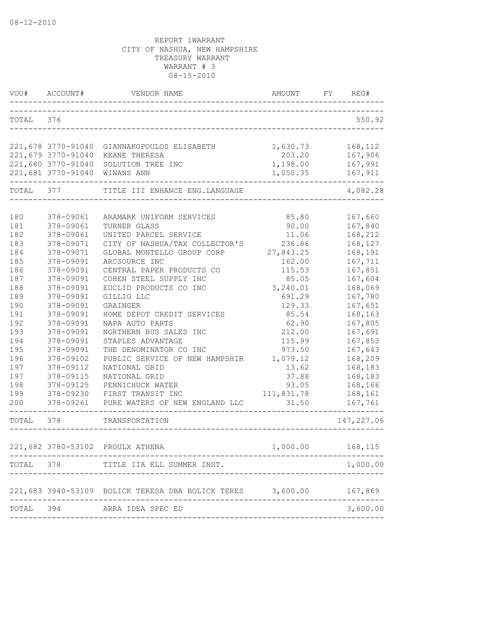| VOU#       | ACCOUNT#               | VENDOR NAME                                                | AMOUNT              | FY | REG#               |
|------------|------------------------|------------------------------------------------------------|---------------------|----|--------------------|
| TOTAL      | 376                    |                                                            |                     |    | 550.92             |
|            |                        | 221,678 3770-91040 GIANNAKOPOULOS ELISABETH                | 1,630.73            |    | 168,112            |
|            | 221,679 3770-91040     | KEANE THERESA                                              | 203.20              |    | 167,906            |
|            | 221,680 3770-91040     | SOLUTION TREE INC                                          | 1,198.00            |    | 167,991            |
|            | 221,681 3770-91040     | WINANS ANN                                                 | 1,050.35            |    | 167,911            |
| TOTAL 377  |                        | TITLE III ENHANCE ENG. LANGUAGE                            |                     |    | 4,082.28           |
| 180        | 378-09061              | ARAMARK UNIFORM SERVICES                                   | 85.80               |    | 167,660            |
| 181        | 378-09061              | TURNER GLASS                                               | 90.00               |    | 167,840            |
| 182        | 378-09061              | UNITED PARCEL SERVICE                                      | 11.06               |    | 168,212            |
| 183        | 378-09071              | CITY OF NASHUA/TAX COLLECTOR'S                             | 236.86              |    | 168,127            |
| 184        | 378-09071              | GLOBAL MONTELLO GROUP CORP                                 | 27,843.25           |    | 168,191            |
| 185        | 378-09091              | ARCSOURCE INC                                              | 162.00              |    | 167,711            |
| 186        | 378-09091              | CENTRAL PAPER PRODUCTS CO                                  | 115.53              |    | 167,851            |
| 187<br>188 | 378-09091<br>378-09091 | COHEN STEEL SUPPLY INC<br>EUCLID PRODUCTS CO INC           | 85.05<br>3,240.01   |    | 167,604            |
| 189        | 378-09091              | GILLIG LLC                                                 | 691.29              |    | 168,069<br>167,780 |
| 190        | 378-09091              | GRAINGER                                                   | 129.33              |    | 167,651            |
| 191        | 378-09091              | HOME DEPOT CREDIT SERVICES                                 | 85.54               |    | 168,163            |
| 192        | 378-09091              | NAPA AUTO PARTS                                            | 62.90               |    | 167,805            |
| 193        | 378-09091              | NORTHERN BUS SALES INC                                     | 212.00              |    | 167,691            |
| 194        | 378-09091              | STAPLES ADVANTAGE                                          | 115.99              |    | 167,853            |
| 195        | 378-09091              | THE DENOMINATOR CO INC                                     | 973.50              |    | 167,643            |
| 196        | 378-09102              | PUBLIC SERVICE OF NEW HAMPSHIR                             | 1,079.12            |    | 168,209            |
| 197        | 378-09112              | NATIONAL GRID                                              | 13.62               |    | 168,183            |
| 197        | 378-09115              | NATIONAL GRID                                              | 37.88               |    | 168,183            |
| 198        | 378-09125              | PENNICHUCK WATER                                           | 93.05               |    | 168,166            |
| 199<br>200 | 378-09230<br>378-09261 | FIRST TRANSIT INC<br>PURE WATERS OF NEW ENGLAND LLC        | 111,831.78<br>31.50 |    | 168,161<br>167,761 |
|            |                        |                                                            |                     |    |                    |
| TOTAL      | 378                    | TRANSPORTATION                                             |                     |    | 147, 227.06        |
|            |                        | 221,682 3780-53102 PROULX ATHENA                           | 1,000.00            |    | 168,115            |
| TOTAL      | 378                    | TITLE IIA ELL SUMMER INST.                                 |                     |    | 1,000.00           |
|            |                        | 221,683 3940-53109 BOLICK TERESA DBA BOLICK TERES 3,600.00 |                     |    | 167,869            |
| TOTAL      | 394                    | ARRA IDEA SPEC ED                                          |                     |    | 3,600.00           |
|            |                        |                                                            |                     |    |                    |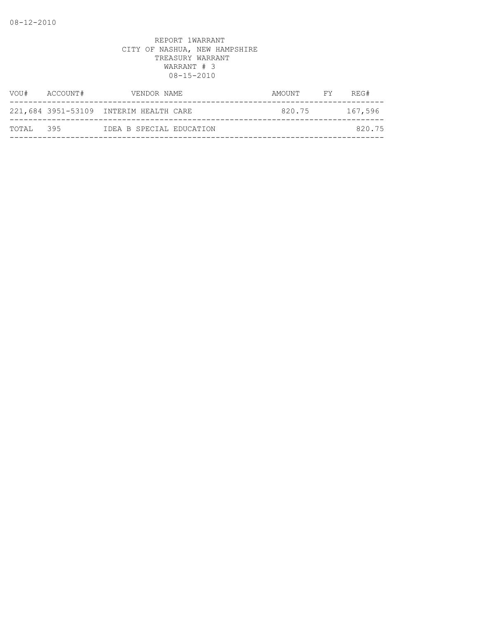| VOU#      | ACCOUNT# | VENDOR NAME                            | AMOUNT | FY <b>FY</b> | REG#    |
|-----------|----------|----------------------------------------|--------|--------------|---------|
|           |          | 221,684 3951-53109 INTERIM HEALTH CARE | 820.75 |              | 167,596 |
| TOTAL 395 |          | IDEA B SPECIAL EDUCATION               |        |              | 820.75  |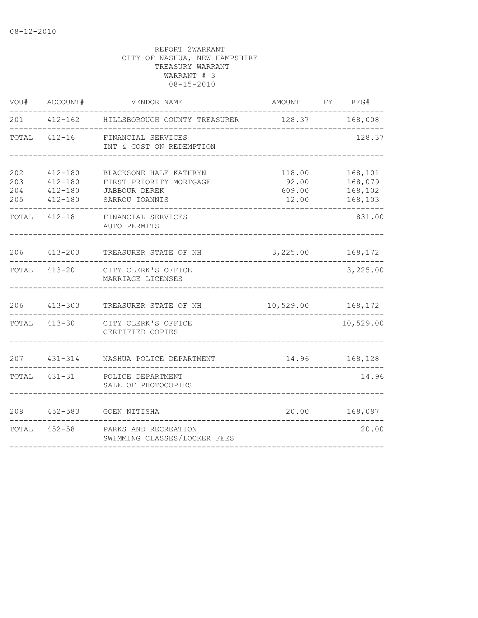| VOU#                     | ACCOUNT#                                                 | VENDOR NAME                                                                          | AMOUNT FY REG#                     |                                          |
|--------------------------|----------------------------------------------------------|--------------------------------------------------------------------------------------|------------------------------------|------------------------------------------|
|                          |                                                          | 201  412-162  HILLSBOROUGH COUNTY TREASURER  128.37  168,008                         |                                    |                                          |
| TOTAL                    |                                                          | 412-16 FINANCIAL SERVICES<br>INT & COST ON REDEMPTION                                |                                    | 128.37                                   |
| 202<br>203<br>204<br>205 | $412 - 180$<br>$412 - 180$<br>$412 - 180$<br>$412 - 180$ | BLACKSONE HALE KATHRYN<br>FIRST PRIORITY MORTGAGE<br>JABBOUR DEREK<br>SARROU IOANNIS | 118.00<br>92.00<br>609.00<br>12.00 | 168,101<br>168,079<br>168,102<br>168,103 |
| TOTAL                    | $412 - 18$                                               | FINANCIAL SERVICES<br>AUTO PERMITS                                                   |                                    | 831.00                                   |
| 206                      | $413 - 203$                                              | TREASURER STATE OF NH                                                                | 3, 225.00 168, 172                 |                                          |
|                          |                                                          | TOTAL 413-20 CITY CLERK'S OFFICE<br>MARRIAGE LICENSES                                |                                    | 3,225.00                                 |
| 206                      | $413 - 303$                                              | TREASURER STATE OF NH                                                                | 10,529.00                          | 168,172                                  |
| TOTAL                    | $413 - 30$                                               | CITY CLERK'S OFFICE<br>CERTIFIED COPIES                                              |                                    | 10,529.00                                |
| 207                      | $431 - 314$                                              | NASHUA POLICE DEPARTMENT                                                             |                                    | 14.96 168,128                            |
|                          | TOTAL 431-31                                             | POLICE DEPARTMENT<br>SALE OF PHOTOCOPIES                                             |                                    | 14.96                                    |
| 208                      |                                                          | 452-583 GOEN NITISHA                                                                 |                                    | 20.00 168,097                            |
|                          |                                                          | TOTAL 452-58 PARKS AND RECREATION<br>SWIMMING CLASSES/LOCKER FEES                    |                                    | 20.00                                    |
|                          |                                                          |                                                                                      |                                    |                                          |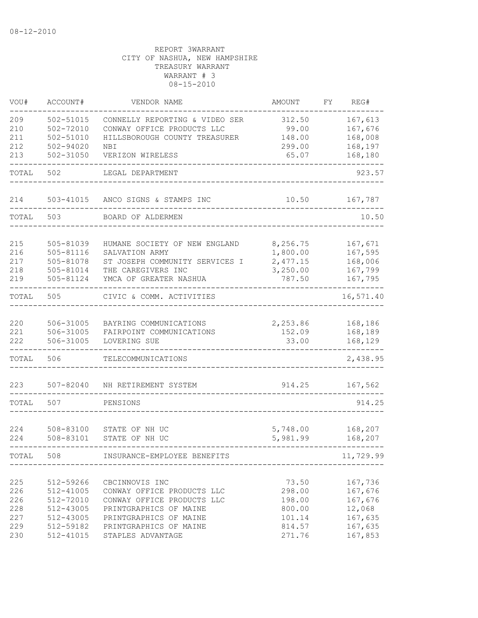| VOU#       | ACCOUNT#               | VENDOR NAME                                      | AMOUNT           | FΥ | REG#              |
|------------|------------------------|--------------------------------------------------|------------------|----|-------------------|
| 209        | $502 - 51015$          | CONNELLY REPORTING & VIDEO SER                   | 312.50           |    | 167,613           |
| 210        | 502-72010              | CONWAY OFFICE PRODUCTS LLC                       | 99.00            |    | 167,676           |
| 211        | 502-51010              | HILLSBOROUGH COUNTY TREASURER                    | 148.00           |    | 168,008           |
| 212        | $502 - 94020$          | NBI                                              | 299.00           |    | 168,197           |
| 213        | $502 - 31050$          | VERIZON WIRELESS                                 | 65.07            |    | 168,180           |
| TOTAL      | 502                    | LEGAL DEPARTMENT                                 |                  |    | 923.57            |
| 214        | 503-41015              | ANCO SIGNS & STAMPS INC                          | 10.50            |    | 167,787           |
| TOTAL      | 503                    | BOARD OF ALDERMEN                                |                  |    | 10.50             |
| 215        | 505-81039              | HUMANE SOCIETY OF NEW ENGLAND                    | 8,256.75         |    | 167,671           |
| 216        | 505-81116              | SALVATION ARMY                                   | 1,800.00         |    | 167,595           |
| 217        | 505-81078              | ST JOSEPH COMMUNITY SERVICES I                   | 2,477.15         |    | 168,006           |
| 218        | 505-81014              | THE CAREGIVERS INC                               | 3,250.00         |    | 167,799           |
| 219        | 505-81124              | YMCA OF GREATER NASHUA                           | 787.50           |    | 167,795           |
| TOTAL      | 505                    | CIVIC & COMM. ACTIVITIES                         |                  |    | 16,571.40         |
|            |                        |                                                  |                  |    |                   |
| 220        | 506-31005              | BAYRING COMMUNICATIONS                           | 2,253.86         |    | 168,186           |
| 221        | 506-31005              | FAIRPOINT COMMUNICATIONS                         | 152.09           |    | 168,189           |
| 222        | 506-31005              | LOVERING SUE                                     | 33.00            |    | 168,129           |
| TOTAL      | 506                    | TELECOMMUNICATIONS                               |                  |    | 2,438.95          |
| 223        | 507-82040              | NH RETIREMENT SYSTEM                             | 914.25           |    | 167,562           |
| TOTAL      | 507                    | PENSIONS                                         |                  |    | 914.25            |
|            |                        |                                                  |                  |    |                   |
| 224        | 508-83100              | STATE OF NH UC                                   | 5,748.00         |    | 168,207           |
| 224        | 508-83101              | STATE OF NH UC                                   | 5,981.99         |    | 168,207           |
| TOTAL      | 508                    | INSURANCE-EMPLOYEE BENEFITS                      |                  |    | 11,729.99         |
|            |                        |                                                  |                  |    |                   |
| 225        | 512-59266              | CBCINNOVIS INC                                   | 73.50            |    | 167,736           |
| 226        | 512-41005              | CONWAY OFFICE PRODUCTS LLC                       | 298.00           |    | 167,676           |
| 226        | 512-72010              | CONWAY OFFICE PRODUCTS LLC                       | 198.00           |    | 167,676           |
| 228<br>227 | 512-43005<br>512-43005 | PRINTGRAPHICS OF MAINE<br>PRINTGRAPHICS OF MAINE | 800.00<br>101.14 |    | 12,068<br>167,635 |
| 229        | 512-59182              | PRINTGRAPHICS OF MAINE                           | 814.57           |    | 167,635           |
| 230        | $512 - 41015$          | STAPLES ADVANTAGE                                | 271.76           |    | 167,853           |
|            |                        |                                                  |                  |    |                   |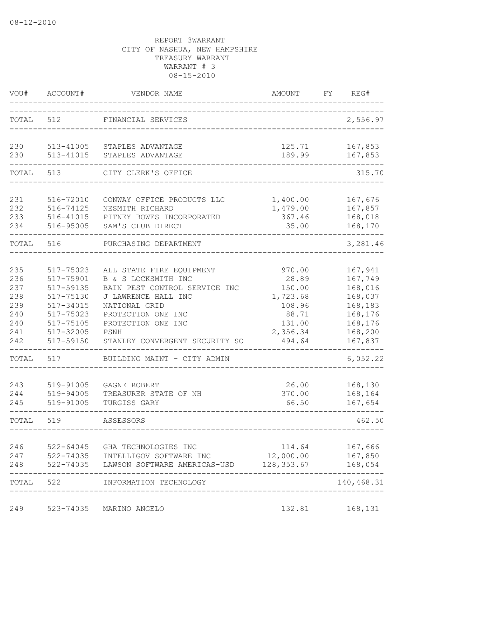| VOU#       | ACCOUNT#               | VENDOR NAME                                             | AMOUNT                   | FY | REG#               |
|------------|------------------------|---------------------------------------------------------|--------------------------|----|--------------------|
| TOTAL      | 512                    | FINANCIAL SERVICES                                      |                          |    | 2,556.97           |
| 230        | 513-41005              | STAPLES ADVANTAGE                                       | 125.71                   |    | 167,853            |
| 230        | 513-41015              | STAPLES ADVANTAGE                                       | 189.99                   |    | 167,853            |
| TOTAL      | 513                    | CITY CLERK'S OFFICE                                     |                          |    | 315.70             |
| 231        | 516-72010              | CONWAY OFFICE PRODUCTS LLC                              | 1,400.00                 |    | 167,676            |
| 232        | 516-74125              | NESMITH RICHARD                                         | 1,479.00                 |    | 167,857            |
| 233        | 516-41015              | PITNEY BOWES INCORPORATED                               | 367.46                   |    | 168,018            |
| 234        | 516-95005              | SAM'S CLUB DIRECT                                       | 35.00                    |    | 168,170            |
| TOTAL      | 516                    | PURCHASING DEPARTMENT                                   |                          |    | 3,281.46           |
|            |                        |                                                         |                          |    |                    |
| 235        | 517-75023              | ALL STATE FIRE EQUIPMENT                                | 970.00                   |    | 167,941            |
| 236        | 517-75901              | B & S LOCKSMITH INC                                     | 28.89                    |    | 167,749            |
| 237        | 517-59135              | BAIN PEST CONTROL SERVICE INC                           | 150.00                   |    | 168,016            |
| 238        | 517-75130              | J LAWRENCE HALL INC                                     | 1,723.68                 |    | 168,037            |
| 239        | 517-34015              | NATIONAL GRID                                           | 108.96                   |    | 168,183            |
| 240        | 517-75023              | PROTECTION ONE INC                                      | 88.71                    |    | 168,176            |
| 240        | 517-75105              | PROTECTION ONE INC                                      | 131.00                   |    | 168,176            |
| 241        | 517-32005              | PSNH                                                    | 2,356.34                 |    | 168,200            |
| 242        | 517-59150              | STANLEY CONVERGENT SECURITY SO                          | 494.64                   |    | 167,837            |
| TOTAL      | 517                    | BUILDING MAINT - CITY ADMIN                             |                          |    | 6,052.22           |
|            |                        |                                                         |                          |    |                    |
| 243<br>244 | 519-91005<br>519-94005 | GAGNE ROBERT<br>TREASURER STATE OF NH                   | 26.00<br>370.00          |    | 168,130<br>168,164 |
| 245        | 519-91005              | TURGISS GARY                                            | 66.50                    |    | 167,654            |
|            |                        |                                                         |                          |    |                    |
| TOTAL      | 519                    | ASSESSORS                                               |                          |    | 462.50             |
|            |                        |                                                         |                          |    |                    |
| 246        | $522 - 64045$          | GHA TECHNOLOGIES INC                                    | 114.64                   |    | 167,666            |
| 247<br>248 | 522-74035<br>522-74035 | INTELLIGOV SOFTWARE INC<br>LAWSON SOFTWARE AMERICAS-USD | 12,000.00<br>128, 353.67 |    | 167,850<br>168,054 |
|            |                        |                                                         |                          |    |                    |
| TOTAL      | 522                    | INFORMATION TECHNOLOGY                                  |                          |    | 140,468.31         |
| 249        | 523-74035              | MARINO ANGELO                                           | 132.81                   |    | 168,131            |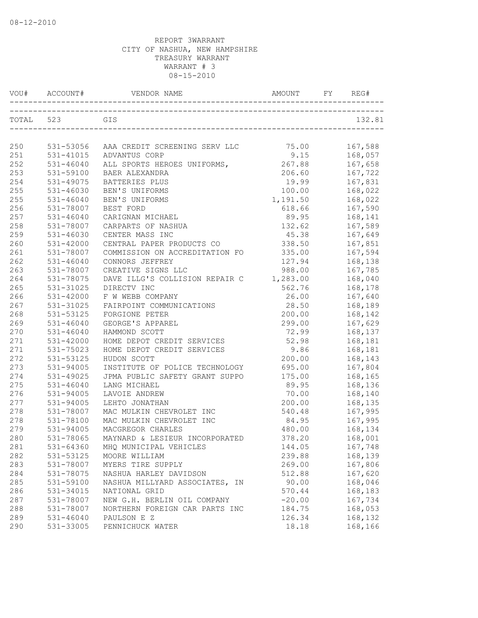| VOU#      | ACCOUNT#      | VENDOR NAME                             | <b>AMOUNT</b> | REG#    |
|-----------|---------------|-----------------------------------------|---------------|---------|
| TOTAL 523 |               | GIS                                     |               | 132.81  |
|           |               |                                         |               |         |
| 250       | 531-53056     | AAA CREDIT SCREENING SERV LLC           | 75.00         | 167,588 |
| 251       | 531-41015     | ADVANTUS CORP                           | 9.15          | 168,057 |
| 252       | $531 - 46040$ | ALL SPORTS HEROES UNIFORMS,             | 267.88        | 167,658 |
| 253       | 531-59100     | BAER ALEXANDRA                          | 206.60        | 167,722 |
| 254       | 531-49075     | BATTERIES PLUS                          | 19.99         | 167,831 |
| 255       | $531 - 46030$ | BEN'S UNIFORMS                          | 100.00        | 168,022 |
| 255       | $531 - 46040$ | BEN'S UNIFORMS                          | 1,191.50      | 168,022 |
| 256       | 531-78007     | BEST FORD                               | 618.66        | 167,590 |
| 257       | $531 - 46040$ | CARIGNAN MICHAEL                        | 89.95         | 168,141 |
| 258       | 531-78007     | CARPARTS OF NASHUA                      | 132.62        | 167,589 |
| 259       | $531 - 46030$ | CENTER MASS INC                         | 45.38         | 167,649 |
| 260       | 531-42000     | CENTRAL PAPER PRODUCTS CO               | 338.50        | 167,851 |
| 261       | 531-78007     | COMMISSION ON ACCREDITATION FO          | 335.00        | 167,594 |
| 262       | $531 - 46040$ | CONNORS JEFFREY                         | 127.94        | 168,138 |
| 263       | 531-78007     | CREATIVE SIGNS LLC                      | 988.00        | 167,785 |
| 264       | 531-78075     | DAVE ILLG'S COLLISION REPAIR C 1,283.00 |               | 168,040 |
| 265       | 531-31025     | DIRECTV INC                             | 562.76        | 168,178 |
| 266       | $531 - 42000$ | F W WEBB COMPANY                        | 26.00         | 167,640 |
| 267       | 531-31025     | FAIRPOINT COMMUNICATIONS                | 28.50         | 168,189 |
| 268       | 531-53125     | FORGIONE PETER                          | 200.00        | 168,142 |
| 269       | $531 - 46040$ | GEORGE'S APPAREL                        | 299.00        | 167,629 |
| 270       | $531 - 46040$ | HAMMOND SCOTT                           | 72.99         | 168,137 |
| 271       | $531 - 42000$ | HOME DEPOT CREDIT SERVICES              | 52.98         | 168,181 |
| 271       | 531-75023     | HOME DEPOT CREDIT SERVICES              | 9.86          | 168,181 |
| 272       | 531-53125     | HUDON SCOTT                             | 200.00        | 168,143 |
| 273       | 531-94005     | INSTITUTE OF POLICE TECHNOLOGY          | 695.00        | 167,804 |
| 274       | 531-49025     | JPMA PUBLIC SAFETY GRANT SUPPO          | 175.00        | 168,165 |
| 275       | $531 - 46040$ | LANG MICHAEL                            | 89.95         | 168,136 |
| 276       | 531-94005     | LAVOIE ANDREW                           | 70.00         | 168,140 |
| 277       | 531-94005     | LEHTO JONATHAN                          | 200.00        | 168,135 |
| 278       | 531-78007     | MAC MULKIN CHEVROLET INC                | 540.48        | 167,995 |
| 278       | 531-78100     | MAC MULKIN CHEVROLET INC                | 84.95         | 167,995 |
| 279       | 531-94005     | MACGREGOR CHARLES                       | 480.00        | 168,134 |
| 280       | 531-78065     | MAYNARD & LESIEUR INCORPORATED          | 378.20        | 168,001 |
| 281       | $531 - 64360$ | MHQ MUNICIPAL VEHICLES                  | 144.05        | 167,748 |
| 282       | 531-53125     | MOORE WILLIAM                           | 239.88        | 168,139 |
| 283       | 531-78007     | MYERS TIRE SUPPLY                       | 269.00        | 167,806 |
| 284       | 531-78075     | NASHUA HARLEY DAVIDSON                  | 512.88        | 167,620 |
| 285       | 531-59100     | NASHUA MILLYARD ASSOCIATES, IN          | 90.00         | 168,046 |
| 286       | 531-34015     | NATIONAL GRID                           | 570.44        | 168,183 |
| 287       | 531-78007     | NEW G.H. BERLIN OIL COMPANY             | $-20.00$      | 167,734 |
| 288       | 531-78007     | NORTHERN FOREIGN CAR PARTS INC          | 184.75        | 168,053 |
| 289       | $531 - 46040$ | PAULSON E Z                             | 126.34        | 168,132 |
| 290       | 531-33005     | PENNICHUCK WATER                        | 18.18         | 168,166 |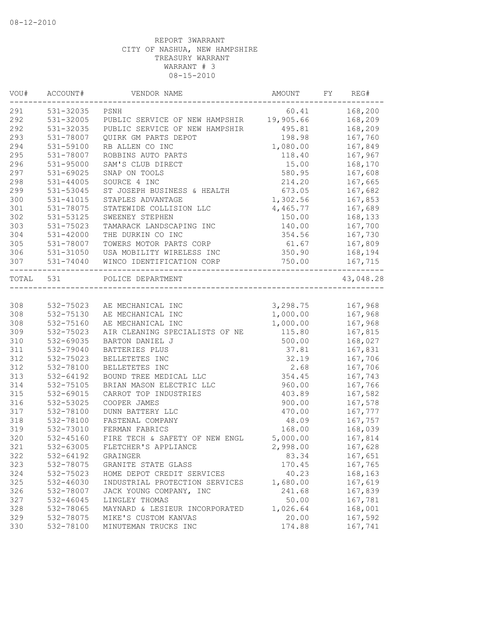| VOU#      | ACCOUNT#      | VENDOR NAME                                  | AMOUNT   | FY | REG#      |
|-----------|---------------|----------------------------------------------|----------|----|-----------|
| 291       | 531-32035     | PSNH                                         | 60.41    |    | 168,200   |
| 292       | 531-32005     | PUBLIC SERVICE OF NEW HAMPSHIR 19,905.66     |          |    | 168,209   |
| 292       | 531-32035     | PUBLIC SERVICE OF NEW HAMPSHIR               | 495.81   |    | 168,209   |
| 293       | 531-78007     | QUIRK GM PARTS DEPOT                         | 198.98   |    | 167,760   |
| 294       | 531-59100     | RB ALLEN CO INC                              | 1,080.00 |    | 167,849   |
| 295       | 531-78007     | ROBBINS AUTO PARTS                           | 118.40   |    | 167,967   |
| 296       | 531-95000     | SAM'S CLUB DIRECT                            | 15.00    |    | 168,170   |
| 297       | 531-69025     | SNAP ON TOOLS                                | 580.95   |    | 167,608   |
| 298       | $531 - 44005$ | SOURCE 4 INC                                 | 214.20   |    | 167,665   |
| 299       | 531-53045     | ST JOSEPH BUSINESS & HEALTH                  | 673.05   |    | 167,682   |
| 300       | 531-41015     | STAPLES ADVANTAGE                            | 1,302.56 |    | 167,853   |
| 301       | 531-78075     | STATEWIDE COLLISION LLC                      | 4,465.77 |    | 167,689   |
| 302       | 531-53125     | SWEENEY STEPHEN                              | 150.00   |    | 168,133   |
| 303       | 531-75023     | TAMARACK LANDSCAPING INC                     | 140.00   |    | 167,700   |
| 304       | 531-42000     | THE DURKIN CO INC                            | 354.56   |    | 167,730   |
| 305       | 531-78007     | TOWERS MOTOR PARTS CORP                      | 61.67    |    | 167,809   |
| 306       | 531-31050     | USA MOBILITY WIRELESS INC                    | 350.90   |    | 168,194   |
| 307       | 531-74040     | WINCO IDENTIFICATION CORP<br>_______________ | 750.00   |    | 167,715   |
| TOTAL 531 |               | POLICE DEPARTMENT                            |          |    | 43,048.28 |
|           |               |                                              |          |    |           |
| 308       | 532-75023     | AE MECHANICAL INC                            | 3,298.75 |    | 167,968   |
| 308       | 532-75130     | AE MECHANICAL INC                            | 1,000.00 |    | 167,968   |
| 308       | 532-75160     | AE MECHANICAL INC                            | 1,000.00 |    | 167,968   |
| 309       | 532-75023     | AIR CLEANING SPECIALISTS OF NE               | 115.80   |    | 167,815   |
| 310       | 532-69035     | BARTON DANIEL J                              | 500.00   |    | 168,027   |
| 311       | 532-79040     | BATTERIES PLUS                               | 37.81    |    | 167,831   |
| 312       | 532-75023     | BELLETETES INC                               | 32.19    |    | 167,706   |
| 312       | 532-78100     | BELLETETES INC                               | 2.68     |    | 167,706   |
| 313       | 532-64192     | BOUND TREE MEDICAL LLC                       | 354.45   |    | 167,743   |
| 314       | 532-75105     | BRIAN MASON ELECTRIC LLC                     | 960.00   |    | 167,766   |
| 315       | 532-69015     | CARROT TOP INDUSTRIES                        | 403.89   |    | 167,582   |
| 316       | 532-53025     | COOPER JAMES                                 | 900.00   |    | 167,578   |
| 317       | 532-78100     | DUNN BATTERY LLC                             | 470.00   |    | 167,777   |
| 318       | 532-78100     | FASTENAL COMPANY                             | 48.09    |    | 167,757   |
| 319       | 532-73010     | FERMAN FABRICS                               | 168.00   |    | 168,039   |
| 320       | 532-45160     | FIRE TECH & SAFETY OF NEW ENGL               | 5,000.00 |    | 167,814   |
| 321       | 532-63005     | FLETCHER'S APPLIANCE                         | 2,998.00 |    | 167,628   |
| 322       | 532-64192     | GRAINGER                                     | 83.34    |    | 167,651   |
| 323       | 532-78075     | GRANITE STATE GLASS                          | 170.45   |    | 167,765   |
| 324       | 532-75023     | HOME DEPOT CREDIT SERVICES                   | 40.23    |    | 168,163   |
| 325       | 532-46030     | INDUSTRIAL PROTECTION SERVICES               | 1,680.00 |    | 167,619   |
| 326       | 532-78007     | JACK YOUNG COMPANY, INC                      | 241.68   |    | 167,839   |
| 327       | 532-46045     | LINGLEY THOMAS                               | 50.00    |    | 167,781   |
| 328       | 532-78065     | MAYNARD & LESIEUR INCORPORATED               | 1,026.64 |    | 168,001   |
| 329       | 532-78075     | MIKE'S CUSTOM KANVAS                         | 20.00    |    | 167,592   |
| 330       | 532-78100     | MINUTEMAN TRUCKS INC                         | 174.88   |    | 167,741   |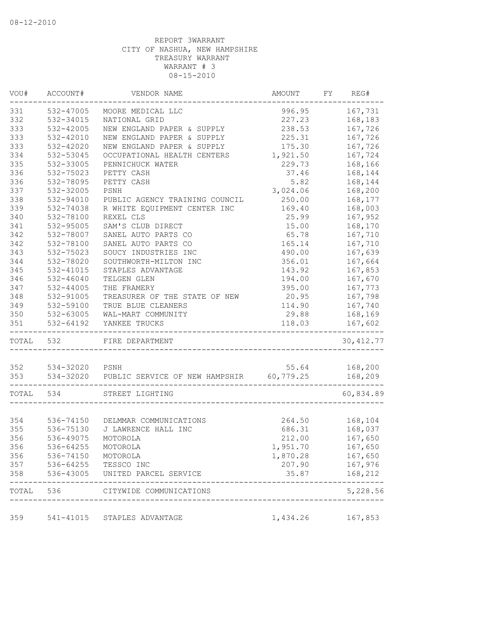| VOU#       | ACCOUNT#                  | VENDOR NAME                                        | AMOUNT   | FY | REG#               |
|------------|---------------------------|----------------------------------------------------|----------|----|--------------------|
| 331        | 532-47005                 | MOORE MEDICAL LLC                                  | 996.95   |    | 167,731            |
| 332        | 532-34015                 | NATIONAL GRID                                      | 227.23   |    | 168,183            |
| 333        | 532-42005                 | NEW ENGLAND PAPER & SUPPLY                         | 238.53   |    | 167,726            |
| 333        | 532-42010                 | NEW ENGLAND PAPER & SUPPLY                         | 225.31   |    | 167,726            |
| 333        | 532-42020                 | NEW ENGLAND PAPER & SUPPLY                         | 175.30   |    | 167,726            |
| 334        | 532-53045                 | OCCUPATIONAL HEALTH CENTERS                        | 1,921.50 |    | 167,724            |
| 335        | 532-33005                 | PENNICHUCK WATER                                   | 229.73   |    | 168,166            |
| 336        | 532-75023                 | PETTY CASH                                         | 37.46    |    | 168,144            |
| 336        | 532-78095                 | PETTY CASH                                         | 5.82     |    | 168,144            |
| 337        | 532-32005                 | PSNH                                               | 3,024.06 |    | 168,200            |
| 338        | 532-94010                 | PUBLIC AGENCY TRAINING COUNCIL                     | 250.00   |    | 168,177            |
| 339        | 532-74038                 | R WHITE EQUIPMENT CENTER INC                       | 169.40   |    | 168,003            |
| 340        | 532-78100                 | REXEL CLS                                          | 25.99    |    | 167,952            |
| 341        | 532-95005                 | SAM'S CLUB DIRECT                                  | 15.00    |    | 168,170            |
| 342        | 532-78007                 | SANEL AUTO PARTS CO                                | 65.78    |    | 167,710            |
| 342        | 532-78100                 | SANEL AUTO PARTS CO                                | 165.14   |    | 167,710            |
| 343        | 532-75023                 | SOUCY INDUSTRIES INC                               | 490.00   |    | 167,639            |
| 344        | 532-78020                 | SOUTHWORTH-MILTON INC                              | 356.01   |    | 167,664            |
| 345        | 532-41015                 | STAPLES ADVANTAGE                                  | 143.92   |    | 167,853            |
| 346        | $532 - 46040$             | TELGEN GLEN                                        | 194.00   |    | 167,670            |
| 347        | 532-44005                 | THE FRAMERY                                        | 395.00   |    | 167,773            |
| 348        | 532-91005                 | TREASURER OF THE STATE OF NEW                      | 20.95    |    | 167,798            |
| 349        | 532-59100                 | TRUE BLUE CLEANERS                                 | 114.90   |    | 167,740            |
| 350        | 532-63005                 | WAL-MART COMMUNITY                                 | 29.88    |    | 168,169            |
| 351        | 532-64192                 | YANKEE TRUCKS<br>---------                         | 118.03   |    | 167,602            |
| TOTAL      | ------------------<br>532 | FIRE DEPARTMENT                                    |          |    | 30, 412.77         |
|            |                           |                                                    |          |    |                    |
| 352<br>353 | 534-32020 PSNH            | 534-32020 PUBLIC SERVICE OF NEW HAMPSHIR 60,779.25 | 55.64    |    | 168,200<br>168,209 |
|            |                           |                                                    |          |    |                    |
| TOTAL      | 534                       | STREET LIGHTING                                    |          |    | 60,834.89          |
|            |                           |                                                    |          |    |                    |
| 354        |                           | 536-74150 DELMMAR COMMUNICATIONS                   |          |    | 264.50 168,104     |
| 355        | 536-75130                 | J LAWRENCE HALL INC                                | 686.31   |    | 168,037            |
| 356        | 536-49075                 | MOTOROLA                                           | 212.00   |    | 167,650            |
| 356        | 536-64255                 | MOTOROLA                                           | 1,951.70 |    | 167,650            |
| 356        | 536-74150                 | MOTOROLA                                           | 1,870.28 |    | 167,650            |
| 357        | 536-64255                 | TESSCO INC                                         | 207.90   |    | 167,976            |
| 358        | 536-43005                 | UNITED PARCEL SERVICE                              | 35.87    |    | 168,212            |
| TOTAL      | 536                       | CITYWIDE COMMUNICATIONS                            |          |    | 5,228.56           |
| 359        |                           | 541-41015 STAPLES ADVANTAGE                        | 1,434.26 |    | 167,853            |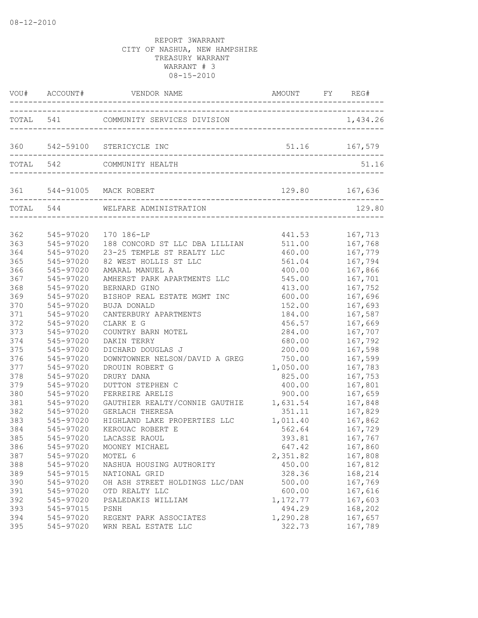|            |                        | VOU# ACCOUNT# VENDOR NAME AMOUNT FY REG#            |                    |                    |
|------------|------------------------|-----------------------------------------------------|--------------------|--------------------|
|            |                        | TOTAL 541 COMMUNITY SERVICES DIVISION 1,434.26      |                    |                    |
|            |                        | 360 542-59100 STERICYCLE INC                        | 51.16 167,579      |                    |
|            |                        |                                                     |                    |                    |
|            |                        | TOTAL 542 COMMUNITY HEALTH                          |                    | 51.16              |
|            |                        | 361 544-91005 MACK ROBERT 129.80 129.80             | 129.80 167,636     |                    |
|            |                        | TOTAL 544 WELFARE ADMINISTRATION                    |                    | 129.80             |
| 362        | 545-97020              | 170 186-LP                                          | 441.53             | 167,713            |
| 363        | 545-97020              | 188 CONCORD ST LLC DBA LILLIAN                      | 511.00             | 167,768            |
| 364        | 545-97020              | 23-25 TEMPLE ST REALTY LLC                          | 460.00             | 167,779            |
| 365        | 545-97020              | 82 WEST HOLLIS ST LLC                               | 561.04             | 167,794            |
| 366        | 545-97020              | AMARAL MANUEL A                                     | 400.00             | 167,866            |
| 367        | 545-97020              | AMHERST PARK APARTMENTS LLC                         | 545.00             | 167,701            |
| 368        | 545-97020              | BERNARD GINO                                        | 413.00             | 167,752            |
| 369        | 545-97020              | BISHOP REAL ESTATE MGMT INC                         | 600.00             | 167,696            |
| 370        | 545-97020              | <b>BUJA DONALD</b>                                  | 152.00             | 167,693            |
| 371        | 545-97020              | CANTERBURY APARTMENTS                               | 184.00             | 167,587            |
| 372        | 545-97020              | CLARK E G                                           | 456.57             | 167,669            |
| 373        | 545-97020              | COUNTRY BARN MOTEL                                  | 284.00             | 167,707            |
| 374<br>375 | 545-97020              | DAKIN TERRY                                         | 680.00             | 167,792            |
|            | 545-97020              | DICHARD DOUGLAS J<br>DOWNTOWNER NELSON/DAVID A GREG | 200.00             | 167,598            |
| 376<br>377 | 545-97020<br>545-97020 | DROUIN ROBERT G                                     | 750.00<br>1,050.00 | 167,599<br>167,783 |
| 378        | 545-97020              | DRURY DANA                                          | 825.00             | 167,753            |
| 379        | 545-97020              | DUTTON STEPHEN C                                    | 400.00             | 167,801            |
| 380        | 545-97020              | FERREIRE ARELIS                                     | 900.00             | 167,659            |
| 381        | 545-97020              | GAUTHIER REALTY/CONNIE GAUTHIE 1,631.54             |                    | 167,848            |
| 382        | 545-97020              | <b>GERLACH THERESA</b>                              | 351.11             | 167,829            |
| 383        | 545-97020              | HIGHLAND LAKE PROPERTIES LLC                        | 1,011.40           | 167,862            |
| 384        | 545-97020              | KEROUAC ROBERT E                                    | 562.64             | 167,729            |
| 385        |                        | 545-97020 LACASSE RAOUL                             | 393.81             | 167,767            |
| 386        | 545-97020              | MOONEY MICHAEL                                      | 647.42             | 167,860            |
| 387        | 545-97020              | MOTEL 6                                             | 2,351.82           | 167,808            |
| 388        | 545-97020              | NASHUA HOUSING AUTHORITY                            | 450.00             | 167,812            |
| 389        | 545-97015              | NATIONAL GRID                                       | 328.36             | 168,214            |
| 390        | 545-97020              | OH ASH STREET HOLDINGS LLC/DAN                      | 500.00             | 167,769            |
| 391        | 545-97020              | OTD REALTY LLC                                      | 600.00             | 167,616            |
| 392        | 545-97020              | PSALEDAKIS WILLIAM                                  | 1,172.77           | 167,603            |
| 393        | 545-97015              | PSNH                                                | 494.29             | 168,202            |
| 394        | 545-97020              | REGENT PARK ASSOCIATES                              | 1,290.28           | 167,657            |
| 395        | 545-97020              | WRN REAL ESTATE LLC                                 | 322.73             | 167,789            |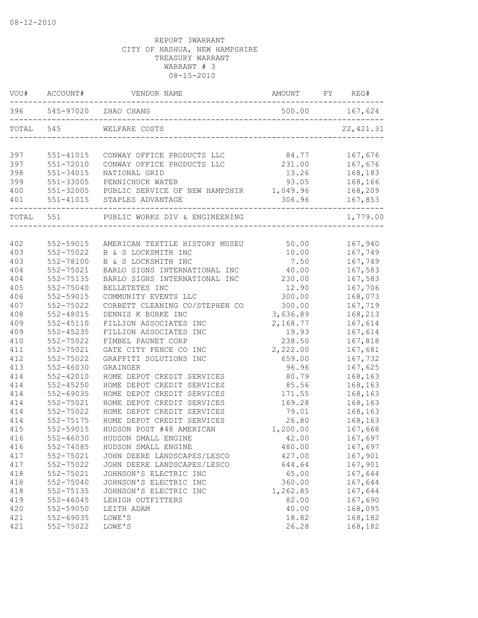| VOU#      | ACCOUNT#      | VENDOR NAME                             | AMOUNT   | FY | REG#       |
|-----------|---------------|-----------------------------------------|----------|----|------------|
|           |               | 396 545-97020 ZHAO CHANG                |          |    |            |
| TOTAL 545 |               | WELFARE COSTS                           |          |    | 22, 421.31 |
| 397       | 551-41015     | CONWAY OFFICE PRODUCTS LLC              | 84.77    |    | 167,676    |
| 397       | $551 - 72010$ | CONWAY OFFICE PRODUCTS LLC              | 231.00   |    | 167,676    |
| 398       | 551-34015     | NATIONAL GRID                           | 13.26    |    | 168,183    |
| 399       | 551-33005     | PENNICHUCK WATER                        | 93.05    |    | 168,166    |
| 400       | 551-32005     | PUBLIC SERVICE OF NEW HAMPSHIR 1,049.96 |          |    | 168,209    |
| 401       | 551-41015     | STAPLES ADVANTAGE                       | 306.96   |    | 167,853    |
| TOTAL 551 |               | PUBLIC WORKS DIV & ENGINEERING          |          |    | 1,779.00   |
|           |               |                                         |          |    |            |
| 402       | 552-59015     | AMERICAN TEXTILE HISTORY MUSEU          | 50.00    |    | 167,940    |
| 403       | 552-75022     | B & S LOCKSMITH INC                     | 10.00    |    | 167,749    |
| 403       | 552-78100     | B & S LOCKSMITH INC                     | 7.50     |    | 167,749    |
| 404       | 552-75021     | BARLO SIGNS INTERNATIONAL INC           | 40.00    |    | 167,583    |
| 404       | 552-75135     | BARLO SIGNS INTERNATIONAL INC           | 230.00   |    | 167,583    |
| 405       | 552-75040     | BELLETETES INC                          | 12.90    |    | 167,706    |
| 406       | 552-59015     | COMMUNITY EVENTS LLC                    | 300.00   |    | 168,073    |
| 407       | 552-75022     | CORBETT CLEANING CO/STEPHEN CO          | 300.00   |    | 167,719    |
| 408       | $552 - 48015$ | DENNIS K BURKE INC                      | 3,636.89 |    | 168,213    |
| 409       | $552 - 45110$ | FILLION ASSOCIATES INC                  | 2,168.77 |    | 167,614    |
| 409       | $552 - 45235$ | FILLION ASSOCIATES INC                  | 19.93    |    | 167,614    |
| 410       | 552-75022     | FIMBEL PAUNET CORP                      | 238.50   |    | 167,818    |
| 411       | 552-75021     | GATE CITY FENCE CO INC                  | 2,222.00 |    | 167,681    |
| 412       | 552-75022     | GRAFFITI SOLUTIONS INC                  | 659.00   |    | 167,732    |
| 413       | $552 - 46030$ | GRAINGER                                | 96.96    |    | 167,625    |
| 414       | $552 - 42010$ | HOME DEPOT CREDIT SERVICES              | 80.79    |    | 168,163    |
| 414       | 552-45250     | HOME DEPOT CREDIT SERVICES              | 85.56    |    | 168,163    |
| 414       | 552-69035     | HOME DEPOT CREDIT SERVICES              | 171.55   |    | 168,163    |
| 414       | 552-75021     | HOME DEPOT CREDIT SERVICES              | 169.28   |    | 168,163    |
| 414       | 552-75022     | HOME DEPOT CREDIT SERVICES              | 79.01    |    | 168,163    |
| 414       | 552-75175     | HOME DEPOT CREDIT SERVICES              | 26.80    |    | 168,163    |
| 415       | 552-59015     | HUDSON POST #48 AMERICAN                | 1,200.00 |    | 167,668    |
| 416       | $552 - 46030$ | HUDSON SMALL ENGINE                     | 42.00    |    | 167,697    |
| 416       | 552-74085     | HUDSON SMALL ENGINE                     | 480.00   |    | 167,697    |
| 417       | 552-75021     | JOHN DEERE LANDSCAPES/LESCO             | 427.00   |    | 167,901    |
| 417       | 552-75022     | JOHN DEERE LANDSCAPES/LESCO             | 644.64   |    | 167,901    |
| 418       | 552-75021     | JOHNSON'S ELECTRIC INC                  | 65.00    |    | 167,644    |
| 418       | 552-75040     | JOHNSON'S ELECTRIC INC                  | 360.00   |    | 167,644    |
| 418       | 552-75135     | JOHNSON'S ELECTRIC INC                  | 1,262.85 |    | 167,644    |
| 419       | $552 - 46045$ | LEHIGH OUTFITTERS                       | 82.00    |    | 167,690    |
| 420       | 552-59050     | LEITH ADAM                              | 40.00    |    | 168,095    |
| 421       | 552-69035     | LOWE'S                                  | 18.82    |    | 168,182    |
| 421       | 552-75022     | LOWE'S                                  | 26.28    |    | 168,182    |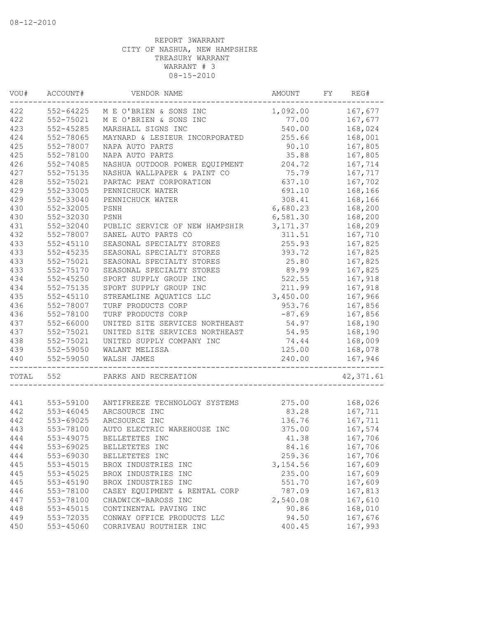| 422<br>167,677<br>552-64225<br>1,092.00<br>M E O'BRIEN & SONS INC<br>552-75021<br>167,677<br>M E O'BRIEN & SONS INC<br>77.00<br>$552 - 45285$<br>540.00<br>168,024<br>MARSHALL SIGNS INC<br>168,001<br>552-78065<br>MAYNARD & LESIEUR INCORPORATED<br>255.66<br>552-78007<br>NAPA AUTO PARTS<br>90.10<br>167,805<br>552-78100<br>NAPA AUTO PARTS<br>35.88<br>167,805<br>167,714<br>552-74085<br>NASHUA OUTDOOR POWER EQUIPMENT<br>204.72<br>75.79<br>167,717<br>552-75135<br>NASHUA WALLPAPER & PAINT CO<br>167,702<br>552-75021<br>PARTAC PEAT CORPORATION<br>637.10<br>552-33005<br>168,166<br>PENNICHUCK WATER<br>691.10<br>429<br>552-33040<br>PENNICHUCK WATER<br>308.41<br>168,166<br>430<br>552-32005<br>6,680.23<br>168,200<br>PSNH<br>430<br>552-32030<br>PSNH<br>6,581.30<br>168,200<br>431<br>552-32040<br>PUBLIC SERVICE OF NEW HAMPSHIR<br>3, 171.37<br>168,209<br>432<br>552-78007<br>SANEL AUTO PARTS CO<br>311.51<br>167,710<br>433<br>$552 - 45110$<br>SEASONAL SPECIALTY STORES<br>255.93<br>167,825<br>433<br>167,825<br>552-45235<br>SEASONAL SPECIALTY STORES<br>393.72<br>433<br>552-75021<br>SEASONAL SPECIALTY STORES<br>25.80<br>167,825<br>433<br>552-75170<br>SEASONAL SPECIALTY STORES<br>89.99<br>167,825<br>434<br>$552 - 45250$<br>SPORT SUPPLY GROUP INC<br>522.55<br>167,918<br>434<br>552-75135<br>SPORT SUPPLY GROUP INC<br>211.99<br>167,918<br>435<br>3,450.00<br>$552 - 45110$<br>STREAMLINE AQUATICS LLC<br>167,966<br>436<br>552-78007<br>TURF PRODUCTS CORP<br>953.76<br>167,856<br>436<br>552-78100<br>TURF PRODUCTS CORP<br>$-87.69$<br>167,856<br>437<br>552-66000<br>UNITED SITE SERVICES NORTHEAST<br>54.97<br>168,190<br>437<br>54.95<br>168,190<br>552-75021<br>UNITED SITE SERVICES NORTHEAST<br>438<br>74.44<br>168,009<br>552-75021<br>UNITED SUPPLY COMPANY INC<br>439<br>552-59050<br>125.00<br>WALANT MELISSA<br>168,078<br>440<br>552-59050<br>WALSH JAMES<br>167,946<br>240.00<br>TOTAL<br>552<br>PARKS AND RECREATION<br>275.00<br>168,026<br>553-59100<br>ANTIFREEZE TECHNOLOGY SYSTEMS<br>167,711<br>442<br>553-46045<br>83.28<br>ARCSOURCE INC<br>442<br>167,711<br>553-69025<br>ARCSOURCE INC<br>136.76<br>553-78100<br>167,574<br>AUTO ELECTRIC WAREHOUSE INC<br>375.00<br>444<br>553-49075<br>BELLETETES INC<br>41.38<br>167,706<br>444<br>553-69025<br>BELLETETES INC<br>84.16<br>167,706<br>259.36<br>444<br>553-69030<br>167,706<br>BELLETETES INC<br>$553 - 45015$<br>3, 154.56<br>167,609<br>BROX INDUSTRIES INC<br>235.00<br>553-45025<br>BROX INDUSTRIES INC<br>167,609<br>BROX INDUSTRIES INC<br>551.70<br>167,609<br>553-45190<br>167,813<br>553-78100<br>CASEY EQUIPMENT & RENTAL CORP<br>787.09<br>553-78100<br>CHADWICK-BAROSS INC<br>2,540.08<br>167,610<br>553-45015<br>CONTINENTAL PAVING INC<br>90.86<br>168,010<br>449<br>553-72035<br>CONWAY OFFICE PRODUCTS LLC<br>94.50<br>167,676<br>450<br>553-45060<br>CORRIVEAU ROUTHIER INC<br>400.45<br>167,993 | VOU# | ACCOUNT# | VENDOR NAME | AMOUNT | FY | REG#       |
|------------------------------------------------------------------------------------------------------------------------------------------------------------------------------------------------------------------------------------------------------------------------------------------------------------------------------------------------------------------------------------------------------------------------------------------------------------------------------------------------------------------------------------------------------------------------------------------------------------------------------------------------------------------------------------------------------------------------------------------------------------------------------------------------------------------------------------------------------------------------------------------------------------------------------------------------------------------------------------------------------------------------------------------------------------------------------------------------------------------------------------------------------------------------------------------------------------------------------------------------------------------------------------------------------------------------------------------------------------------------------------------------------------------------------------------------------------------------------------------------------------------------------------------------------------------------------------------------------------------------------------------------------------------------------------------------------------------------------------------------------------------------------------------------------------------------------------------------------------------------------------------------------------------------------------------------------------------------------------------------------------------------------------------------------------------------------------------------------------------------------------------------------------------------------------------------------------------------------------------------------------------------------------------------------------------------------------------------------------------------------------------------------------------------------------------------------------------------------------------------------------------------------------------------------------------------------------------------------------------------------------------------------------------------------------------------------------------------------------------------------------------------------------------------------------------------------------------------------------------------------------------------------------------------------------------|------|----------|-------------|--------|----|------------|
|                                                                                                                                                                                                                                                                                                                                                                                                                                                                                                                                                                                                                                                                                                                                                                                                                                                                                                                                                                                                                                                                                                                                                                                                                                                                                                                                                                                                                                                                                                                                                                                                                                                                                                                                                                                                                                                                                                                                                                                                                                                                                                                                                                                                                                                                                                                                                                                                                                                                                                                                                                                                                                                                                                                                                                                                                                                                                                                                          |      |          |             |        |    |            |
|                                                                                                                                                                                                                                                                                                                                                                                                                                                                                                                                                                                                                                                                                                                                                                                                                                                                                                                                                                                                                                                                                                                                                                                                                                                                                                                                                                                                                                                                                                                                                                                                                                                                                                                                                                                                                                                                                                                                                                                                                                                                                                                                                                                                                                                                                                                                                                                                                                                                                                                                                                                                                                                                                                                                                                                                                                                                                                                                          | 422  |          |             |        |    |            |
|                                                                                                                                                                                                                                                                                                                                                                                                                                                                                                                                                                                                                                                                                                                                                                                                                                                                                                                                                                                                                                                                                                                                                                                                                                                                                                                                                                                                                                                                                                                                                                                                                                                                                                                                                                                                                                                                                                                                                                                                                                                                                                                                                                                                                                                                                                                                                                                                                                                                                                                                                                                                                                                                                                                                                                                                                                                                                                                                          | 423  |          |             |        |    |            |
|                                                                                                                                                                                                                                                                                                                                                                                                                                                                                                                                                                                                                                                                                                                                                                                                                                                                                                                                                                                                                                                                                                                                                                                                                                                                                                                                                                                                                                                                                                                                                                                                                                                                                                                                                                                                                                                                                                                                                                                                                                                                                                                                                                                                                                                                                                                                                                                                                                                                                                                                                                                                                                                                                                                                                                                                                                                                                                                                          | 424  |          |             |        |    |            |
|                                                                                                                                                                                                                                                                                                                                                                                                                                                                                                                                                                                                                                                                                                                                                                                                                                                                                                                                                                                                                                                                                                                                                                                                                                                                                                                                                                                                                                                                                                                                                                                                                                                                                                                                                                                                                                                                                                                                                                                                                                                                                                                                                                                                                                                                                                                                                                                                                                                                                                                                                                                                                                                                                                                                                                                                                                                                                                                                          | 425  |          |             |        |    |            |
|                                                                                                                                                                                                                                                                                                                                                                                                                                                                                                                                                                                                                                                                                                                                                                                                                                                                                                                                                                                                                                                                                                                                                                                                                                                                                                                                                                                                                                                                                                                                                                                                                                                                                                                                                                                                                                                                                                                                                                                                                                                                                                                                                                                                                                                                                                                                                                                                                                                                                                                                                                                                                                                                                                                                                                                                                                                                                                                                          | 425  |          |             |        |    |            |
|                                                                                                                                                                                                                                                                                                                                                                                                                                                                                                                                                                                                                                                                                                                                                                                                                                                                                                                                                                                                                                                                                                                                                                                                                                                                                                                                                                                                                                                                                                                                                                                                                                                                                                                                                                                                                                                                                                                                                                                                                                                                                                                                                                                                                                                                                                                                                                                                                                                                                                                                                                                                                                                                                                                                                                                                                                                                                                                                          | 426  |          |             |        |    |            |
|                                                                                                                                                                                                                                                                                                                                                                                                                                                                                                                                                                                                                                                                                                                                                                                                                                                                                                                                                                                                                                                                                                                                                                                                                                                                                                                                                                                                                                                                                                                                                                                                                                                                                                                                                                                                                                                                                                                                                                                                                                                                                                                                                                                                                                                                                                                                                                                                                                                                                                                                                                                                                                                                                                                                                                                                                                                                                                                                          | 427  |          |             |        |    |            |
|                                                                                                                                                                                                                                                                                                                                                                                                                                                                                                                                                                                                                                                                                                                                                                                                                                                                                                                                                                                                                                                                                                                                                                                                                                                                                                                                                                                                                                                                                                                                                                                                                                                                                                                                                                                                                                                                                                                                                                                                                                                                                                                                                                                                                                                                                                                                                                                                                                                                                                                                                                                                                                                                                                                                                                                                                                                                                                                                          | 428  |          |             |        |    |            |
|                                                                                                                                                                                                                                                                                                                                                                                                                                                                                                                                                                                                                                                                                                                                                                                                                                                                                                                                                                                                                                                                                                                                                                                                                                                                                                                                                                                                                                                                                                                                                                                                                                                                                                                                                                                                                                                                                                                                                                                                                                                                                                                                                                                                                                                                                                                                                                                                                                                                                                                                                                                                                                                                                                                                                                                                                                                                                                                                          | 429  |          |             |        |    |            |
|                                                                                                                                                                                                                                                                                                                                                                                                                                                                                                                                                                                                                                                                                                                                                                                                                                                                                                                                                                                                                                                                                                                                                                                                                                                                                                                                                                                                                                                                                                                                                                                                                                                                                                                                                                                                                                                                                                                                                                                                                                                                                                                                                                                                                                                                                                                                                                                                                                                                                                                                                                                                                                                                                                                                                                                                                                                                                                                                          |      |          |             |        |    |            |
|                                                                                                                                                                                                                                                                                                                                                                                                                                                                                                                                                                                                                                                                                                                                                                                                                                                                                                                                                                                                                                                                                                                                                                                                                                                                                                                                                                                                                                                                                                                                                                                                                                                                                                                                                                                                                                                                                                                                                                                                                                                                                                                                                                                                                                                                                                                                                                                                                                                                                                                                                                                                                                                                                                                                                                                                                                                                                                                                          |      |          |             |        |    |            |
|                                                                                                                                                                                                                                                                                                                                                                                                                                                                                                                                                                                                                                                                                                                                                                                                                                                                                                                                                                                                                                                                                                                                                                                                                                                                                                                                                                                                                                                                                                                                                                                                                                                                                                                                                                                                                                                                                                                                                                                                                                                                                                                                                                                                                                                                                                                                                                                                                                                                                                                                                                                                                                                                                                                                                                                                                                                                                                                                          |      |          |             |        |    |            |
|                                                                                                                                                                                                                                                                                                                                                                                                                                                                                                                                                                                                                                                                                                                                                                                                                                                                                                                                                                                                                                                                                                                                                                                                                                                                                                                                                                                                                                                                                                                                                                                                                                                                                                                                                                                                                                                                                                                                                                                                                                                                                                                                                                                                                                                                                                                                                                                                                                                                                                                                                                                                                                                                                                                                                                                                                                                                                                                                          |      |          |             |        |    |            |
|                                                                                                                                                                                                                                                                                                                                                                                                                                                                                                                                                                                                                                                                                                                                                                                                                                                                                                                                                                                                                                                                                                                                                                                                                                                                                                                                                                                                                                                                                                                                                                                                                                                                                                                                                                                                                                                                                                                                                                                                                                                                                                                                                                                                                                                                                                                                                                                                                                                                                                                                                                                                                                                                                                                                                                                                                                                                                                                                          |      |          |             |        |    |            |
|                                                                                                                                                                                                                                                                                                                                                                                                                                                                                                                                                                                                                                                                                                                                                                                                                                                                                                                                                                                                                                                                                                                                                                                                                                                                                                                                                                                                                                                                                                                                                                                                                                                                                                                                                                                                                                                                                                                                                                                                                                                                                                                                                                                                                                                                                                                                                                                                                                                                                                                                                                                                                                                                                                                                                                                                                                                                                                                                          |      |          |             |        |    |            |
|                                                                                                                                                                                                                                                                                                                                                                                                                                                                                                                                                                                                                                                                                                                                                                                                                                                                                                                                                                                                                                                                                                                                                                                                                                                                                                                                                                                                                                                                                                                                                                                                                                                                                                                                                                                                                                                                                                                                                                                                                                                                                                                                                                                                                                                                                                                                                                                                                                                                                                                                                                                                                                                                                                                                                                                                                                                                                                                                          |      |          |             |        |    |            |
|                                                                                                                                                                                                                                                                                                                                                                                                                                                                                                                                                                                                                                                                                                                                                                                                                                                                                                                                                                                                                                                                                                                                                                                                                                                                                                                                                                                                                                                                                                                                                                                                                                                                                                                                                                                                                                                                                                                                                                                                                                                                                                                                                                                                                                                                                                                                                                                                                                                                                                                                                                                                                                                                                                                                                                                                                                                                                                                                          |      |          |             |        |    |            |
|                                                                                                                                                                                                                                                                                                                                                                                                                                                                                                                                                                                                                                                                                                                                                                                                                                                                                                                                                                                                                                                                                                                                                                                                                                                                                                                                                                                                                                                                                                                                                                                                                                                                                                                                                                                                                                                                                                                                                                                                                                                                                                                                                                                                                                                                                                                                                                                                                                                                                                                                                                                                                                                                                                                                                                                                                                                                                                                                          |      |          |             |        |    |            |
|                                                                                                                                                                                                                                                                                                                                                                                                                                                                                                                                                                                                                                                                                                                                                                                                                                                                                                                                                                                                                                                                                                                                                                                                                                                                                                                                                                                                                                                                                                                                                                                                                                                                                                                                                                                                                                                                                                                                                                                                                                                                                                                                                                                                                                                                                                                                                                                                                                                                                                                                                                                                                                                                                                                                                                                                                                                                                                                                          |      |          |             |        |    |            |
|                                                                                                                                                                                                                                                                                                                                                                                                                                                                                                                                                                                                                                                                                                                                                                                                                                                                                                                                                                                                                                                                                                                                                                                                                                                                                                                                                                                                                                                                                                                                                                                                                                                                                                                                                                                                                                                                                                                                                                                                                                                                                                                                                                                                                                                                                                                                                                                                                                                                                                                                                                                                                                                                                                                                                                                                                                                                                                                                          |      |          |             |        |    |            |
|                                                                                                                                                                                                                                                                                                                                                                                                                                                                                                                                                                                                                                                                                                                                                                                                                                                                                                                                                                                                                                                                                                                                                                                                                                                                                                                                                                                                                                                                                                                                                                                                                                                                                                                                                                                                                                                                                                                                                                                                                                                                                                                                                                                                                                                                                                                                                                                                                                                                                                                                                                                                                                                                                                                                                                                                                                                                                                                                          |      |          |             |        |    |            |
|                                                                                                                                                                                                                                                                                                                                                                                                                                                                                                                                                                                                                                                                                                                                                                                                                                                                                                                                                                                                                                                                                                                                                                                                                                                                                                                                                                                                                                                                                                                                                                                                                                                                                                                                                                                                                                                                                                                                                                                                                                                                                                                                                                                                                                                                                                                                                                                                                                                                                                                                                                                                                                                                                                                                                                                                                                                                                                                                          |      |          |             |        |    |            |
|                                                                                                                                                                                                                                                                                                                                                                                                                                                                                                                                                                                                                                                                                                                                                                                                                                                                                                                                                                                                                                                                                                                                                                                                                                                                                                                                                                                                                                                                                                                                                                                                                                                                                                                                                                                                                                                                                                                                                                                                                                                                                                                                                                                                                                                                                                                                                                                                                                                                                                                                                                                                                                                                                                                                                                                                                                                                                                                                          |      |          |             |        |    |            |
|                                                                                                                                                                                                                                                                                                                                                                                                                                                                                                                                                                                                                                                                                                                                                                                                                                                                                                                                                                                                                                                                                                                                                                                                                                                                                                                                                                                                                                                                                                                                                                                                                                                                                                                                                                                                                                                                                                                                                                                                                                                                                                                                                                                                                                                                                                                                                                                                                                                                                                                                                                                                                                                                                                                                                                                                                                                                                                                                          |      |          |             |        |    |            |
|                                                                                                                                                                                                                                                                                                                                                                                                                                                                                                                                                                                                                                                                                                                                                                                                                                                                                                                                                                                                                                                                                                                                                                                                                                                                                                                                                                                                                                                                                                                                                                                                                                                                                                                                                                                                                                                                                                                                                                                                                                                                                                                                                                                                                                                                                                                                                                                                                                                                                                                                                                                                                                                                                                                                                                                                                                                                                                                                          |      |          |             |        |    |            |
|                                                                                                                                                                                                                                                                                                                                                                                                                                                                                                                                                                                                                                                                                                                                                                                                                                                                                                                                                                                                                                                                                                                                                                                                                                                                                                                                                                                                                                                                                                                                                                                                                                                                                                                                                                                                                                                                                                                                                                                                                                                                                                                                                                                                                                                                                                                                                                                                                                                                                                                                                                                                                                                                                                                                                                                                                                                                                                                                          |      |          |             |        |    |            |
|                                                                                                                                                                                                                                                                                                                                                                                                                                                                                                                                                                                                                                                                                                                                                                                                                                                                                                                                                                                                                                                                                                                                                                                                                                                                                                                                                                                                                                                                                                                                                                                                                                                                                                                                                                                                                                                                                                                                                                                                                                                                                                                                                                                                                                                                                                                                                                                                                                                                                                                                                                                                                                                                                                                                                                                                                                                                                                                                          |      |          |             |        |    |            |
|                                                                                                                                                                                                                                                                                                                                                                                                                                                                                                                                                                                                                                                                                                                                                                                                                                                                                                                                                                                                                                                                                                                                                                                                                                                                                                                                                                                                                                                                                                                                                                                                                                                                                                                                                                                                                                                                                                                                                                                                                                                                                                                                                                                                                                                                                                                                                                                                                                                                                                                                                                                                                                                                                                                                                                                                                                                                                                                                          |      |          |             |        |    |            |
|                                                                                                                                                                                                                                                                                                                                                                                                                                                                                                                                                                                                                                                                                                                                                                                                                                                                                                                                                                                                                                                                                                                                                                                                                                                                                                                                                                                                                                                                                                                                                                                                                                                                                                                                                                                                                                                                                                                                                                                                                                                                                                                                                                                                                                                                                                                                                                                                                                                                                                                                                                                                                                                                                                                                                                                                                                                                                                                                          |      |          |             |        |    |            |
|                                                                                                                                                                                                                                                                                                                                                                                                                                                                                                                                                                                                                                                                                                                                                                                                                                                                                                                                                                                                                                                                                                                                                                                                                                                                                                                                                                                                                                                                                                                                                                                                                                                                                                                                                                                                                                                                                                                                                                                                                                                                                                                                                                                                                                                                                                                                                                                                                                                                                                                                                                                                                                                                                                                                                                                                                                                                                                                                          |      |          |             |        |    | 42, 371.61 |
|                                                                                                                                                                                                                                                                                                                                                                                                                                                                                                                                                                                                                                                                                                                                                                                                                                                                                                                                                                                                                                                                                                                                                                                                                                                                                                                                                                                                                                                                                                                                                                                                                                                                                                                                                                                                                                                                                                                                                                                                                                                                                                                                                                                                                                                                                                                                                                                                                                                                                                                                                                                                                                                                                                                                                                                                                                                                                                                                          |      |          |             |        |    |            |
|                                                                                                                                                                                                                                                                                                                                                                                                                                                                                                                                                                                                                                                                                                                                                                                                                                                                                                                                                                                                                                                                                                                                                                                                                                                                                                                                                                                                                                                                                                                                                                                                                                                                                                                                                                                                                                                                                                                                                                                                                                                                                                                                                                                                                                                                                                                                                                                                                                                                                                                                                                                                                                                                                                                                                                                                                                                                                                                                          | 441  |          |             |        |    |            |
|                                                                                                                                                                                                                                                                                                                                                                                                                                                                                                                                                                                                                                                                                                                                                                                                                                                                                                                                                                                                                                                                                                                                                                                                                                                                                                                                                                                                                                                                                                                                                                                                                                                                                                                                                                                                                                                                                                                                                                                                                                                                                                                                                                                                                                                                                                                                                                                                                                                                                                                                                                                                                                                                                                                                                                                                                                                                                                                                          |      |          |             |        |    |            |
|                                                                                                                                                                                                                                                                                                                                                                                                                                                                                                                                                                                                                                                                                                                                                                                                                                                                                                                                                                                                                                                                                                                                                                                                                                                                                                                                                                                                                                                                                                                                                                                                                                                                                                                                                                                                                                                                                                                                                                                                                                                                                                                                                                                                                                                                                                                                                                                                                                                                                                                                                                                                                                                                                                                                                                                                                                                                                                                                          |      |          |             |        |    |            |
|                                                                                                                                                                                                                                                                                                                                                                                                                                                                                                                                                                                                                                                                                                                                                                                                                                                                                                                                                                                                                                                                                                                                                                                                                                                                                                                                                                                                                                                                                                                                                                                                                                                                                                                                                                                                                                                                                                                                                                                                                                                                                                                                                                                                                                                                                                                                                                                                                                                                                                                                                                                                                                                                                                                                                                                                                                                                                                                                          | 443  |          |             |        |    |            |
|                                                                                                                                                                                                                                                                                                                                                                                                                                                                                                                                                                                                                                                                                                                                                                                                                                                                                                                                                                                                                                                                                                                                                                                                                                                                                                                                                                                                                                                                                                                                                                                                                                                                                                                                                                                                                                                                                                                                                                                                                                                                                                                                                                                                                                                                                                                                                                                                                                                                                                                                                                                                                                                                                                                                                                                                                                                                                                                                          |      |          |             |        |    |            |
|                                                                                                                                                                                                                                                                                                                                                                                                                                                                                                                                                                                                                                                                                                                                                                                                                                                                                                                                                                                                                                                                                                                                                                                                                                                                                                                                                                                                                                                                                                                                                                                                                                                                                                                                                                                                                                                                                                                                                                                                                                                                                                                                                                                                                                                                                                                                                                                                                                                                                                                                                                                                                                                                                                                                                                                                                                                                                                                                          |      |          |             |        |    |            |
|                                                                                                                                                                                                                                                                                                                                                                                                                                                                                                                                                                                                                                                                                                                                                                                                                                                                                                                                                                                                                                                                                                                                                                                                                                                                                                                                                                                                                                                                                                                                                                                                                                                                                                                                                                                                                                                                                                                                                                                                                                                                                                                                                                                                                                                                                                                                                                                                                                                                                                                                                                                                                                                                                                                                                                                                                                                                                                                                          |      |          |             |        |    |            |
|                                                                                                                                                                                                                                                                                                                                                                                                                                                                                                                                                                                                                                                                                                                                                                                                                                                                                                                                                                                                                                                                                                                                                                                                                                                                                                                                                                                                                                                                                                                                                                                                                                                                                                                                                                                                                                                                                                                                                                                                                                                                                                                                                                                                                                                                                                                                                                                                                                                                                                                                                                                                                                                                                                                                                                                                                                                                                                                                          | 445  |          |             |        |    |            |
|                                                                                                                                                                                                                                                                                                                                                                                                                                                                                                                                                                                                                                                                                                                                                                                                                                                                                                                                                                                                                                                                                                                                                                                                                                                                                                                                                                                                                                                                                                                                                                                                                                                                                                                                                                                                                                                                                                                                                                                                                                                                                                                                                                                                                                                                                                                                                                                                                                                                                                                                                                                                                                                                                                                                                                                                                                                                                                                                          | 445  |          |             |        |    |            |
|                                                                                                                                                                                                                                                                                                                                                                                                                                                                                                                                                                                                                                                                                                                                                                                                                                                                                                                                                                                                                                                                                                                                                                                                                                                                                                                                                                                                                                                                                                                                                                                                                                                                                                                                                                                                                                                                                                                                                                                                                                                                                                                                                                                                                                                                                                                                                                                                                                                                                                                                                                                                                                                                                                                                                                                                                                                                                                                                          | 445  |          |             |        |    |            |
|                                                                                                                                                                                                                                                                                                                                                                                                                                                                                                                                                                                                                                                                                                                                                                                                                                                                                                                                                                                                                                                                                                                                                                                                                                                                                                                                                                                                                                                                                                                                                                                                                                                                                                                                                                                                                                                                                                                                                                                                                                                                                                                                                                                                                                                                                                                                                                                                                                                                                                                                                                                                                                                                                                                                                                                                                                                                                                                                          | 446  |          |             |        |    |            |
|                                                                                                                                                                                                                                                                                                                                                                                                                                                                                                                                                                                                                                                                                                                                                                                                                                                                                                                                                                                                                                                                                                                                                                                                                                                                                                                                                                                                                                                                                                                                                                                                                                                                                                                                                                                                                                                                                                                                                                                                                                                                                                                                                                                                                                                                                                                                                                                                                                                                                                                                                                                                                                                                                                                                                                                                                                                                                                                                          | 447  |          |             |        |    |            |
|                                                                                                                                                                                                                                                                                                                                                                                                                                                                                                                                                                                                                                                                                                                                                                                                                                                                                                                                                                                                                                                                                                                                                                                                                                                                                                                                                                                                                                                                                                                                                                                                                                                                                                                                                                                                                                                                                                                                                                                                                                                                                                                                                                                                                                                                                                                                                                                                                                                                                                                                                                                                                                                                                                                                                                                                                                                                                                                                          | 448  |          |             |        |    |            |
|                                                                                                                                                                                                                                                                                                                                                                                                                                                                                                                                                                                                                                                                                                                                                                                                                                                                                                                                                                                                                                                                                                                                                                                                                                                                                                                                                                                                                                                                                                                                                                                                                                                                                                                                                                                                                                                                                                                                                                                                                                                                                                                                                                                                                                                                                                                                                                                                                                                                                                                                                                                                                                                                                                                                                                                                                                                                                                                                          |      |          |             |        |    |            |
|                                                                                                                                                                                                                                                                                                                                                                                                                                                                                                                                                                                                                                                                                                                                                                                                                                                                                                                                                                                                                                                                                                                                                                                                                                                                                                                                                                                                                                                                                                                                                                                                                                                                                                                                                                                                                                                                                                                                                                                                                                                                                                                                                                                                                                                                                                                                                                                                                                                                                                                                                                                                                                                                                                                                                                                                                                                                                                                                          |      |          |             |        |    |            |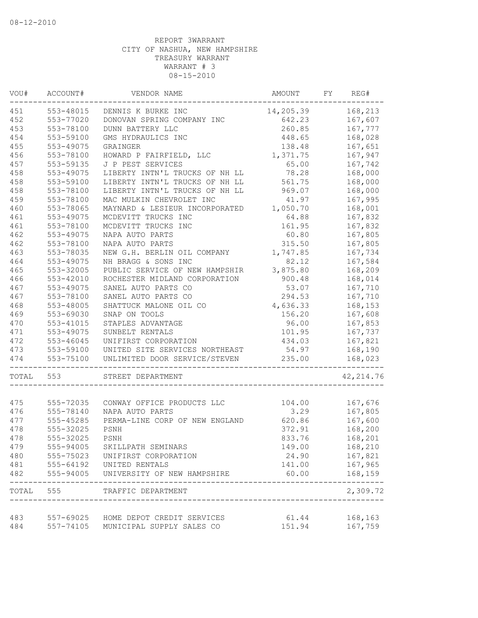| VOU#  | ACCOUNT#  | VENDOR NAME                                                  | AMOUNT    | FY | REG#       |
|-------|-----------|--------------------------------------------------------------|-----------|----|------------|
| 451   | 553-48015 | DENNIS K BURKE INC                                           | 14,205.39 |    | 168,213    |
| 452   | 553-77020 | DONOVAN SPRING COMPANY INC                                   | 642.23    |    | 167,607    |
| 453   | 553-78100 | DUNN BATTERY LLC                                             | 260.85    |    | 167,777    |
| 454   | 553-59100 | GMS HYDRAULICS INC                                           | 448.65    |    | 168,028    |
| 455   | 553-49075 | GRAINGER                                                     | 138.48    |    | 167,651    |
| 456   | 553-78100 | HOWARD P FAIRFIELD, LLC                                      | 1,371.75  |    | 167,947    |
| 457   | 553-59135 | J P PEST SERVICES                                            | 65.00     |    | 167,742    |
| 458   | 553-49075 | LIBERTY INTN'L TRUCKS OF NH LL                               | 78.28     |    | 168,000    |
| 458   | 553-59100 | LIBERTY INTN'L TRUCKS OF NH LL                               | 561.75    |    | 168,000    |
| 458   | 553-78100 | LIBERTY INTN'L TRUCKS OF NH LL                               | 969.07    |    | 168,000    |
| 459   | 553-78100 | MAC MULKIN CHEVROLET INC                                     | 41.97     |    | 167,995    |
| 460   | 553-78065 | MAYNARD & LESIEUR INCORPORATED                               | 1,050.70  |    | 168,001    |
| 461   | 553-49075 | MCDEVITT TRUCKS INC                                          | 64.88     |    | 167,832    |
| 461   | 553-78100 | MCDEVITT TRUCKS INC                                          | 161.95    |    | 167,832    |
| 462   | 553-49075 | NAPA AUTO PARTS                                              | 60.80     |    | 167,805    |
| 462   | 553-78100 | NAPA AUTO PARTS                                              | 315.50    |    | 167,805    |
| 463   | 553-78035 | NEW G.H. BERLIN OIL COMPANY                                  | 1,747.85  |    | 167,734    |
| 464   | 553-49075 | NH BRAGG & SONS INC                                          | 82.12     |    | 167,584    |
| 465   | 553-32005 | PUBLIC SERVICE OF NEW HAMPSHIR                               | 3,875.80  |    | 168,209    |
| 466   | 553-42010 | ROCHESTER MIDLAND CORPORATION                                | 900.48    |    | 168,014    |
| 467   | 553-49075 | SANEL AUTO PARTS CO                                          | 53.07     |    | 167,710    |
| 467   | 553-78100 | SANEL AUTO PARTS CO                                          | 294.53    |    | 167,710    |
| 468   | 553-48005 | SHATTUCK MALONE OIL CO                                       | 4,636.33  |    | 168,153    |
| 469   | 553-69030 | SNAP ON TOOLS                                                | 156.20    |    | 167,608    |
| 470   | 553-41015 | STAPLES ADVANTAGE                                            | 96.00     |    | 167,853    |
| 471   | 553-49075 | SUNBELT RENTALS                                              | 101.95    |    | 167,737    |
| 472   | 553-46045 | UNIFIRST CORPORATION                                         | 434.03    |    | 167,821    |
| 473   | 553-59100 | UNITED SITE SERVICES NORTHEAST                               | 54.97     |    | 168,190    |
| 474   | 553-75100 | UNLIMITED DOOR SERVICE/STEVEN                                | 235.00    |    | 168,023    |
| TOTAL | 553       | STREET DEPARTMENT                                            |           |    | 42, 214.76 |
|       |           |                                                              |           |    |            |
| 475   | 555-72035 | CONWAY OFFICE PRODUCTS LLC                                   | 104.00    |    | 167,676    |
| 476   | 555-78140 | NAPA AUTO PARTS                                              | 3.29      |    | 167,805    |
| 477   | 555-45285 | PERMA-LINE CORP OF NEW ENGLAND                               | 620.86    |    | 167,600    |
| 478   | 555-32025 | PSNH                                                         | 372.91    |    | 168,200    |
| 478   | 555-32025 | PSNH                                                         | 833.76    |    | 168,201    |
| 479   | 555-94005 | SKILLPATH SEMINARS                                           | 149.00    |    | 168,210    |
| 480   | 555-75023 | UNIFIRST CORPORATION                                         | 24.90     |    | 167,821    |
| 481   | 555-64192 | UNITED RENTALS                                               | 141.00    |    | 167,965    |
| 482   | 555-94005 | UNIVERSITY OF NEW HAMPSHIRE                                  | 60.00     |    | 168,159    |
| TOTAL | 555       | TRAFFIC DEPARTMENT<br>-------------------------------------- |           |    | 2,309.72   |
| 483   |           | 557-69025 HOME DEPOT CREDIT SERVICES                         | 61.44     |    | 168,163    |
| 484   |           | 557-74105 MUNICIPAL SUPPLY SALES CO                          | 151.94    |    | 167,759    |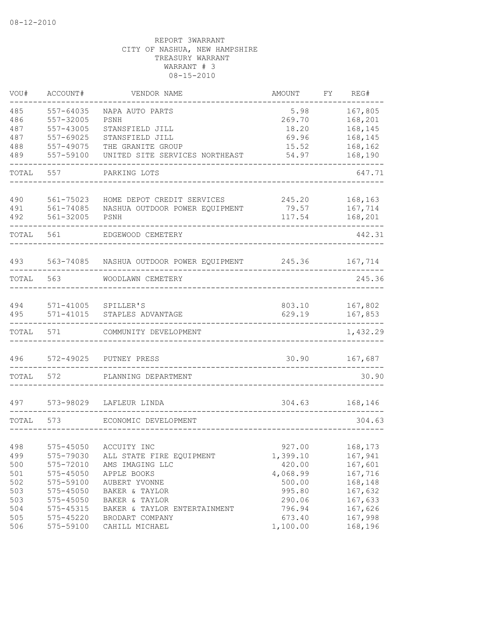| VOU#  | ACCOUNT#      | VENDOR NAME                    | <b>AMOUNT</b> | FΥ | REG#     |
|-------|---------------|--------------------------------|---------------|----|----------|
| 485   | 557-64035     | NAPA AUTO PARTS                | 5.98          |    | 167,805  |
| 486   | 557-32005     | PSNH                           | 269.70        |    | 168,201  |
| 487   | 557-43005     | STANSFIELD JILL                | 18.20         |    | 168,145  |
| 487   | 557-69025     | STANSFIELD JILL                | 69.96         |    | 168,145  |
| 488   | 557-49075     | THE GRANITE GROUP              | 15.52         |    | 168,162  |
| 489   | 557-59100     | UNITED SITE SERVICES NORTHEAST | 54.97         |    | 168,190  |
| TOTAL | 557           | PARKING LOTS                   |               |    | 647.71   |
| 490   | 561-75023     | HOME DEPOT CREDIT SERVICES     | 245.20        |    | 168,163  |
| 491   | $561 - 74085$ | NASHUA OUTDOOR POWER EQUIPMENT | 79.57         |    | 167,714  |
| 492   | 561-32005     | PSNH                           | 117.54        |    | 168,201  |
| TOTAL | 561           | EDGEWOOD CEMETERY              |               |    | 442.31   |
| 493   | 563-74085     | NASHUA OUTDOOR POWER EQUIPMENT | 245.36        |    | 167,714  |
| TOTAL | 563           | WOODLAWN CEMETERY              |               |    | 245.36   |
|       |               |                                |               |    |          |
| 494   | 571-41005     | SPILLER'S                      | 803.10        |    | 167,802  |
| 495   | $571 - 41015$ | STAPLES ADVANTAGE              | 629.19        |    | 167,853  |
| TOTAL | 571           | COMMUNITY DEVELOPMENT          |               |    | 1,432.29 |
| 496   | 572-49025     | PUTNEY PRESS                   | 30.90         |    | 167,687  |
| TOTAL | 572           | PLANNING DEPARTMENT            |               |    | 30.90    |
| 497   | 573-98029     | LAFLEUR LINDA                  | 304.63        |    | 168,146  |
| TOTAL | 573           |                                |               |    | 304.63   |
|       |               | ECONOMIC DEVELOPMENT           |               |    |          |
| 498   | 575-45050     | ACCUITY INC                    | 927.00        |    | 168,173  |
| 499   | 575-79030     | ALL STATE FIRE EQUIPMENT       | 1,399.10      |    | 167,941  |
| 500   | 575-72010     | AMS IMAGING LLC                | 420.00        |    | 167,601  |
| 501   | 575-45050     | APPLE BOOKS                    | 4,068.99      |    | 167,716  |
| 502   | 575-59100     | AUBERT YVONNE                  | 500.00        |    | 168,148  |
| 503   | $575 - 45050$ | BAKER & TAYLOR                 | 995.80        |    | 167,632  |
| 503   | 575-45050     | BAKER & TAYLOR                 | 290.06        |    | 167,633  |
| 504   | 575-45315     | BAKER & TAYLOR ENTERTAINMENT   | 796.94        |    | 167,626  |
| 505   | 575-45220     | BRODART COMPANY                | 673.40        |    | 167,998  |
| 506   | 575-59100     | CAHILL MICHAEL                 | 1,100.00      |    | 168,196  |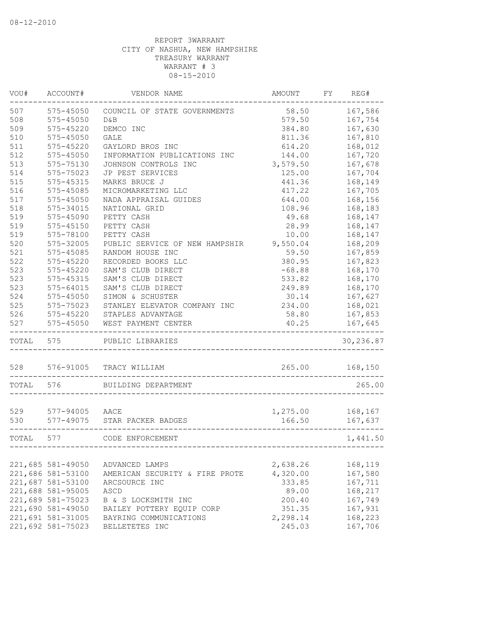| VOU#              | ACCOUNT#          | VENDOR NAME                    | AMOUNT   | FY | REG#      |
|-------------------|-------------------|--------------------------------|----------|----|-----------|
| 507               | $575 - 45050$     | COUNCIL OF STATE GOVERNMENTS   | 58.50    |    | 167,586   |
| 508               | 575-45050         | D&B                            | 579.50   |    | 167,754   |
| 509               | 575-45220         | DEMCO INC                      | 384.80   |    | 167,630   |
| 510               | $575 - 45050$     | GALE                           | 811.36   |    | 167,810   |
| 511               | 575-45220         | GAYLORD BROS INC               | 614.20   |    | 168,012   |
| 512               | $575 - 45050$     | INFORMATION PUBLICATIONS INC   | 144.00   |    | 167,720   |
| 513               | 575-75130         | JOHNSON CONTROLS INC           | 3,579.50 |    | 167,678   |
| 514               | 575-75023         | JP PEST SERVICES               | 125.00   |    | 167,704   |
| 515               | 575-45315         | MARKS BRUCE J                  | 441.36   |    | 168,149   |
| 516               | 575-45085         | MICROMARKETING LLC             | 417.22   |    | 167,705   |
| 517               | $575 - 45050$     | NADA APPRAISAL GUIDES          | 644.00   |    | 168,156   |
| 518               | 575-34015         | NATIONAL GRID                  | 108.96   |    | 168,183   |
| 519               | 575-45090         | PETTY CASH                     | 49.68    |    | 168,147   |
| 519               | 575-45150         | PETTY CASH                     | 28.99    |    | 168,147   |
| 519               | 575-78100         | PETTY CASH                     | 10.00    |    | 168,147   |
| 520               | 575-32005         | PUBLIC SERVICE OF NEW HAMPSHIR | 9,550.04 |    | 168,209   |
| 521               | 575-45085         | RANDOM HOUSE INC               | 59.50    |    | 167,859   |
| 522               | $575 - 45220$     | RECORDED BOOKS LLC             | 380.95   |    | 167,823   |
| 523               | 575-45220         | SAM'S CLUB DIRECT              | $-68.88$ |    | 168,170   |
| 523               | 575-45315         | SAM'S CLUB DIRECT              | 533.82   |    | 168,170   |
| 523               | $575 - 64015$     | SAM'S CLUB DIRECT              | 249.89   |    | 168,170   |
| 524               | 575-45050         | SIMON & SCHUSTER               | 30.14    |    | 167,627   |
| 525               | 575-75023         | STANLEY ELEVATOR COMPANY INC   | 234.00   |    | 168,021   |
| 526               | $575 - 45220$     | STAPLES ADVANTAGE              | 58.80    |    | 167,853   |
| 527               | $575 - 45050$     | WEST PAYMENT CENTER            | 40.25    |    | 167,645   |
| TOTAL             | 575               | PUBLIC LIBRARIES               |          |    | 30,236.87 |
|                   | 528 576-91005     | TRACY WILLIAM                  | 265.00   |    | 168,150   |
|                   |                   |                                |          |    |           |
| TOTAL             | 576               | BUILDING DEPARTMENT            |          |    | 265.00    |
| 529               | 577-94005 AACE    |                                | 1,275.00 |    | 168,167   |
| 530               | 577-49075         | STAR PACKER BADGES             | 166.50   |    | 167,637   |
|                   |                   |                                |          |    |           |
| TOTAL             | 577               | CODE ENFORCEMENT               |          |    | 1,441.50  |
|                   |                   |                                |          |    |           |
|                   | 221,685 581-49050 | ADVANCED LAMPS                 | 2,638.26 |    | 168,119   |
|                   | 221,686 581-53100 | AMERICAN SECURITY & FIRE PROTE | 4,320.00 |    | 167,580   |
|                   | 221,687 581-53100 | ARCSOURCE INC                  | 333.85   |    | 167,711   |
|                   | 221,688 581-95005 | ASCD                           | 89.00    |    | 168,217   |
|                   | 221,689 581-75023 | B & S LOCKSMITH INC            | 200.40   |    | 167,749   |
|                   | 221,690 581-49050 | BAILEY POTTERY EQUIP CORP      | 351.35   |    | 167,931   |
|                   | 221,691 581-31005 | BAYRING COMMUNICATIONS         | 2,298.14 |    | 168,223   |
| 221,692 581-75023 |                   | BELLETETES INC                 | 245.03   |    | 167,706   |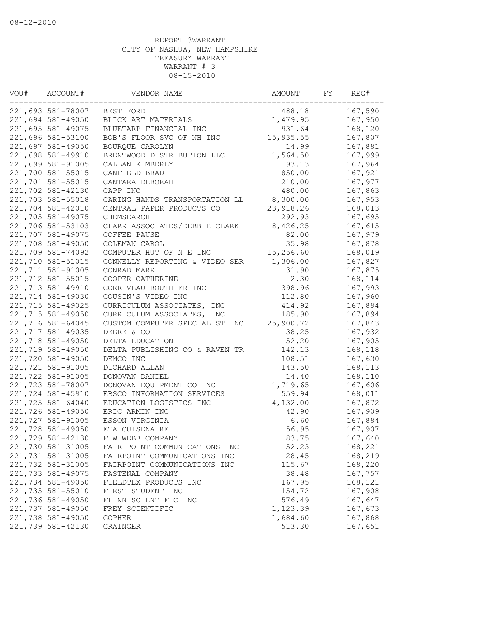| 221,693 581-78007<br>488.18<br>BEST FORD<br>221,694 581-49050<br>BLICK ART MATERIALS<br>1,479.95<br>221,695 581-49075<br>BLUETARP FINANCIAL INC<br>931.64<br>15,935.55<br>221,696 581-53100<br>BOB'S FLOOR SVC OF NH INC<br>221,697 581-49050<br>BOURQUE CAROLYN<br>14.99<br>221,698 581-49910<br>1,564.50<br>BRENTWOOD DISTRIBUTION LLC | 167,590<br>167,950<br>168,120<br>167,807<br>167,881<br>167,999<br>167,964<br>167,921<br>167,977 |
|------------------------------------------------------------------------------------------------------------------------------------------------------------------------------------------------------------------------------------------------------------------------------------------------------------------------------------------|-------------------------------------------------------------------------------------------------|
|                                                                                                                                                                                                                                                                                                                                          |                                                                                                 |
|                                                                                                                                                                                                                                                                                                                                          |                                                                                                 |
|                                                                                                                                                                                                                                                                                                                                          |                                                                                                 |
|                                                                                                                                                                                                                                                                                                                                          |                                                                                                 |
|                                                                                                                                                                                                                                                                                                                                          |                                                                                                 |
|                                                                                                                                                                                                                                                                                                                                          |                                                                                                 |
| 221,699 581-91005<br>93.13<br>CALLAN KIMBERLY                                                                                                                                                                                                                                                                                            |                                                                                                 |
| 221,700 581-55015<br>850.00<br>CANFIELD BRAD                                                                                                                                                                                                                                                                                             |                                                                                                 |
| 221,701 581-55015<br>210.00<br>CANTARA DEBORAH                                                                                                                                                                                                                                                                                           |                                                                                                 |
| 221,702 581-42130<br>480.00<br>CAPP INC                                                                                                                                                                                                                                                                                                  | 167,863                                                                                         |
| 221,703 581-55018<br>8,300.00<br>CARING HANDS TRANSPORTATION LL                                                                                                                                                                                                                                                                          | 167,953                                                                                         |
| 221,704 581-42010<br>CENTRAL PAPER PRODUCTS CO<br>23, 918.26                                                                                                                                                                                                                                                                             | 168,013                                                                                         |
| 292.93<br>221,705 581-49075<br>CHEMSEARCH                                                                                                                                                                                                                                                                                                | 167,695                                                                                         |
| 221,706 581-53103<br>CLARK ASSOCIATES/DEBBIE CLARK<br>8,426.25                                                                                                                                                                                                                                                                           | 167,615                                                                                         |
| 221,707 581-49075<br>82.00<br>COFFEE PAUSE                                                                                                                                                                                                                                                                                               | 167,979                                                                                         |
| 221,708 581-49050<br>35.98<br>COLEMAN CAROL                                                                                                                                                                                                                                                                                              | 167,878                                                                                         |
| 15,256.60<br>221,709 581-74092<br>COMPUTER HUT OF N E INC                                                                                                                                                                                                                                                                                | 168,019                                                                                         |
| 221,710 581-51015<br>1,306.00<br>CONNELLY REPORTING & VIDEO SER                                                                                                                                                                                                                                                                          | 167,827                                                                                         |
| 221,711 581-91005<br>CONRAD MARK<br>31.90                                                                                                                                                                                                                                                                                                | 167,875                                                                                         |
| 221,712 581-55015<br>2.30<br>COOPER CATHERINE                                                                                                                                                                                                                                                                                            | 168,114                                                                                         |
| 398.96<br>221,713 581-49910<br>CORRIVEAU ROUTHIER INC                                                                                                                                                                                                                                                                                    | 167,993                                                                                         |
| 112.80<br>221,714 581-49030<br>COUSIN'S VIDEO INC                                                                                                                                                                                                                                                                                        | 167,960                                                                                         |
| 221,715 581-49025<br>CURRICULUM ASSOCIATES, INC<br>414.92                                                                                                                                                                                                                                                                                | 167,894                                                                                         |
| 221,715 581-49050<br>CURRICULUM ASSOCIATES, INC<br>185.90                                                                                                                                                                                                                                                                                | 167,894                                                                                         |
| 221,716 581-64045<br>CUSTOM COMPUTER SPECIALIST INC<br>25,900.72                                                                                                                                                                                                                                                                         | 167,843                                                                                         |
| 221,717 581-49035<br>38.25<br>DEERE & CO                                                                                                                                                                                                                                                                                                 | 167,932                                                                                         |
| 221,718 581-49050<br>DELTA EDUCATION<br>52.20                                                                                                                                                                                                                                                                                            | 167,905                                                                                         |
| 221,719 581-49050<br>DELTA PUBLISHING CO & RAVEN TR<br>142.13                                                                                                                                                                                                                                                                            | 168,118                                                                                         |
| 221,720 581-49050<br>DEMCO INC<br>108.51                                                                                                                                                                                                                                                                                                 | 167,630                                                                                         |
| 221,721 581-91005<br>DICHARD ALLAN<br>143.50                                                                                                                                                                                                                                                                                             | 168,113                                                                                         |
| 221,722 581-91005<br>DONOVAN DANIEL<br>14.40                                                                                                                                                                                                                                                                                             | 168,110                                                                                         |
| 221,723 581-78007<br>1,719.65<br>DONOVAN EQUIPMENT CO INC                                                                                                                                                                                                                                                                                | 167,606                                                                                         |
| 559.94<br>221,724 581-45910<br>EBSCO INFORMATION SERVICES                                                                                                                                                                                                                                                                                | 168,011                                                                                         |
| 221,725 581-64040<br>EDUCATION LOGISTICS INC<br>4,132.00                                                                                                                                                                                                                                                                                 | 167,872                                                                                         |
| 221,726 581-49050<br>42.90<br>ERIC ARMIN INC                                                                                                                                                                                                                                                                                             | 167,909                                                                                         |
| 221,727 581-91005<br>6.60<br>ESSON VIRGINIA                                                                                                                                                                                                                                                                                              | 167,884                                                                                         |
| 221,728 581-49050<br>ETA CUISENAIRE<br>56.95                                                                                                                                                                                                                                                                                             | 167,907                                                                                         |
| 83.75<br>221,729 581-42130<br>F W WEBB COMPANY                                                                                                                                                                                                                                                                                           | 167,640                                                                                         |
| 221,730 581-31005<br>52.23<br>FAIR POINT COMMUNICATIONS INC                                                                                                                                                                                                                                                                              | 168,221                                                                                         |
| 221,731 581-31005<br>28.45<br>FAIRPOINT COMMUNICATIONS INC                                                                                                                                                                                                                                                                               | 168,219                                                                                         |
| 221,732 581-31005<br>FAIRPOINT COMMUNICATIONS INC<br>115.67                                                                                                                                                                                                                                                                              | 168,220                                                                                         |
| 221,733 581-49075<br>38.48<br>FASTENAL COMPANY                                                                                                                                                                                                                                                                                           | 167,757                                                                                         |
| 221,734 581-49050<br>FIELDTEX PRODUCTS INC<br>167.95                                                                                                                                                                                                                                                                                     | 168,121                                                                                         |
| 221,735 581-55010<br>FIRST STUDENT INC<br>154.72                                                                                                                                                                                                                                                                                         | 167,908                                                                                         |
| 221,736 581-49050<br>576.49<br>FLINN SCIENTIFIC INC                                                                                                                                                                                                                                                                                      | 167,647                                                                                         |
| 221,737 581-49050<br>1,123.39<br>FREY SCIENTIFIC                                                                                                                                                                                                                                                                                         | 167,673                                                                                         |
| 221,738 581-49050<br>1,684.60<br><b>GOPHER</b>                                                                                                                                                                                                                                                                                           | 167,868                                                                                         |
| 221,739 581-42130<br>513.30<br>GRAINGER                                                                                                                                                                                                                                                                                                  | 167,651                                                                                         |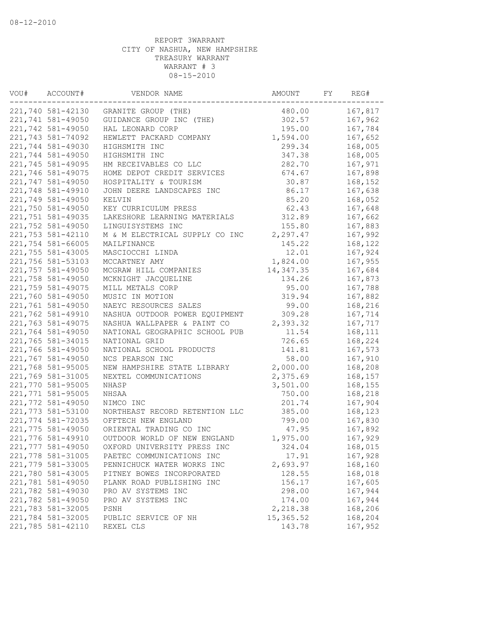| VOU# | ACCOUNT#          | VENDOR NAME                              | AMOUNT             |  | REG#    |
|------|-------------------|------------------------------------------|--------------------|--|---------|
|      | 221,740 581-42130 | GRANITE GROUP (THE)                      | 480.00             |  | 167,817 |
|      | 221,741 581-49050 | GUIDANCE GROUP INC (THE)                 | 302.57             |  | 167,962 |
|      | 221,742 581-49050 | HAL LEONARD CORP                         | 195.00             |  | 167,784 |
|      | 221,743 581-74092 | HEWLETT PACKARD COMPANY                  | 1,594.00           |  | 167,652 |
|      | 221,744 581-49030 | HIGHSMITH INC                            | 299.34             |  | 168,005 |
|      | 221,744 581-49050 | HIGHSMITH INC                            | 347.38             |  | 168,005 |
|      | 221,745 581-49095 | HM RECEIVABLES CO LLC                    | 282.70             |  | 167,971 |
|      | 221,746 581-49075 | HOME DEPOT CREDIT SERVICES               | 674.67             |  | 167,898 |
|      | 221,747 581-49050 | HOSPITALITY & TOURISM                    | 30.87              |  | 168,152 |
|      | 221,748 581-49910 | JOHN DEERE LANDSCAPES INC                | 86.17              |  | 167,638 |
|      | 221,749 581-49050 | KELVIN                                   | 85.20              |  | 168,052 |
|      | 221,750 581-49050 | KEY CURRICULUM PRESS                     | 62.43              |  | 167,648 |
|      | 221,751 581-49035 | LAKESHORE LEARNING MATERIALS             | 312.89             |  | 167,662 |
|      | 221,752 581-49050 | LINGUISYSTEMS INC                        | 155.80             |  | 167,883 |
|      | 221,753 581-42110 | M & M ELECTRICAL SUPPLY CO INC           | 2,297.47           |  | 167,992 |
|      | 221,754 581-66005 | MAILFINANCE                              | 145.22             |  | 168,122 |
|      | 221,755 581-43005 | MASCIOCCHI LINDA                         | 12.01              |  | 167,924 |
|      | 221,756 581-53103 | MCCARTNEY AMY                            | 1,824.00           |  | 167,955 |
|      | 221,757 581-49050 | MCGRAW HILL COMPANIES                    | 14, 347.35         |  | 167,684 |
|      | 221,758 581-49050 | MCKNIGHT JACQUELINE                      | 134.26             |  | 167,873 |
|      | 221,759 581-49075 | MILL METALS CORP                         | 95.00              |  | 167,788 |
|      | 221,760 581-49050 | MUSIC IN MOTION                          | 319.94             |  | 167,882 |
|      | 221,761 581-49050 | NAEYC RESOURCES SALES                    | 99.00              |  | 168,216 |
|      | 221,762 581-49910 | NASHUA OUTDOOR POWER EQUIPMENT           | 309.28             |  | 167,714 |
|      | 221,763 581-49075 | NASHUA WALLPAPER & PAINT CO              | 2,393.32           |  | 167,717 |
|      | 221,764 581-49050 | NATIONAL GEOGRAPHIC SCHOOL PUB           | 11.54              |  | 168,111 |
|      | 221,765 581-34015 | NATIONAL GRID                            | 726.65             |  | 168,224 |
|      | 221,766 581-49050 | NATIONAL SCHOOL PRODUCTS                 | 141.81             |  | 167,573 |
|      | 221,767 581-49050 | NCS PEARSON INC                          | 58.00              |  | 167,910 |
|      | 221,768 581-95005 | NEW HAMPSHIRE STATE LIBRARY              | 2,000.00           |  | 168,208 |
|      | 221,769 581-31005 | NEXTEL COMMUNICATIONS                    | 2,375.69           |  | 168,157 |
|      | 221,770 581-95005 | NHASP                                    | 3,501.00           |  | 168,155 |
|      | 221,771 581-95005 | NHSAA                                    | 750.00             |  | 168,218 |
|      | 221,772 581-49050 | NIMCO INC                                | 201.74             |  | 167,904 |
|      | 221,773 581-53100 | NORTHEAST RECORD RETENTION LLC           | 385.00             |  | 168,123 |
|      | 221,774 581-72035 | OFFTECH NEW ENGLAND                      | 799.00             |  | 167,830 |
|      | 221,775 581-49050 | ORIENTAL TRADING CO INC                  | 47.95              |  | 167,892 |
|      | 221,776 581-49910 | OUTDOOR WORLD OF NEW ENGLAND             | 1,975.00           |  | 167,929 |
|      | 221,777 581-49050 | OXFORD UNIVERSITY PRESS INC              | 324.04             |  | 168,015 |
|      | 221,778 581-31005 | PAETEC COMMUNICATIONS INC                | 17.91              |  | 167,928 |
|      | 221,779 581-33005 | PENNICHUCK WATER WORKS INC               | 2,693.97           |  | 168,160 |
|      | 221,780 581-43005 | PITNEY BOWES INCORPORATED                | 128.55             |  | 168,018 |
|      | 221,781 581-49050 | PLANK ROAD PUBLISHING INC                | 156.17             |  | 167,605 |
|      | 221,782 581-49030 |                                          |                    |  | 167,944 |
|      | 221,782 581-49050 | PRO AV SYSTEMS INC<br>PRO AV SYSTEMS INC | 298.00             |  | 167,944 |
|      | 221,783 581-32005 | PSNH                                     | 174.00<br>2,218.38 |  | 168,206 |
|      | 221,784 581-32005 | PUBLIC SERVICE OF NH                     | 15, 365.52         |  | 168,204 |
|      | 221,785 581-42110 | REXEL CLS                                | 143.78             |  | 167,952 |
|      |                   |                                          |                    |  |         |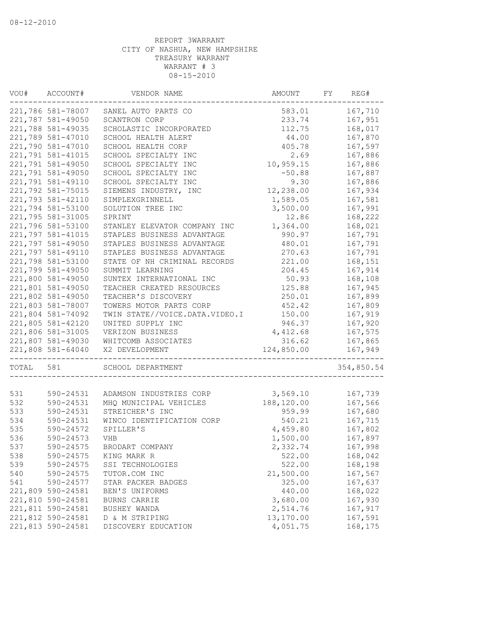| VOU#  | ACCOUNT#          | VENDOR NAME                    | AMOUNT     |  | REG#       |  |
|-------|-------------------|--------------------------------|------------|--|------------|--|
|       | 221,786 581-78007 | SANEL AUTO PARTS CO            | 583.01     |  | 167,710    |  |
|       | 221,787 581-49050 | SCANTRON CORP                  | 233.74     |  | 167,951    |  |
|       | 221,788 581-49035 | SCHOLASTIC INCORPORATED        | 112.75     |  | 168,017    |  |
|       | 221,789 581-47010 | SCHOOL HEALTH ALERT            | 44.00      |  | 167,870    |  |
|       | 221,790 581-47010 | SCHOOL HEALTH CORP             | 405.78     |  | 167,597    |  |
|       | 221,791 581-41015 | SCHOOL SPECIALTY INC           | 2.69       |  | 167,886    |  |
|       | 221,791 581-49050 | SCHOOL SPECIALTY INC           | 10,959.15  |  | 167,886    |  |
|       | 221,791 581-49050 | SCHOOL SPECIALTY INC           | $-50.88$   |  | 167,887    |  |
|       | 221,791 581-49110 | SCHOOL SPECIALTY INC           | 9.30       |  | 167,886    |  |
|       | 221,792 581-75015 | SIEMENS INDUSTRY, INC          | 12,238.00  |  | 167,934    |  |
|       | 221,793 581-42110 | SIMPLEXGRINNELL                | 1,589.05   |  | 167,581    |  |
|       | 221,794 581-53100 | SOLUTION TREE INC              | 3,500.00   |  | 167,991    |  |
|       | 221,795 581-31005 | SPRINT                         | 12.86      |  | 168,222    |  |
|       | 221,796 581-53100 | STANLEY ELEVATOR COMPANY INC   | 1,364.00   |  | 168,021    |  |
|       | 221,797 581-41015 | STAPLES BUSINESS ADVANTAGE     | 990.97     |  | 167,791    |  |
|       | 221,797 581-49050 | STAPLES BUSINESS ADVANTAGE     | 480.01     |  | 167,791    |  |
|       | 221,797 581-49110 | STAPLES BUSINESS ADVANTAGE     | 270.63     |  | 167,791    |  |
|       | 221,798 581-53100 | STATE OF NH CRIMINAL RECORDS   | 221.00     |  | 168,151    |  |
|       | 221,799 581-49050 | SUMMIT LEARNING                | 204.45     |  | 167,914    |  |
|       | 221,800 581-49050 | SUNTEX INTERNATIONAL INC       | 50.93      |  | 168,108    |  |
|       | 221,801 581-49050 | TEACHER CREATED RESOURCES      | 125.88     |  | 167,945    |  |
|       | 221,802 581-49050 | TEACHER'S DISCOVERY            | 250.01     |  | 167,899    |  |
|       | 221,803 581-78007 | TOWERS MOTOR PARTS CORP        | 452.42     |  | 167,809    |  |
|       | 221,804 581-74092 | TWIN STATE//VOICE.DATA.VIDEO.I | 150.00     |  | 167,919    |  |
|       | 221,805 581-42120 | UNITED SUPPLY INC              | 946.37     |  | 167,920    |  |
|       | 221,806 581-31005 | VERIZON BUSINESS               | 4,412.68   |  | 167,575    |  |
|       | 221,807 581-49030 | WHITCOMB ASSOCIATES            | 316.62     |  | 167,865    |  |
|       | 221,808 581-64040 | X2 DEVELOPMENT                 | 124,850.00 |  | 167,949    |  |
|       |                   |                                |            |  |            |  |
| TOTAL | 581               | SCHOOL DEPARTMENT              |            |  | 354,850.54 |  |
|       |                   |                                |            |  |            |  |
| 531   | 590-24531         | ADAMSON INDUSTRIES CORP        | 3,569.10   |  | 167,739    |  |
| 532   | 590-24531         | MHQ MUNICIPAL VEHICLES         | 188,120.00 |  | 167,566    |  |
| 533   | 590-24531         | STREICHER'S INC                | 959.99     |  | 167,680    |  |
| 534   | 590-24531         | WINCO IDENTIFICATION CORP      | 540.21     |  | 167,715    |  |
| 535   | 590-24572         | SPILLER'S                      | 4,459.80   |  | 167,802    |  |
| 536   | 590-24573         | VHB                            | 1,500.00   |  | 167,897    |  |
| 537   | 590-24575         | BRODART COMPANY                | 2,332.74   |  | 167,998    |  |
| 538   | 590-24575         | KING MARK R                    | 522.00     |  | 168,042    |  |
| 539   | 590-24575         | SSI TECHNOLOGIES               | 522.00     |  | 168,198    |  |
| 540   | 590-24575         | TUTOR.COM INC                  | 21,500.00  |  | 167,567    |  |
| 541   | 590-24577         | STAR PACKER BADGES             | 325.00     |  | 167,637    |  |
|       | 221,809 590-24581 | BEN'S UNIFORMS                 | 440.00     |  | 168,022    |  |
|       | 221,810 590-24581 | BURNS CARRIE                   | 3,680.00   |  | 167,930    |  |
|       | 221,811 590-24581 | BUSHEY WANDA                   | 2,514.76   |  | 167,917    |  |
|       | 221,812 590-24581 | D & M STRIPING                 | 13,170.00  |  | 167,591    |  |
|       | 221,813 590-24581 | DISCOVERY EDUCATION            | 4,051.75   |  | 168,175    |  |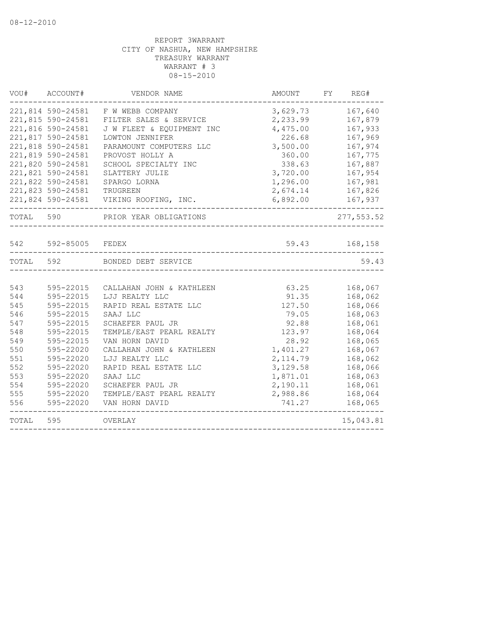| VOU#      | ACCOUNT#          | VENDOR NAME               | <b>AMOUNT</b> | FY<br>REG#  |
|-----------|-------------------|---------------------------|---------------|-------------|
|           | 221,814 590-24581 | F W WEBB COMPANY          | 3,629.73      | 167,640     |
|           | 221,815 590-24581 | FILTER SALES & SERVICE    | 2,233.99      | 167,879     |
|           | 221,816 590-24581 | J W FLEET & EQUIPMENT INC | 4,475.00      | 167,933     |
|           | 221,817 590-24581 | LOWTON JENNIFER           | 226.68        | 167,969     |
|           | 221,818 590-24581 | PARAMOUNT COMPUTERS LLC   | 3,500.00      | 167,974     |
|           | 221,819 590-24581 | PROVOST HOLLY A           | 360.00        | 167,775     |
|           | 221,820 590-24581 | SCHOOL SPECIALTY INC      | 338.63        | 167,887     |
|           | 221,821 590-24581 | SLATTERY JULIE            | 3,720.00      | 167,954     |
|           | 221,822 590-24581 | SPARGO LORNA              | 1,296.00      | 167,981     |
|           | 221,823 590-24581 | TRUGREEN                  | 2,674.14      | 167,826     |
|           | 221,824 590-24581 | VIKING ROOFING, INC.      | 6,892.00      | 167,937     |
| TOTAL 590 |                   | PRIOR YEAR OBLIGATIONS    |               | 277, 553.52 |
|           |                   |                           |               |             |
| 542       | 592-85005         | FEDEX                     | 59.43         | 168,158     |
| TOTAL 592 |                   | BONDED DEBT SERVICE       |               | 59.43       |
|           |                   |                           |               |             |
| 543       | 595-22015         | CALLAHAN JOHN & KATHLEEN  | 63.25         | 168,067     |
| 544       | 595-22015         | LJJ REALTY LLC            | 91.35         | 168,062     |
| 545       | 595-22015         | RAPID REAL ESTATE LLC     | 127.50        | 168,066     |
| 546       | 595-22015         | SAAJ LLC                  | 79.05         | 168,063     |
| 547       | 595-22015         | SCHAEFER PAUL JR          | 92.88         | 168,061     |
| 548       | 595-22015         | TEMPLE/EAST PEARL REALTY  | 123.97        | 168,064     |
| 549       | 595-22015         | VAN HORN DAVID            | 28.92         | 168,065     |
| 550       | 595-22020         | CALLAHAN JOHN & KATHLEEN  | 1,401.27      | 168,067     |
| 551       | 595-22020         | LJJ REALTY LLC            | 2, 114.79     | 168,062     |
| 552       | 595-22020         | RAPID REAL ESTATE LLC     | 3,129.58      | 168,066     |
| 553       | 595-22020         | SAAJ LLC                  | 1,871.01      | 168,063     |
| 554       | 595-22020         | SCHAEFER PAUL JR          | 2,190.11      | 168,061     |
| 555       | 595-22020         | TEMPLE/EAST PEARL REALTY  | 2,988.86      | 168,064     |
| 556       | 595-22020         | VAN HORN DAVID            | 741.27        | 168,065     |
| TOTAL     | 595               | OVERLAY                   |               | 15,043.81   |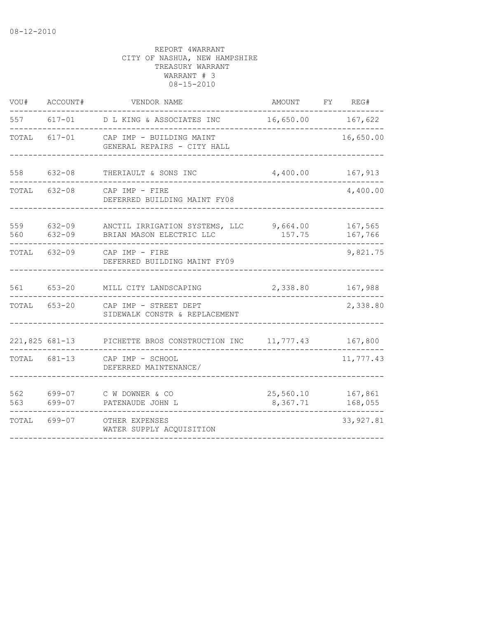| VOU#       | ACCOUNT#             | VENDOR NAME                                                         | AMOUNT FY REG#        |  |                    |  |
|------------|----------------------|---------------------------------------------------------------------|-----------------------|--|--------------------|--|
| 557        |                      | 617-01 D L KING & ASSOCIATES INC 16,650.00 167,622                  |                       |  |                    |  |
| TOTAL      |                      | 617-01 CAP IMP - BUILDING MAINT<br>GENERAL REPAIRS - CITY HALL      |                       |  | 16,650.00          |  |
| 558        | $632 - 08$           | THERIAULT & SONS INC                                                | 4,400.00              |  | 167,913            |  |
| TOTAL      | $632 - 08$           | CAP IMP - FIRE<br>DEFERRED BUILDING MAINT FY08                      |                       |  | 4,400.00           |  |
| 559<br>560 | 632-09<br>$632 - 09$ | ANCTIL IRRIGATION SYSTEMS, LLC 9,664.00<br>BRIAN MASON ELECTRIC LLC | 157.75                |  | 167,565<br>167,766 |  |
| TOTAL      | $632 - 09$           | CAP IMP - FIRE<br>DEFERRED BUILDING MAINT FY09                      |                       |  | 9,821.75           |  |
|            | 561 653-20           | MILL CITY LANDSCAPING                                               | 2,338.80              |  | 167,988            |  |
| TOTAL      | $653 - 20$           | CAP IMP - STREET DEPT<br>SIDEWALK CONSTR & REPLACEMENT              |                       |  | 2,338.80           |  |
|            |                      | 221,825 681-13 PICHETTE BROS CONSTRUCTION INC 11,777.43 167,800     |                       |  |                    |  |
|            | TOTAL 681-13         | CAP IMP - SCHOOL<br>DEFERRED MAINTENANCE/                           |                       |  | 11,777.43          |  |
| 562<br>563 | 699-07               | 699-07 C W DOWNER & CO<br>PATENAUDE JOHN L                          | 25,560.10<br>8,367.71 |  | 167,861<br>168,055 |  |
| TOTAL      | 699-07               | OTHER EXPENSES<br>WATER SUPPLY ACOUISITION                          |                       |  | 33, 927.81         |  |
|            |                      |                                                                     |                       |  |                    |  |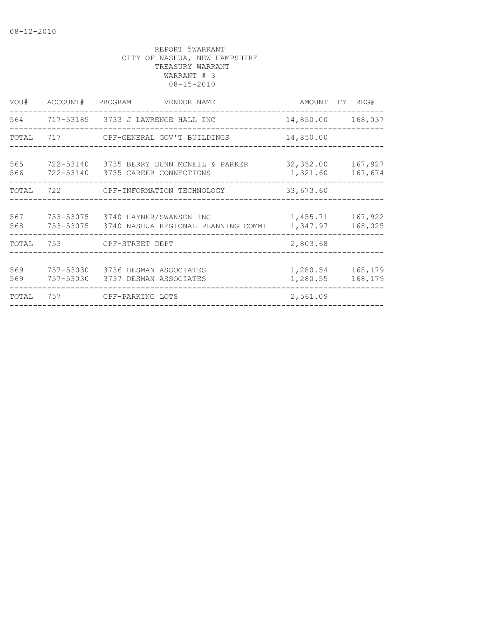| VOU#       | ACCOUNT# PROGRAM | VENDOR NAME                                                                        |                       | AMOUNT FY REG#     |
|------------|------------------|------------------------------------------------------------------------------------|-----------------------|--------------------|
|            |                  | 564 717-53185 3733 J LAWRENCE HALL INC                                             |                       | 14,850.00 168,037  |
| TOTAL      |                  | 717 CPF-GENERAL GOV'T BUILDINGS                                                    | 14,850.00             |                    |
| 565<br>566 |                  | 722-53140 3735 BERRY DUNN MCNEIL & PARKER<br>722-53140 3735 CAREER CONNECTIONS     | 32,352.00<br>1,321.60 | 167,927<br>167,674 |
| TOTAL      |                  | 722 CPF-INFORMATION TECHNOLOGY                                                     | 33,673.60             |                    |
| 567<br>568 |                  | 753-53075 3740 HAYNER/SWANSON INC<br>753-53075 3740 NASHUA REGIONAL PLANNING COMMI | 1,455.71<br>1,347.97  | 167,922<br>168,025 |
| TOTAL      |                  | 753 CPF-STREET DEPT                                                                | 2,803.68              |                    |
| 569<br>569 | 757-53030        | 757-53030 3736 DESMAN ASSOCIATES<br>3737 DESMAN ASSOCIATES                         | 1,280.54<br>1,280.55  | 168,179<br>168,179 |
| TOTAL      | 757              | CPF-PARKING LOTS                                                                   | 2,561.09              |                    |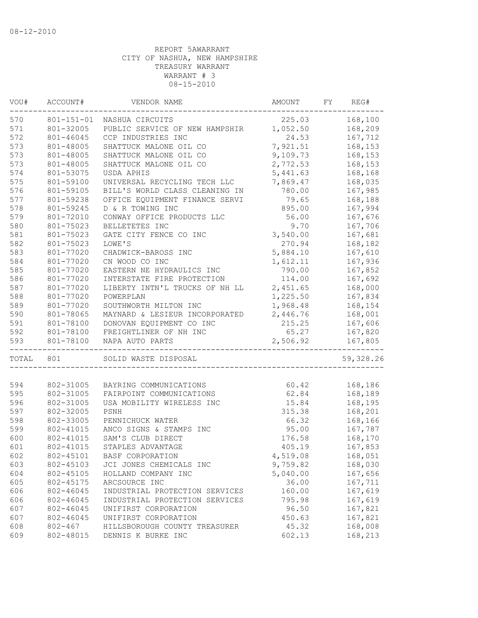| 225.03<br>168,100<br>$801 - 151 - 01$<br>NASHUA CIRCUITS<br>801-32005<br>PUBLIC SERVICE OF NEW HAMPSHIR<br>1,052.50<br>168,209<br>801-46045<br>CCP INDUSTRIES INC<br>24.53<br>167,712<br>7,921.51<br>801-48005<br>SHATTUCK MALONE OIL CO<br>168,153<br>801-48005<br>SHATTUCK MALONE OIL CO<br>9,109.73<br>168,153<br>2,772.53<br>801-48005<br>SHATTUCK MALONE OIL CO<br>168,153<br>801-53075<br>5,441.63<br>168,168<br>USDA APHIS<br>7,869.47<br>801-59100<br>168,035<br>UNIVERSAL RECYCLING TECH LLC<br>801-59105<br>BILL'S WORLD CLASS CLEANING IN<br>780.00<br>167,985<br>801-59238<br>79.65<br>168,188<br>OFFICE EQUIPMENT FINANCE SERVI<br>801-59245<br>D & R TOWING INC<br>895.00<br>167,994<br>56.00<br>167,676<br>801-72010<br>CONWAY OFFICE PRODUCTS LLC<br>580<br>9.70<br>801-75023<br>BELLETETES INC<br>167,706<br>581<br>801-75023<br>GATE CITY FENCE CO INC<br>3,540.00<br>167,681<br>582<br>270.94<br>168,182<br>801-75023<br>LOWE'S<br>583<br>5,884.10<br>801-77020<br>CHADWICK-BAROSS INC<br>167,610<br>584<br>1,612.11<br>167,936<br>801-77020<br>CN WOOD CO INC<br>585<br>801-77020<br>EASTERN NE HYDRAULICS INC<br>790.00<br>167,852<br>586<br>801-77020<br>114.00<br>167,692<br>INTERSTATE FIRE PROTECTION<br>587<br>801-77020<br>LIBERTY INTN'L TRUCKS OF NH LL<br>2,451.65<br>168,000<br>588<br>1,225.50<br>801-77020<br>POWERPLAN<br>167,834<br>589<br>1,968.48<br>801-77020<br>SOUTHWORTH MILTON INC<br>168,154<br>590<br>801-78065<br>2,446.76<br>168,001<br>MAYNARD & LESIEUR INCORPORATED<br>591<br>801-78100<br>215.25<br>167,606<br>DONOVAN EQUIPMENT CO INC<br>592<br>801-78100<br>65.27<br>FREIGHTLINER OF NH INC<br>167,820<br>801-78100<br>2,506.92<br>167,805<br>NAPA AUTO PARTS<br>_______________<br>801<br>SOLID WASTE DISPOSAL<br>802-31005<br>60.42<br>BAYRING COMMUNICATIONS<br>168,186<br>802-31005<br>62.84<br>168,189<br>FAIRPOINT COMMUNICATIONS<br>802-31005<br>15.84<br>168,195<br>USA MOBILITY WIRELESS INC<br>802-32005<br>168,201<br>315.38<br>PSNH<br>802-33005<br>66.32<br>168,166<br>PENNICHUCK WATER<br>95.00<br>802-41015<br>ANCO SIGNS & STAMPS INC<br>167,787<br>SAM'S CLUB DIRECT<br>168,170<br>802-41015<br>176.58<br>802-41015<br>STAPLES ADVANTAGE<br>405.19<br>167,853<br>802-45101<br>BASF CORPORATION<br>4,519.08<br>168,051<br>802-45103<br>JCI JONES CHEMICALS INC<br>9,759.82<br>168,030<br>604<br>802-45105<br>5,040.00<br>167,656<br>HOLLAND COMPANY INC<br>36.00<br>802-45175<br>167,711<br>ARCSOURCE INC<br>606<br>167,619<br>802-46045<br>INDUSTRIAL PROTECTION SERVICES<br>160.00<br>606<br>802-46045<br>795.98<br>167,619<br>INDUSTRIAL PROTECTION SERVICES<br>607<br>802-46045<br>96.50<br>167,821<br>UNIFIRST CORPORATION<br>607<br>450.63<br>167,821<br>802-46045<br>UNIFIRST CORPORATION<br>608<br>$802 - 467$<br>45.32<br>168,008<br>HILLSBOROUGH COUNTY TREASURER<br>609<br>802-48015<br>DENNIS K BURKE INC<br>602.13<br>168,213 | VOU#<br>ACCOUNT# |  | VENDOR NAME |  | AMOUNT<br>FY |           |
|-----------------------------------------------------------------------------------------------------------------------------------------------------------------------------------------------------------------------------------------------------------------------------------------------------------------------------------------------------------------------------------------------------------------------------------------------------------------------------------------------------------------------------------------------------------------------------------------------------------------------------------------------------------------------------------------------------------------------------------------------------------------------------------------------------------------------------------------------------------------------------------------------------------------------------------------------------------------------------------------------------------------------------------------------------------------------------------------------------------------------------------------------------------------------------------------------------------------------------------------------------------------------------------------------------------------------------------------------------------------------------------------------------------------------------------------------------------------------------------------------------------------------------------------------------------------------------------------------------------------------------------------------------------------------------------------------------------------------------------------------------------------------------------------------------------------------------------------------------------------------------------------------------------------------------------------------------------------------------------------------------------------------------------------------------------------------------------------------------------------------------------------------------------------------------------------------------------------------------------------------------------------------------------------------------------------------------------------------------------------------------------------------------------------------------------------------------------------------------------------------------------------------------------------------------------------------------------------------------------------------------------------------------------------------------------------------------------------------------------------------------------------------------------------------------------------------------------------------------------------------------------------------------------------|------------------|--|-------------|--|--------------|-----------|
|                                                                                                                                                                                                                                                                                                                                                                                                                                                                                                                                                                                                                                                                                                                                                                                                                                                                                                                                                                                                                                                                                                                                                                                                                                                                                                                                                                                                                                                                                                                                                                                                                                                                                                                                                                                                                                                                                                                                                                                                                                                                                                                                                                                                                                                                                                                                                                                                                                                                                                                                                                                                                                                                                                                                                                                                                                                                                                                 | 570              |  |             |  |              |           |
|                                                                                                                                                                                                                                                                                                                                                                                                                                                                                                                                                                                                                                                                                                                                                                                                                                                                                                                                                                                                                                                                                                                                                                                                                                                                                                                                                                                                                                                                                                                                                                                                                                                                                                                                                                                                                                                                                                                                                                                                                                                                                                                                                                                                                                                                                                                                                                                                                                                                                                                                                                                                                                                                                                                                                                                                                                                                                                                 | 571              |  |             |  |              |           |
|                                                                                                                                                                                                                                                                                                                                                                                                                                                                                                                                                                                                                                                                                                                                                                                                                                                                                                                                                                                                                                                                                                                                                                                                                                                                                                                                                                                                                                                                                                                                                                                                                                                                                                                                                                                                                                                                                                                                                                                                                                                                                                                                                                                                                                                                                                                                                                                                                                                                                                                                                                                                                                                                                                                                                                                                                                                                                                                 | 572              |  |             |  |              |           |
|                                                                                                                                                                                                                                                                                                                                                                                                                                                                                                                                                                                                                                                                                                                                                                                                                                                                                                                                                                                                                                                                                                                                                                                                                                                                                                                                                                                                                                                                                                                                                                                                                                                                                                                                                                                                                                                                                                                                                                                                                                                                                                                                                                                                                                                                                                                                                                                                                                                                                                                                                                                                                                                                                                                                                                                                                                                                                                                 | 573              |  |             |  |              |           |
|                                                                                                                                                                                                                                                                                                                                                                                                                                                                                                                                                                                                                                                                                                                                                                                                                                                                                                                                                                                                                                                                                                                                                                                                                                                                                                                                                                                                                                                                                                                                                                                                                                                                                                                                                                                                                                                                                                                                                                                                                                                                                                                                                                                                                                                                                                                                                                                                                                                                                                                                                                                                                                                                                                                                                                                                                                                                                                                 | 573              |  |             |  |              |           |
|                                                                                                                                                                                                                                                                                                                                                                                                                                                                                                                                                                                                                                                                                                                                                                                                                                                                                                                                                                                                                                                                                                                                                                                                                                                                                                                                                                                                                                                                                                                                                                                                                                                                                                                                                                                                                                                                                                                                                                                                                                                                                                                                                                                                                                                                                                                                                                                                                                                                                                                                                                                                                                                                                                                                                                                                                                                                                                                 | 573              |  |             |  |              |           |
|                                                                                                                                                                                                                                                                                                                                                                                                                                                                                                                                                                                                                                                                                                                                                                                                                                                                                                                                                                                                                                                                                                                                                                                                                                                                                                                                                                                                                                                                                                                                                                                                                                                                                                                                                                                                                                                                                                                                                                                                                                                                                                                                                                                                                                                                                                                                                                                                                                                                                                                                                                                                                                                                                                                                                                                                                                                                                                                 | 574              |  |             |  |              |           |
|                                                                                                                                                                                                                                                                                                                                                                                                                                                                                                                                                                                                                                                                                                                                                                                                                                                                                                                                                                                                                                                                                                                                                                                                                                                                                                                                                                                                                                                                                                                                                                                                                                                                                                                                                                                                                                                                                                                                                                                                                                                                                                                                                                                                                                                                                                                                                                                                                                                                                                                                                                                                                                                                                                                                                                                                                                                                                                                 | 575              |  |             |  |              |           |
|                                                                                                                                                                                                                                                                                                                                                                                                                                                                                                                                                                                                                                                                                                                                                                                                                                                                                                                                                                                                                                                                                                                                                                                                                                                                                                                                                                                                                                                                                                                                                                                                                                                                                                                                                                                                                                                                                                                                                                                                                                                                                                                                                                                                                                                                                                                                                                                                                                                                                                                                                                                                                                                                                                                                                                                                                                                                                                                 | 576              |  |             |  |              |           |
|                                                                                                                                                                                                                                                                                                                                                                                                                                                                                                                                                                                                                                                                                                                                                                                                                                                                                                                                                                                                                                                                                                                                                                                                                                                                                                                                                                                                                                                                                                                                                                                                                                                                                                                                                                                                                                                                                                                                                                                                                                                                                                                                                                                                                                                                                                                                                                                                                                                                                                                                                                                                                                                                                                                                                                                                                                                                                                                 | 577              |  |             |  |              |           |
|                                                                                                                                                                                                                                                                                                                                                                                                                                                                                                                                                                                                                                                                                                                                                                                                                                                                                                                                                                                                                                                                                                                                                                                                                                                                                                                                                                                                                                                                                                                                                                                                                                                                                                                                                                                                                                                                                                                                                                                                                                                                                                                                                                                                                                                                                                                                                                                                                                                                                                                                                                                                                                                                                                                                                                                                                                                                                                                 | 578              |  |             |  |              |           |
|                                                                                                                                                                                                                                                                                                                                                                                                                                                                                                                                                                                                                                                                                                                                                                                                                                                                                                                                                                                                                                                                                                                                                                                                                                                                                                                                                                                                                                                                                                                                                                                                                                                                                                                                                                                                                                                                                                                                                                                                                                                                                                                                                                                                                                                                                                                                                                                                                                                                                                                                                                                                                                                                                                                                                                                                                                                                                                                 | 579              |  |             |  |              |           |
|                                                                                                                                                                                                                                                                                                                                                                                                                                                                                                                                                                                                                                                                                                                                                                                                                                                                                                                                                                                                                                                                                                                                                                                                                                                                                                                                                                                                                                                                                                                                                                                                                                                                                                                                                                                                                                                                                                                                                                                                                                                                                                                                                                                                                                                                                                                                                                                                                                                                                                                                                                                                                                                                                                                                                                                                                                                                                                                 |                  |  |             |  |              |           |
|                                                                                                                                                                                                                                                                                                                                                                                                                                                                                                                                                                                                                                                                                                                                                                                                                                                                                                                                                                                                                                                                                                                                                                                                                                                                                                                                                                                                                                                                                                                                                                                                                                                                                                                                                                                                                                                                                                                                                                                                                                                                                                                                                                                                                                                                                                                                                                                                                                                                                                                                                                                                                                                                                                                                                                                                                                                                                                                 |                  |  |             |  |              |           |
|                                                                                                                                                                                                                                                                                                                                                                                                                                                                                                                                                                                                                                                                                                                                                                                                                                                                                                                                                                                                                                                                                                                                                                                                                                                                                                                                                                                                                                                                                                                                                                                                                                                                                                                                                                                                                                                                                                                                                                                                                                                                                                                                                                                                                                                                                                                                                                                                                                                                                                                                                                                                                                                                                                                                                                                                                                                                                                                 |                  |  |             |  |              |           |
|                                                                                                                                                                                                                                                                                                                                                                                                                                                                                                                                                                                                                                                                                                                                                                                                                                                                                                                                                                                                                                                                                                                                                                                                                                                                                                                                                                                                                                                                                                                                                                                                                                                                                                                                                                                                                                                                                                                                                                                                                                                                                                                                                                                                                                                                                                                                                                                                                                                                                                                                                                                                                                                                                                                                                                                                                                                                                                                 |                  |  |             |  |              |           |
|                                                                                                                                                                                                                                                                                                                                                                                                                                                                                                                                                                                                                                                                                                                                                                                                                                                                                                                                                                                                                                                                                                                                                                                                                                                                                                                                                                                                                                                                                                                                                                                                                                                                                                                                                                                                                                                                                                                                                                                                                                                                                                                                                                                                                                                                                                                                                                                                                                                                                                                                                                                                                                                                                                                                                                                                                                                                                                                 |                  |  |             |  |              |           |
|                                                                                                                                                                                                                                                                                                                                                                                                                                                                                                                                                                                                                                                                                                                                                                                                                                                                                                                                                                                                                                                                                                                                                                                                                                                                                                                                                                                                                                                                                                                                                                                                                                                                                                                                                                                                                                                                                                                                                                                                                                                                                                                                                                                                                                                                                                                                                                                                                                                                                                                                                                                                                                                                                                                                                                                                                                                                                                                 |                  |  |             |  |              |           |
|                                                                                                                                                                                                                                                                                                                                                                                                                                                                                                                                                                                                                                                                                                                                                                                                                                                                                                                                                                                                                                                                                                                                                                                                                                                                                                                                                                                                                                                                                                                                                                                                                                                                                                                                                                                                                                                                                                                                                                                                                                                                                                                                                                                                                                                                                                                                                                                                                                                                                                                                                                                                                                                                                                                                                                                                                                                                                                                 |                  |  |             |  |              |           |
|                                                                                                                                                                                                                                                                                                                                                                                                                                                                                                                                                                                                                                                                                                                                                                                                                                                                                                                                                                                                                                                                                                                                                                                                                                                                                                                                                                                                                                                                                                                                                                                                                                                                                                                                                                                                                                                                                                                                                                                                                                                                                                                                                                                                                                                                                                                                                                                                                                                                                                                                                                                                                                                                                                                                                                                                                                                                                                                 |                  |  |             |  |              |           |
|                                                                                                                                                                                                                                                                                                                                                                                                                                                                                                                                                                                                                                                                                                                                                                                                                                                                                                                                                                                                                                                                                                                                                                                                                                                                                                                                                                                                                                                                                                                                                                                                                                                                                                                                                                                                                                                                                                                                                                                                                                                                                                                                                                                                                                                                                                                                                                                                                                                                                                                                                                                                                                                                                                                                                                                                                                                                                                                 |                  |  |             |  |              |           |
|                                                                                                                                                                                                                                                                                                                                                                                                                                                                                                                                                                                                                                                                                                                                                                                                                                                                                                                                                                                                                                                                                                                                                                                                                                                                                                                                                                                                                                                                                                                                                                                                                                                                                                                                                                                                                                                                                                                                                                                                                                                                                                                                                                                                                                                                                                                                                                                                                                                                                                                                                                                                                                                                                                                                                                                                                                                                                                                 |                  |  |             |  |              |           |
|                                                                                                                                                                                                                                                                                                                                                                                                                                                                                                                                                                                                                                                                                                                                                                                                                                                                                                                                                                                                                                                                                                                                                                                                                                                                                                                                                                                                                                                                                                                                                                                                                                                                                                                                                                                                                                                                                                                                                                                                                                                                                                                                                                                                                                                                                                                                                                                                                                                                                                                                                                                                                                                                                                                                                                                                                                                                                                                 |                  |  |             |  |              |           |
|                                                                                                                                                                                                                                                                                                                                                                                                                                                                                                                                                                                                                                                                                                                                                                                                                                                                                                                                                                                                                                                                                                                                                                                                                                                                                                                                                                                                                                                                                                                                                                                                                                                                                                                                                                                                                                                                                                                                                                                                                                                                                                                                                                                                                                                                                                                                                                                                                                                                                                                                                                                                                                                                                                                                                                                                                                                                                                                 |                  |  |             |  |              |           |
|                                                                                                                                                                                                                                                                                                                                                                                                                                                                                                                                                                                                                                                                                                                                                                                                                                                                                                                                                                                                                                                                                                                                                                                                                                                                                                                                                                                                                                                                                                                                                                                                                                                                                                                                                                                                                                                                                                                                                                                                                                                                                                                                                                                                                                                                                                                                                                                                                                                                                                                                                                                                                                                                                                                                                                                                                                                                                                                 |                  |  |             |  |              |           |
|                                                                                                                                                                                                                                                                                                                                                                                                                                                                                                                                                                                                                                                                                                                                                                                                                                                                                                                                                                                                                                                                                                                                                                                                                                                                                                                                                                                                                                                                                                                                                                                                                                                                                                                                                                                                                                                                                                                                                                                                                                                                                                                                                                                                                                                                                                                                                                                                                                                                                                                                                                                                                                                                                                                                                                                                                                                                                                                 | 593              |  |             |  |              |           |
|                                                                                                                                                                                                                                                                                                                                                                                                                                                                                                                                                                                                                                                                                                                                                                                                                                                                                                                                                                                                                                                                                                                                                                                                                                                                                                                                                                                                                                                                                                                                                                                                                                                                                                                                                                                                                                                                                                                                                                                                                                                                                                                                                                                                                                                                                                                                                                                                                                                                                                                                                                                                                                                                                                                                                                                                                                                                                                                 | TOTAL            |  |             |  |              | 59,328.26 |
|                                                                                                                                                                                                                                                                                                                                                                                                                                                                                                                                                                                                                                                                                                                                                                                                                                                                                                                                                                                                                                                                                                                                                                                                                                                                                                                                                                                                                                                                                                                                                                                                                                                                                                                                                                                                                                                                                                                                                                                                                                                                                                                                                                                                                                                                                                                                                                                                                                                                                                                                                                                                                                                                                                                                                                                                                                                                                                                 |                  |  |             |  |              |           |
|                                                                                                                                                                                                                                                                                                                                                                                                                                                                                                                                                                                                                                                                                                                                                                                                                                                                                                                                                                                                                                                                                                                                                                                                                                                                                                                                                                                                                                                                                                                                                                                                                                                                                                                                                                                                                                                                                                                                                                                                                                                                                                                                                                                                                                                                                                                                                                                                                                                                                                                                                                                                                                                                                                                                                                                                                                                                                                                 | 594              |  |             |  |              |           |
|                                                                                                                                                                                                                                                                                                                                                                                                                                                                                                                                                                                                                                                                                                                                                                                                                                                                                                                                                                                                                                                                                                                                                                                                                                                                                                                                                                                                                                                                                                                                                                                                                                                                                                                                                                                                                                                                                                                                                                                                                                                                                                                                                                                                                                                                                                                                                                                                                                                                                                                                                                                                                                                                                                                                                                                                                                                                                                                 | 595              |  |             |  |              |           |
|                                                                                                                                                                                                                                                                                                                                                                                                                                                                                                                                                                                                                                                                                                                                                                                                                                                                                                                                                                                                                                                                                                                                                                                                                                                                                                                                                                                                                                                                                                                                                                                                                                                                                                                                                                                                                                                                                                                                                                                                                                                                                                                                                                                                                                                                                                                                                                                                                                                                                                                                                                                                                                                                                                                                                                                                                                                                                                                 | 596              |  |             |  |              |           |
|                                                                                                                                                                                                                                                                                                                                                                                                                                                                                                                                                                                                                                                                                                                                                                                                                                                                                                                                                                                                                                                                                                                                                                                                                                                                                                                                                                                                                                                                                                                                                                                                                                                                                                                                                                                                                                                                                                                                                                                                                                                                                                                                                                                                                                                                                                                                                                                                                                                                                                                                                                                                                                                                                                                                                                                                                                                                                                                 | 597              |  |             |  |              |           |
|                                                                                                                                                                                                                                                                                                                                                                                                                                                                                                                                                                                                                                                                                                                                                                                                                                                                                                                                                                                                                                                                                                                                                                                                                                                                                                                                                                                                                                                                                                                                                                                                                                                                                                                                                                                                                                                                                                                                                                                                                                                                                                                                                                                                                                                                                                                                                                                                                                                                                                                                                                                                                                                                                                                                                                                                                                                                                                                 | 598              |  |             |  |              |           |
|                                                                                                                                                                                                                                                                                                                                                                                                                                                                                                                                                                                                                                                                                                                                                                                                                                                                                                                                                                                                                                                                                                                                                                                                                                                                                                                                                                                                                                                                                                                                                                                                                                                                                                                                                                                                                                                                                                                                                                                                                                                                                                                                                                                                                                                                                                                                                                                                                                                                                                                                                                                                                                                                                                                                                                                                                                                                                                                 | 599              |  |             |  |              |           |
|                                                                                                                                                                                                                                                                                                                                                                                                                                                                                                                                                                                                                                                                                                                                                                                                                                                                                                                                                                                                                                                                                                                                                                                                                                                                                                                                                                                                                                                                                                                                                                                                                                                                                                                                                                                                                                                                                                                                                                                                                                                                                                                                                                                                                                                                                                                                                                                                                                                                                                                                                                                                                                                                                                                                                                                                                                                                                                                 | 600              |  |             |  |              |           |
|                                                                                                                                                                                                                                                                                                                                                                                                                                                                                                                                                                                                                                                                                                                                                                                                                                                                                                                                                                                                                                                                                                                                                                                                                                                                                                                                                                                                                                                                                                                                                                                                                                                                                                                                                                                                                                                                                                                                                                                                                                                                                                                                                                                                                                                                                                                                                                                                                                                                                                                                                                                                                                                                                                                                                                                                                                                                                                                 | 601              |  |             |  |              |           |
|                                                                                                                                                                                                                                                                                                                                                                                                                                                                                                                                                                                                                                                                                                                                                                                                                                                                                                                                                                                                                                                                                                                                                                                                                                                                                                                                                                                                                                                                                                                                                                                                                                                                                                                                                                                                                                                                                                                                                                                                                                                                                                                                                                                                                                                                                                                                                                                                                                                                                                                                                                                                                                                                                                                                                                                                                                                                                                                 | 602              |  |             |  |              |           |
|                                                                                                                                                                                                                                                                                                                                                                                                                                                                                                                                                                                                                                                                                                                                                                                                                                                                                                                                                                                                                                                                                                                                                                                                                                                                                                                                                                                                                                                                                                                                                                                                                                                                                                                                                                                                                                                                                                                                                                                                                                                                                                                                                                                                                                                                                                                                                                                                                                                                                                                                                                                                                                                                                                                                                                                                                                                                                                                 | 603              |  |             |  |              |           |
|                                                                                                                                                                                                                                                                                                                                                                                                                                                                                                                                                                                                                                                                                                                                                                                                                                                                                                                                                                                                                                                                                                                                                                                                                                                                                                                                                                                                                                                                                                                                                                                                                                                                                                                                                                                                                                                                                                                                                                                                                                                                                                                                                                                                                                                                                                                                                                                                                                                                                                                                                                                                                                                                                                                                                                                                                                                                                                                 |                  |  |             |  |              |           |
|                                                                                                                                                                                                                                                                                                                                                                                                                                                                                                                                                                                                                                                                                                                                                                                                                                                                                                                                                                                                                                                                                                                                                                                                                                                                                                                                                                                                                                                                                                                                                                                                                                                                                                                                                                                                                                                                                                                                                                                                                                                                                                                                                                                                                                                                                                                                                                                                                                                                                                                                                                                                                                                                                                                                                                                                                                                                                                                 | 605              |  |             |  |              |           |
|                                                                                                                                                                                                                                                                                                                                                                                                                                                                                                                                                                                                                                                                                                                                                                                                                                                                                                                                                                                                                                                                                                                                                                                                                                                                                                                                                                                                                                                                                                                                                                                                                                                                                                                                                                                                                                                                                                                                                                                                                                                                                                                                                                                                                                                                                                                                                                                                                                                                                                                                                                                                                                                                                                                                                                                                                                                                                                                 |                  |  |             |  |              |           |
|                                                                                                                                                                                                                                                                                                                                                                                                                                                                                                                                                                                                                                                                                                                                                                                                                                                                                                                                                                                                                                                                                                                                                                                                                                                                                                                                                                                                                                                                                                                                                                                                                                                                                                                                                                                                                                                                                                                                                                                                                                                                                                                                                                                                                                                                                                                                                                                                                                                                                                                                                                                                                                                                                                                                                                                                                                                                                                                 |                  |  |             |  |              |           |
|                                                                                                                                                                                                                                                                                                                                                                                                                                                                                                                                                                                                                                                                                                                                                                                                                                                                                                                                                                                                                                                                                                                                                                                                                                                                                                                                                                                                                                                                                                                                                                                                                                                                                                                                                                                                                                                                                                                                                                                                                                                                                                                                                                                                                                                                                                                                                                                                                                                                                                                                                                                                                                                                                                                                                                                                                                                                                                                 |                  |  |             |  |              |           |
|                                                                                                                                                                                                                                                                                                                                                                                                                                                                                                                                                                                                                                                                                                                                                                                                                                                                                                                                                                                                                                                                                                                                                                                                                                                                                                                                                                                                                                                                                                                                                                                                                                                                                                                                                                                                                                                                                                                                                                                                                                                                                                                                                                                                                                                                                                                                                                                                                                                                                                                                                                                                                                                                                                                                                                                                                                                                                                                 |                  |  |             |  |              |           |
|                                                                                                                                                                                                                                                                                                                                                                                                                                                                                                                                                                                                                                                                                                                                                                                                                                                                                                                                                                                                                                                                                                                                                                                                                                                                                                                                                                                                                                                                                                                                                                                                                                                                                                                                                                                                                                                                                                                                                                                                                                                                                                                                                                                                                                                                                                                                                                                                                                                                                                                                                                                                                                                                                                                                                                                                                                                                                                                 |                  |  |             |  |              |           |
|                                                                                                                                                                                                                                                                                                                                                                                                                                                                                                                                                                                                                                                                                                                                                                                                                                                                                                                                                                                                                                                                                                                                                                                                                                                                                                                                                                                                                                                                                                                                                                                                                                                                                                                                                                                                                                                                                                                                                                                                                                                                                                                                                                                                                                                                                                                                                                                                                                                                                                                                                                                                                                                                                                                                                                                                                                                                                                                 |                  |  |             |  |              |           |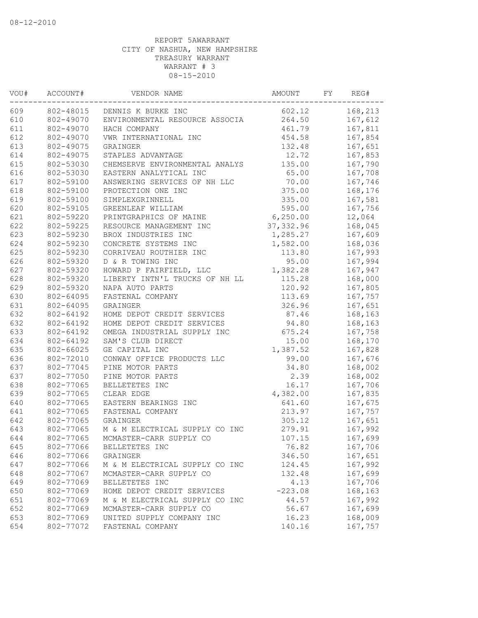| VOU# | ACCOUNT#  | VENDOR NAME                    |            | AMOUNT<br>FY |         |
|------|-----------|--------------------------------|------------|--------------|---------|
| 609  | 802-48015 | DENNIS K BURKE INC             | 602.12     |              | 168,213 |
| 610  | 802-49070 | ENVIRONMENTAL RESOURCE ASSOCIA | 264.50     |              | 167,612 |
| 611  | 802-49070 | HACH COMPANY                   | 461.79     |              | 167,811 |
| 612  | 802-49070 | VWR INTERNATIONAL INC          | 454.58     |              | 167,854 |
| 613  | 802-49075 | GRAINGER                       | 132.48     |              | 167,651 |
| 614  | 802-49075 | STAPLES ADVANTAGE              | 12.72      |              | 167,853 |
| 615  | 802-53030 | CHEMSERVE ENVIRONMENTAL ANALYS | 135.00     |              | 167,790 |
| 616  | 802-53030 | EASTERN ANALYTICAL INC         | 65.00      |              | 167,708 |
| 617  | 802-59100 | ANSWERING SERVICES OF NH LLC   | 70.00      |              | 167,746 |
| 618  | 802-59100 | PROTECTION ONE INC             | 375.00     |              | 168,176 |
| 619  | 802-59100 | SIMPLEXGRINNELL                | 335.00     |              | 167,581 |
| 620  | 802-59105 | GREENLEAF WILLIAM              | 595.00     |              | 167,756 |
| 621  | 802-59220 | PRINTGRAPHICS OF MAINE         | 6,250.00   |              | 12,064  |
| 622  | 802-59225 | RESOURCE MANAGEMENT INC        | 37, 332.96 |              | 168,045 |
| 623  | 802-59230 | BROX INDUSTRIES INC            | 1,285.27   |              | 167,609 |
| 624  | 802-59230 | CONCRETE SYSTEMS INC           | 1,582.00   |              | 168,036 |
| 625  | 802-59230 | CORRIVEAU ROUTHIER INC         | 113.80     |              | 167,993 |
| 626  | 802-59320 | D & R TOWING INC               | 95.00      |              | 167,994 |
| 627  | 802-59320 | HOWARD P FAIRFIELD, LLC        | 1,382.28   |              | 167,947 |
| 628  | 802-59320 | LIBERTY INTN'L TRUCKS OF NH LL | 115.28     |              | 168,000 |
| 629  | 802-59320 | NAPA AUTO PARTS                | 120.92     |              | 167,805 |
| 630  | 802-64095 | FASTENAL COMPANY               | 113.69     |              | 167,757 |
| 631  | 802-64095 | GRAINGER                       | 326.96     |              | 167,651 |
| 632  | 802-64192 | HOME DEPOT CREDIT SERVICES     | 87.46      |              | 168,163 |
| 632  | 802-64192 | HOME DEPOT CREDIT SERVICES     | 94.80      |              | 168,163 |
| 633  | 802-64192 | OMEGA INDUSTRIAL SUPPLY INC    | 675.24     |              | 167,758 |
| 634  | 802-64192 | SAM'S CLUB DIRECT              | 15.00      |              | 168,170 |
| 635  | 802-66025 | GE CAPITAL INC                 | 1,387.52   |              | 167,828 |
| 636  | 802-72010 | CONWAY OFFICE PRODUCTS LLC     | 99.00      |              | 167,676 |
| 637  | 802-77045 | PINE MOTOR PARTS               | 34.80      |              | 168,002 |
| 637  | 802-77050 | PINE MOTOR PARTS               | 2.39       |              | 168,002 |
| 638  | 802-77065 | BELLETETES INC                 | 16.17      |              | 167,706 |
| 639  | 802-77065 | CLEAR EDGE                     | 4,382.00   |              | 167,835 |
| 640  | 802-77065 | EASTERN BEARINGS INC           | 641.60     |              | 167,675 |
| 641  | 802-77065 | FASTENAL COMPANY               | 213.97     |              | 167,757 |
| 642  | 802-77065 | GRAINGER                       | 305.12     |              | 167,651 |
| 643  | 802-77065 | M & M ELECTRICAL SUPPLY CO INC | 279.91     |              | 167,992 |
| 644  | 802-77065 | MCMASTER-CARR SUPPLY CO        | 107.15     |              | 167,699 |
| 645  | 802-77066 | BELLETETES INC                 | 76.82      |              | 167,706 |
| 646  | 802-77066 | GRAINGER                       | 346.50     |              | 167,651 |
| 647  | 802-77066 | M & M ELECTRICAL SUPPLY CO INC | 124.45     |              | 167,992 |
| 648  | 802-77067 | MCMASTER-CARR SUPPLY CO        | 132.48     |              | 167,699 |
| 649  | 802-77069 | BELLETETES INC                 | 4.13       |              | 167,706 |
| 650  | 802-77069 | HOME DEPOT CREDIT SERVICES     | $-223.08$  |              | 168,163 |
| 651  | 802-77069 | M & M ELECTRICAL SUPPLY CO INC | 44.57      |              | 167,992 |
| 652  | 802-77069 | MCMASTER-CARR SUPPLY CO        | 56.67      |              | 167,699 |
| 653  | 802-77069 | UNITED SUPPLY COMPANY INC      | 16.23      |              | 168,009 |
| 654  | 802-77072 | FASTENAL COMPANY               | 140.16     |              | 167,757 |
|      |           |                                |            |              |         |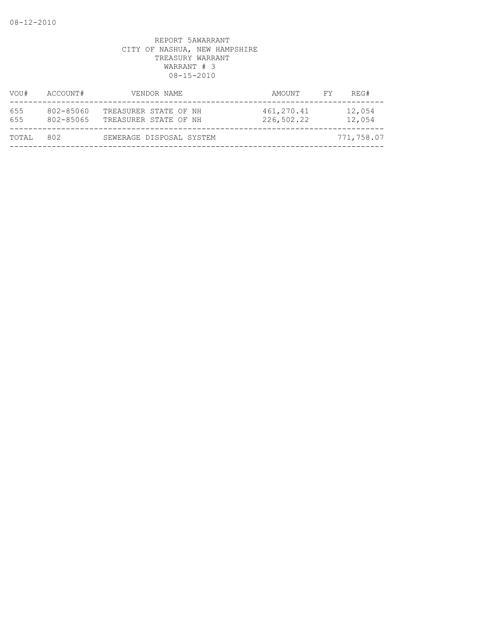| VOU#       | ACCOUNT#               | VENDOR NAME                                    | AMOUNT                   | REG#<br>FY.      |
|------------|------------------------|------------------------------------------------|--------------------------|------------------|
| 655<br>655 | 802-85060<br>802-85065 | TREASURER STATE OF NH<br>TREASURER STATE OF NH | 461,270.41<br>226,502.22 | 12,054<br>12,054 |
| TOTAL      | 802                    | SEWERAGE DISPOSAL SYSTEM                       |                          | 771,758.07       |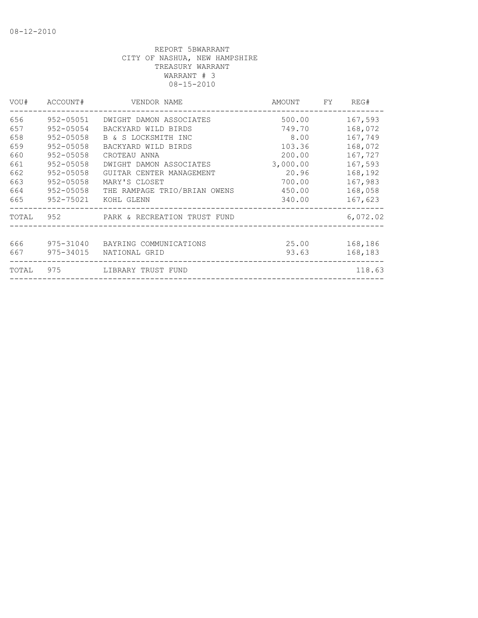| VOU#  | ACCOUNT#      | VENDOR NAME                            | AMOUNT   | FY. | REG#     |
|-------|---------------|----------------------------------------|----------|-----|----------|
| 656   | 952-05051     | DWIGHT DAMON ASSOCIATES                | 500.00   |     | 167,593  |
| 657   | $952 - 05054$ | BACKYARD WILD BIRDS                    | 749.70   |     | 168,072  |
| 658   | $952 - 05058$ | B & S LOCKSMITH INC                    | 8.00     |     | 167,749  |
| 659   | 952-05058     | BACKYARD WILD BIRDS                    | 103.36   |     | 168,072  |
| 660   | $952 - 05058$ | CROTEAU ANNA                           | 200.00   |     | 167,727  |
| 661   | $952 - 05058$ | DWIGHT DAMON ASSOCIATES                | 3,000.00 |     | 167,593  |
| 662   | 952-05058     | GUITAR CENTER MANAGEMENT               | 20.96    |     | 168,192  |
| 663   | $952 - 05058$ | MARY'S CLOSET                          | 700.00   |     | 167,983  |
| 664   | 952-05058     | THE RAMPAGE TRIO/BRIAN OWENS           | 450.00   |     | 168,058  |
| 665   |               | 952-75021 KOHL GLENN                   | 340.00   |     | 167,623  |
|       |               | TOTAL 952 PARK & RECREATION TRUST FUND |          |     | 6,072.02 |
|       |               |                                        |          |     |          |
| 666   | 975-31040     | BAYRING COMMUNICATIONS                 | 25.00    |     | 168,186  |
| 667   | 975-34015     | NATIONAL GRID                          | 93.63    |     | 168,183  |
| TOTAL | 975           | LIBRARY TRUST FUND                     |          |     | 118.63   |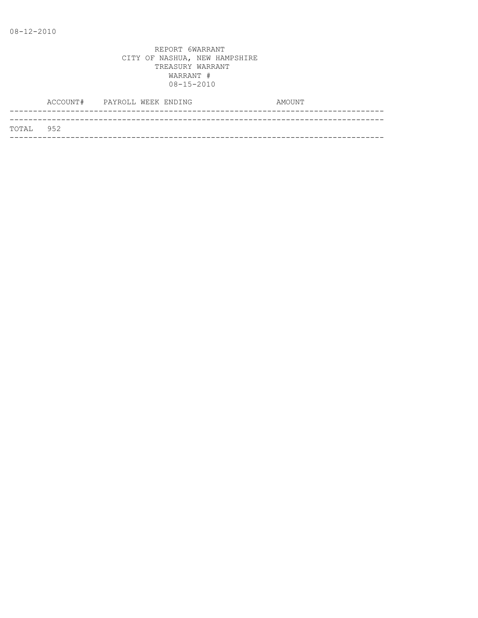|           | ACCOUNT# PAYROLL WEEK ENDING |  |  | AMOUNT |
|-----------|------------------------------|--|--|--------|
|           |                              |  |  |        |
| TOTAL 952 |                              |  |  |        |
|           |                              |  |  |        |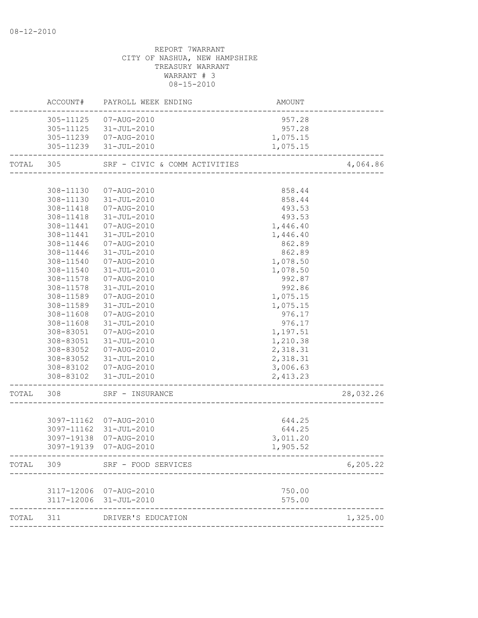|           | REPORT 7WARRANT<br>CITY OF NASHUA, NEW HAMPSHIRE<br>TREASURY WARRANT<br>WARRANT # 3<br>$08 - 15 - 2010$                                                                                                                   |                                                                                                                                                                                                                                                                                                                                                                                             |                                                                                                                                                                                                                                                  |           |  |  |  |
|-----------|---------------------------------------------------------------------------------------------------------------------------------------------------------------------------------------------------------------------------|---------------------------------------------------------------------------------------------------------------------------------------------------------------------------------------------------------------------------------------------------------------------------------------------------------------------------------------------------------------------------------------------|--------------------------------------------------------------------------------------------------------------------------------------------------------------------------------------------------------------------------------------------------|-----------|--|--|--|
|           |                                                                                                                                                                                                                           | ACCOUNT# PAYROLL WEEK ENDING                                                                                                                                                                                                                                                                                                                                                                | AMOUNT                                                                                                                                                                                                                                           |           |  |  |  |
|           |                                                                                                                                                                                                                           | 305-11125 07-AUG-2010<br>305-11125 31-JUL-2010<br>305-11239  07-AUG-2010<br>305-11239 31-JUL-2010                                                                                                                                                                                                                                                                                           | 957.28<br>957.28<br>1,075.15<br>1,075.15                                                                                                                                                                                                         |           |  |  |  |
| TOTAL 305 |                                                                                                                                                                                                                           | SRF - CIVIC & COMM ACTIVITIES                                                                                                                                                                                                                                                                                                                                                               |                                                                                                                                                                                                                                                  | 4,064.86  |  |  |  |
|           | 308-11418<br>308-11441<br>308-11441<br>308-11446<br>308-11446<br>308-11540<br>308-11540<br>308-11578<br>308-11578<br>308-11589<br>308-11589<br>308-11608<br>308-11608<br>308-83051<br>308-83051<br>308-83052<br>308-83052 | 308-11130  07-AUG-2010<br>308-11130 31-JUL-2010<br>308-11418  07-AUG-2010<br>31-JUL-2010<br>07-AUG-2010<br>31-JUL-2010<br>07-AUG-2010<br>31-JUL-2010<br>07-AUG-2010<br>31-JUL-2010<br>07-AUG-2010<br>31-JUL-2010<br>07-AUG-2010<br>31-JUL-2010<br>07-AUG-2010<br>31-JUL-2010<br>07-AUG-2010<br>31-JUL-2010<br>07-AUG-2010<br>31-JUL-2010<br>308-83102  07-AUG-2010<br>308-83102 31-JUL-2010 | 858.44<br>858.44<br>493.53<br>493.53<br>1,446.40<br>1,446.40<br>862.89<br>862.89<br>1,078.50<br>1,078.50<br>992.87<br>992.86<br>1,075.15<br>1,075.15<br>976.17<br>976.17<br>1,197.51<br>1,210.38<br>2,318.31<br>2,318.31<br>3,006.63<br>2,413.23 |           |  |  |  |
|           | 308                                                                                                                                                                                                                       | SRF -<br>· INSURANCE                                                                                                                                                                                                                                                                                                                                                                        |                                                                                                                                                                                                                                                  | 28,032.26 |  |  |  |
|           | 3097-11162                                                                                                                                                                                                                | 07-AUG-2010<br>3097-11162 31-JUL-2010<br>3097-19138 07-AUG-2010<br>3097-19139 07-AUG-2010                                                                                                                                                                                                                                                                                                   | 644.25<br>644.25<br>3,011.20<br>1,905.52                                                                                                                                                                                                         |           |  |  |  |
| TOTAL     | 309                                                                                                                                                                                                                       | SRF - FOOD SERVICES<br>--------------------                                                                                                                                                                                                                                                                                                                                                 |                                                                                                                                                                                                                                                  | 6, 205.22 |  |  |  |
|           |                                                                                                                                                                                                                           | 3117-12006 07-AUG-2010<br>3117-12006 31-JUL-2010                                                                                                                                                                                                                                                                                                                                            | 750.00<br>575.00                                                                                                                                                                                                                                 |           |  |  |  |
| TOTAL     | 311                                                                                                                                                                                                                       | DRIVER'S EDUCATION                                                                                                                                                                                                                                                                                                                                                                          |                                                                                                                                                                                                                                                  | 1,325.00  |  |  |  |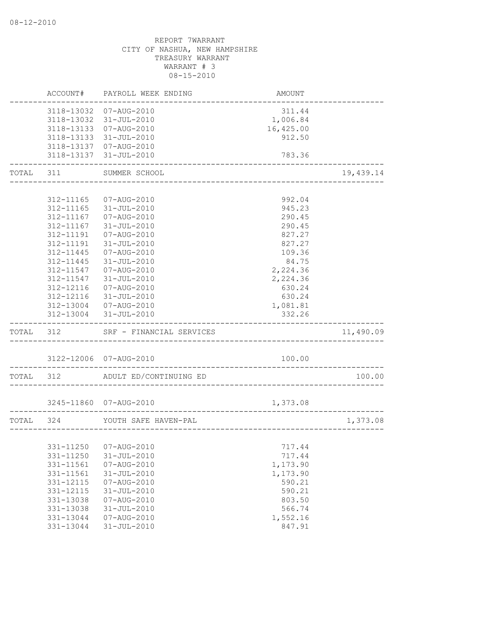|           | ACCOUNT#   | PAYROLL WEEK ENDING      | AMOUNT                                        |           |
|-----------|------------|--------------------------|-----------------------------------------------|-----------|
|           | 3118-13032 | 07-AUG-2010              | 311.44                                        |           |
|           | 3118-13032 | 31-JUL-2010              | 1,006.84                                      |           |
|           |            | 3118-13133  07-AUG-2010  | 16,425.00                                     |           |
|           | 3118-13133 | 31-JUL-2010              | 912.50                                        |           |
|           |            | 3118-13137  07-AUG-2010  |                                               |           |
|           | 3118-13137 | 31-JUL-2010              | 783.36                                        |           |
| TOTAL     | 311        | SUMMER SCHOOL            |                                               | 19,439.14 |
|           |            |                          |                                               |           |
|           | 312-11165  | 07-AUG-2010              | 992.04                                        |           |
|           | 312-11165  | 31-JUL-2010              | 945.23                                        |           |
|           | 312-11167  | 07-AUG-2010              | 290.45                                        |           |
|           | 312-11167  | 31-JUL-2010              | 290.45                                        |           |
|           | 312-11191  | 07-AUG-2010              | 827.27                                        |           |
|           | 312-11191  | $31 - JUL - 2010$        | 827.27                                        |           |
|           | 312-11445  | 07-AUG-2010              | 109.36                                        |           |
|           | 312-11445  | 31-JUL-2010              | 84.75                                         |           |
|           | 312-11547  | 07-AUG-2010              | 2,224.36                                      |           |
|           | 312-11547  | 31-JUL-2010              | 2,224.36                                      |           |
|           | 312-12116  | 07-AUG-2010              | 630.24                                        |           |
|           | 312-12116  | 31-JUL-2010              | 630.24                                        |           |
|           | 312-13004  | 07-AUG-2010              | 1,081.81                                      |           |
|           | 312-13004  | 31-JUL-2010              | 332.26                                        |           |
| TOTAL     | 312        | SRF - FINANCIAL SERVICES |                                               | 11,490.09 |
|           |            |                          |                                               |           |
|           |            | 3122-12006 07-AUG-2010   | 100.00<br>. _ _ _ _ _ _ _ _ _ _ _ _ _ _ _ _ _ |           |
| TOTAL     | 312        | ADULT ED/CONTINUING ED   |                                               | 100.00    |
|           |            | 3245-11860 07-AUG-2010   | 1,373.08                                      |           |
|           |            |                          |                                               |           |
| TOTAL 324 |            | YOUTH SAFE HAVEN-PAL     | ---------------------------------             | 1,373.08  |
|           |            |                          |                                               |           |
|           | 331-11250  | 07-AUG-2010              | 717.44                                        |           |
|           | 331-11250  | $31 - JUL - 2010$        | 717.44                                        |           |
|           | 331-11561  | $07 - AUG - 2010$        | 1,173.90                                      |           |
|           | 331-11561  | $31 - JUL - 2010$        | 1,173.90                                      |           |
|           | 331-12115  | 07-AUG-2010              | 590.21                                        |           |
|           | 331-12115  | $31 - JUL - 2010$        | 590.21                                        |           |
|           | 331-13038  | 07-AUG-2010              | 803.50                                        |           |
|           | 331-13038  | $31 - JUL - 2010$        | 566.74                                        |           |
|           | 331-13044  | 07-AUG-2010              | 1,552.16                                      |           |
|           | 331-13044  | $31 - JUL - 2010$        | 847.91                                        |           |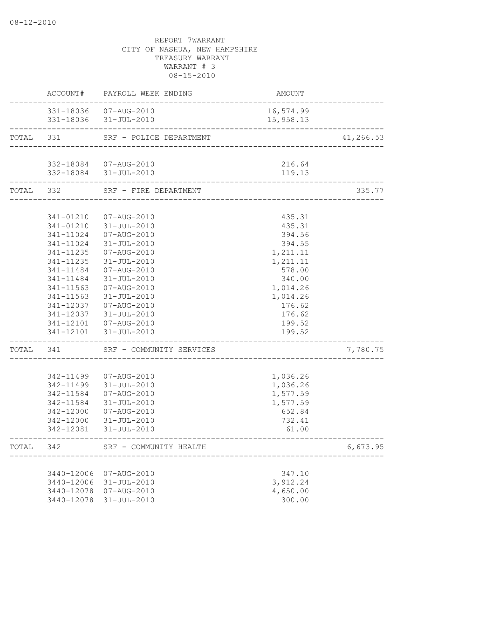|           | ACCOUNT#               | PAYROLL WEEK ENDING                             | AMOUNT                           |           |
|-----------|------------------------|-------------------------------------------------|----------------------------------|-----------|
|           |                        | 331-18036  07-AUG-2010<br>331-18036 31-JUL-2010 | 16,574.99<br>15,958.13           |           |
| TOTAL 331 |                        | SRF - POLICE DEPARTMENT                         | ________________________________ | 41,266.53 |
|           |                        |                                                 |                                  |           |
|           |                        | 332-18084  07-AUG-2010<br>332-18084 31-JUL-2010 | 216.64<br>119.13                 |           |
| TOTAL 332 |                        | SRF - FIRE DEPARTMENT                           |                                  | 335.77    |
|           |                        |                                                 |                                  |           |
|           | 341-01210              | 07-AUG-2010                                     | 435.31                           |           |
|           |                        | 341-01210  31-JUL-2010                          | 435.31                           |           |
|           | 341-11024              | 07-AUG-2010                                     | 394.56                           |           |
|           | 341-11024              | 31-JUL-2010                                     | 394.55                           |           |
|           | 341-11235              | 07-AUG-2010                                     | 1,211.11                         |           |
|           | 341-11235              | 31-JUL-2010                                     | 1,211.11                         |           |
|           | 341-11484              | 07-AUG-2010                                     | 578.00                           |           |
|           | 341-11484              | 31-JUL-2010                                     | 340.00                           |           |
|           | 341-11563              | 07-AUG-2010                                     | 1,014.26                         |           |
|           | 341-11563              | 31-JUL-2010                                     | 1,014.26                         |           |
|           | 341-12037              | 07-AUG-2010                                     | 176.62                           |           |
|           | 341-12037              | 31-JUL-2010                                     | 176.62                           |           |
|           |                        | 341-12101  07-AUG-2010                          | 199.52                           |           |
|           |                        | 341-12101 31-JUL-2010                           | 199.52                           |           |
| TOTAL     | 341                    | SRF - COMMUNITY SERVICES                        |                                  | 7,780.75  |
|           |                        |                                                 |                                  |           |
|           | 342-11499              | 07-AUG-2010                                     | 1,036.26                         |           |
|           |                        | 342-11499 31-JUL-2010                           | 1,036.26                         |           |
|           | 342-11584              | 07-AUG-2010                                     | 1,577.59                         |           |
|           | 342-11584              | 31-JUL-2010                                     | 1,577.59                         |           |
|           | 342-12000              | 07-AUG-2010                                     | 652.84                           |           |
|           | 342-12000<br>342-12081 | 31-JUL-2010<br>31-JUL-2010                      | 732.41<br>61.00                  |           |
| TOTAL     | 342                    | SRF - COMMUNITY HEALTH                          |                                  | 6,673.95  |
|           |                        |                                                 |                                  |           |
|           | 3440-12006             | 07-AUG-2010                                     | 347.10                           |           |
|           | 3440-12006             | 31-JUL-2010                                     | 3,912.24                         |           |
|           | 3440-12078             | 07-AUG-2010                                     | 4,650.00                         |           |
|           | 3440-12078             | 31-JUL-2010                                     | 300.00                           |           |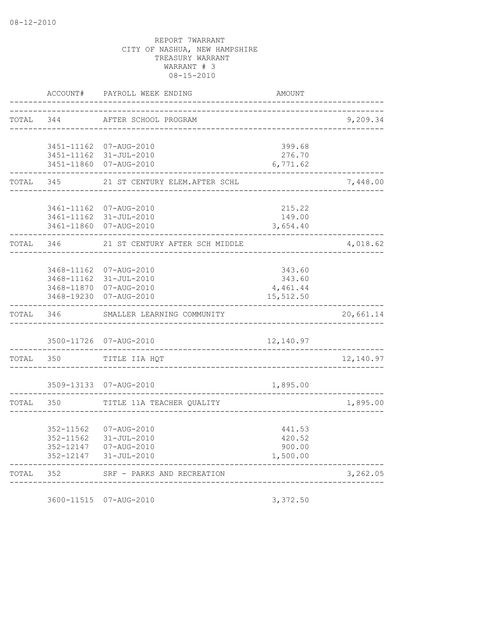|           | ACCOUNT#   | PAYROLL WEEK ENDING                   | <b>AMOUNT</b>    |           |
|-----------|------------|---------------------------------------|------------------|-----------|
| TOTAL     | 344        | AFTER SCHOOL PROGRAM                  |                  | 9,209.34  |
|           |            |                                       |                  |           |
|           | 3451-11162 | 07-AUG-2010                           | 399.68           |           |
|           | 3451-11162 | 31-JUL-2010                           | 276.70           |           |
|           | 3451-11860 | 07-AUG-2010                           | 6,771.62         |           |
| TOTAL     | 345        | 21 ST CENTURY ELEM. AFTER SCHL        |                  | 7,448.00  |
|           | 3461-11162 | 07-AUG-2010                           | 215.22           |           |
|           |            | 3461-11162 31-JUL-2010                | 149.00           |           |
|           |            | 3461-11860 07-AUG-2010                | 3,654.40         |           |
| TOTAL     | 346        | 21 ST CENTURY AFTER SCH MIDDLE        |                  | 4,018.62  |
|           |            |                                       |                  |           |
|           | 3468-11162 | 07-AUG-2010<br>3468-11162 31-JUL-2010 | 343.60<br>343.60 |           |
|           |            | 3468-11870 07-AUG-2010                | 4,461.44         |           |
|           |            | 3468-19230 07-AUG-2010                | 15,512.50        |           |
| TOTAL     | 346        | SMALLER LEARNING COMMUNITY            |                  | 20,661.14 |
|           |            | 3500-11726 07-AUG-2010                | 12,140.97        |           |
| TOTAL 350 |            | TITLE IIA HQT                         |                  | 12,140.97 |
|           |            |                                       |                  |           |
|           |            | 3509-13133 07-AUG-2010                | 1,895.00         |           |
| TOTAL     | 350        | TITLE 11A TEACHER QUALITY             |                  | 1,895.00  |
|           | 352-11562  | 07-AUG-2010                           | 441.53           |           |
|           | 352-11562  | $31 - JUL - 2010$                     | 420.52           |           |
|           | 352-12147  | 07-AUG-2010                           | 900.00           |           |
|           | 352-12147  | 31-JUL-2010                           | 1,500.00         |           |
| TOTAL     | 352        | SRF - PARKS AND RECREATION            |                  | 3,262.05  |

3600-11515 07-AUG-2010 3,372.50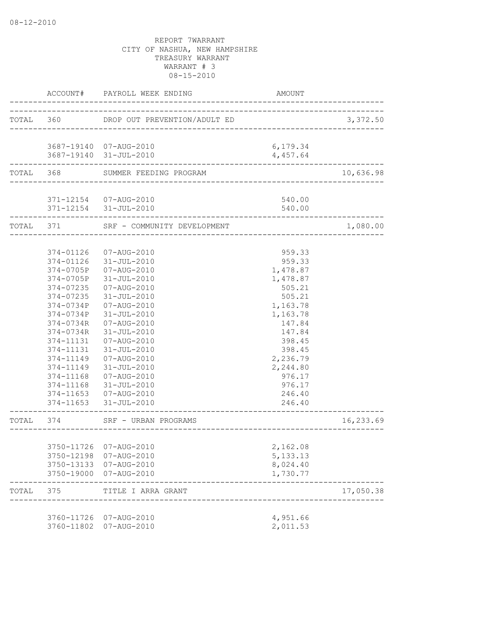|           |                          | ACCOUNT# PAYROLL WEEK ENDING | AMOUNT                           |           |
|-----------|--------------------------|------------------------------|----------------------------------|-----------|
| TOTAL 360 |                          | DROP OUT PREVENTION/ADULT ED |                                  | 3,372.50  |
|           |                          | 3687-19140 07-AUG-2010       | 6,179.34                         |           |
|           |                          | 3687-19140 31-JUL-2010       | 4,457.64                         |           |
|           | TOTAL 368                | SUMMER FEEDING PROGRAM       |                                  | 10,636.98 |
|           |                          | 371-12154  07-AUG-2010       | 540.00                           |           |
|           |                          | 371-12154 31-JUL-2010        | 540.00<br>--------------         |           |
| TOTAL 371 |                          | SRF - COMMUNITY DEVELOPMENT  |                                  | 1,080.00  |
|           |                          |                              |                                  |           |
|           | 374-01126<br>374-01126   | 07-AUG-2010<br>31-JUL-2010   | 959.33<br>959.33                 |           |
|           | 374-0705P                | 07-AUG-2010                  | 1,478.87                         |           |
|           | 374-0705P                | 31-JUL-2010                  | 1,478.87                         |           |
|           | 374-07235                | 07-AUG-2010                  | 505.21                           |           |
|           | 374-07235                | 31-JUL-2010                  | 505.21                           |           |
|           | 374-0734P                | 07-AUG-2010                  | 1,163.78                         |           |
|           | 374-0734P                | 31-JUL-2010                  | 1,163.78                         |           |
|           | 374-0734R                | 07-AUG-2010                  | 147.84                           |           |
|           | 374-0734R                | $31 - JUL - 2010$            | 147.84                           |           |
|           | 374-11131                | 07-AUG-2010                  | 398.45                           |           |
|           | 374-11131                | 31-JUL-2010                  | 398.45                           |           |
|           | 374-11149                | 07-AUG-2010                  | 2,236.79                         |           |
|           | 374-11149                | 31-JUL-2010                  | 2,244.80                         |           |
|           | 374-11168                | 07-AUG-2010                  | 976.17                           |           |
|           | 374-11168                | 31-JUL-2010                  | 976.17                           |           |
|           | 374-11653                | 07-AUG-2010                  | 246.40                           |           |
|           |                          | 374-11653 31-JUL-2010        | 246.40                           |           |
| TOTAL 374 |                          | SRF - URBAN PROGRAMS         | ________________________________ | 16,233.69 |
|           |                          |                              |                                  |           |
|           | 3750-11726<br>3750-12198 | 07-AUG-2010<br>07-AUG-2010   | 2,162.08<br>5, 133. 13           |           |
|           | 3750-13133               | 07-AUG-2010                  | 8,024.40                         |           |
|           | 3750-19000               | 07-AUG-2010                  | 1,730.77                         |           |
| TOTAL     | 375                      | TITLE I ARRA GRANT           |                                  | 17,050.38 |
|           |                          |                              |                                  |           |
|           | 3760-11726<br>3760-11802 | 07-AUG-2010<br>07-AUG-2010   | 4,951.66<br>2,011.53             |           |
|           |                          |                              |                                  |           |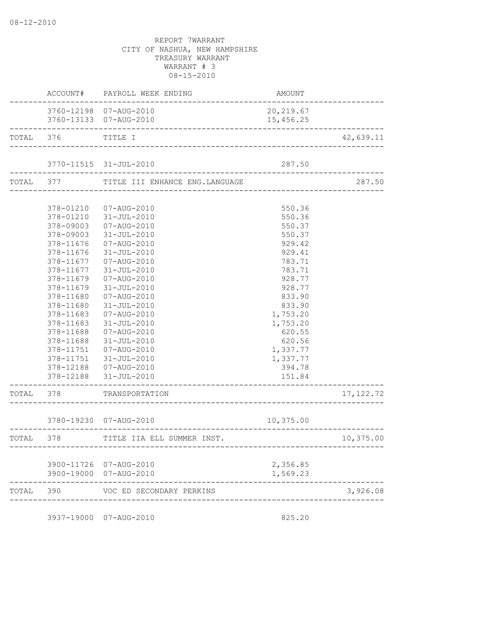|           |                                                                                                                                | ACCOUNT# PAYROLL WEEK ENDING                                                                                                                                                                                                                                                                                                                                                                                                   | AMOUNT                                                                                                                                                                                                       |                    |
|-----------|--------------------------------------------------------------------------------------------------------------------------------|--------------------------------------------------------------------------------------------------------------------------------------------------------------------------------------------------------------------------------------------------------------------------------------------------------------------------------------------------------------------------------------------------------------------------------|--------------------------------------------------------------------------------------------------------------------------------------------------------------------------------------------------------------|--------------------|
|           |                                                                                                                                | 3760-12198 07-AUG-2010<br>3760-13133 07-AUG-2010                                                                                                                                                                                                                                                                                                                                                                               | 20, 219.67<br>15,456.25                                                                                                                                                                                      |                    |
|           | TOTAL 376 TITLE I                                                                                                              |                                                                                                                                                                                                                                                                                                                                                                                                                                |                                                                                                                                                                                                              | 42,639.11          |
|           |                                                                                                                                | 3770-11515 31-JUL-2010                                                                                                                                                                                                                                                                                                                                                                                                         | 287.50                                                                                                                                                                                                       |                    |
|           |                                                                                                                                | TOTAL 377 TITLE III ENHANCE ENG.LANGUAGE                                                                                                                                                                                                                                                                                                                                                                                       | ------------------------------------                                                                                                                                                                         | 287.50             |
|           | 378-11676<br>378-11677<br>378-11679<br>378-11679<br>378-11680<br>378-11680<br>378-11683<br>378-11683<br>378-11688<br>378-11688 | 378-01210  07-AUG-2010<br>378-01210 31-JUL-2010<br>378-09003  07-AUG-2010<br>378-09003 31-JUL-2010<br>378-11676  07-AUG-2010<br>31-JUL-2010<br>378-11677  07-AUG-2010<br>31-JUL-2010<br>07-AUG-2010<br>31-JUL-2010<br>07-AUG-2010<br>31-JUL-2010<br>07-AUG-2010<br>$31 - JUL - 2010$<br>07-AUG-2010<br>31-JUL-2010<br>378-11751 07-AUG-2010<br>378-12188  07-AUG-2010<br>378-12188 31-JUL-2010<br>---------------------------- | 550.36<br>550.36<br>550.37<br>550.37<br>929.42<br>929.41<br>783.71<br>783.71<br>928.77<br>928.77<br>833.90<br>833.90<br>1,753.20<br>1,753.20<br>620.55<br>620.56<br>1,337.77<br>1,337.77<br>394.78<br>151.84 |                    |
|           |                                                                                                                                | TOTAL 378 TRANSPORTATION                                                                                                                                                                                                                                                                                                                                                                                                       |                                                                                                                                                                                                              | 17, 122.72         |
|           |                                                                                                                                | 3780-19230 07-AUG-2010<br>--------------------------------                                                                                                                                                                                                                                                                                                                                                                     | 10,375.00                                                                                                                                                                                                    | ------------------ |
| TOTAL 378 |                                                                                                                                | TITLE IIA ELL SUMMER INST.                                                                                                                                                                                                                                                                                                                                                                                                     |                                                                                                                                                                                                              | 10,375.00          |
|           |                                                                                                                                | 3900-11726 07-AUG-2010<br>3900-19000 07-AUG-2010                                                                                                                                                                                                                                                                                                                                                                               | 2,356.85<br>1,569.23                                                                                                                                                                                         |                    |
| TOTAL     | 390                                                                                                                            | VOC ED SECONDARY PERKINS                                                                                                                                                                                                                                                                                                                                                                                                       |                                                                                                                                                                                                              | 3,926.08           |

3937-19000 07-AUG-2010 825.20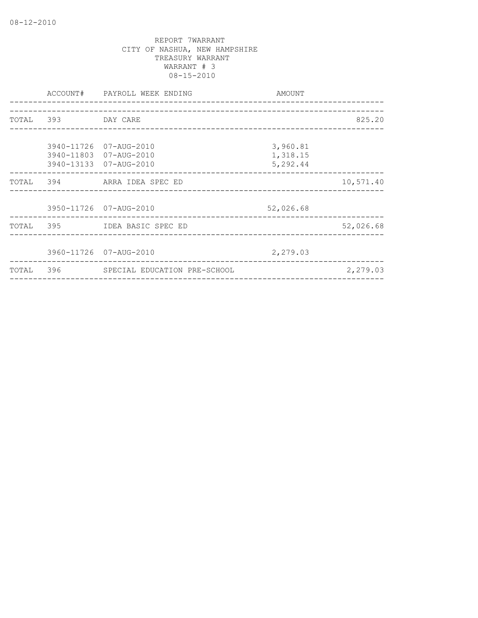|                    | ACCOUNT# PAYROLL WEEK ENDING<br>_____________________ | AMOUNT    |           |
|--------------------|-------------------------------------------------------|-----------|-----------|
|                    |                                                       |           |           |
| TOTAL 393 DAY CARE |                                                       |           | 825.20    |
|                    |                                                       |           |           |
|                    | 3940-11726 07-AUG-2010                                | 3,960.81  |           |
|                    | 3940-11803 07-AUG-2010                                | 1,318.15  |           |
|                    | 3940-13133 07-AUG-2010                                | 5,292.44  |           |
|                    | TOTAL 394 ARRA IDEA SPEC ED                           |           | 10,571.40 |
|                    |                                                       |           |           |
|                    | 3950-11726 07-AUG-2010                                | 52,026.68 |           |
|                    | TOTAL 395 IDEA BASIC SPEC ED                          |           | 52,026.68 |
|                    |                                                       |           |           |
|                    | 3960-11726 07-AUG-2010                                | 2,279.03  |           |
|                    | TOTAL 396 SPECIAL EDUCATION PRE-SCHOOL                |           | 2,279.03  |
|                    |                                                       |           |           |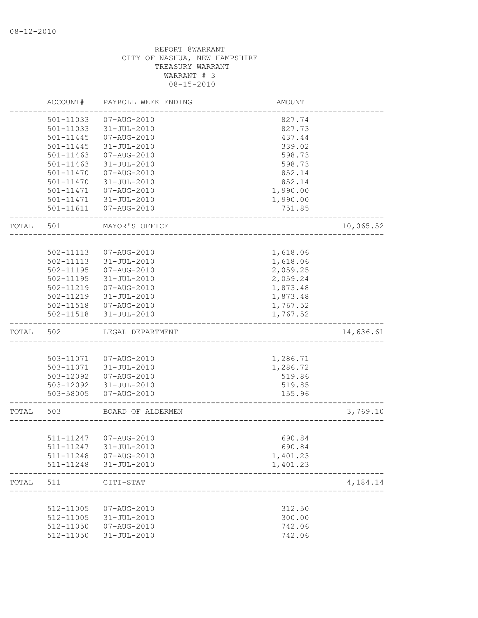|       | ACCOUNT#               | PAYROLL WEEK ENDING              | AMOUNT               |           |
|-------|------------------------|----------------------------------|----------------------|-----------|
|       | 501-11033              | 07-AUG-2010                      | 827.74               |           |
|       | 501-11033              | $31 - JUL - 2010$                | 827.73               |           |
|       | 501-11445              | 07-AUG-2010                      | 437.44               |           |
|       | 501-11445              | 31-JUL-2010                      | 339.02               |           |
|       | $501 - 11463$          | 07-AUG-2010                      | 598.73               |           |
|       | 501-11463              | $31 - JUL - 2010$                | 598.73               |           |
|       | 501-11470              | 07-AUG-2010                      | 852.14               |           |
|       | 501-11470              | $31 - JUL - 2010$                | 852.14               |           |
|       | 501-11471              | 07-AUG-2010                      | 1,990.00             |           |
|       | 501-11471              | $31 - JUL - 2010$                | 1,990.00             |           |
|       | 501-11611              | 07-AUG-2010                      | 751.85               |           |
| TOTAL | 501                    | MAYOR'S OFFICE                   |                      | 10,065.52 |
|       |                        |                                  |                      |           |
|       | 502-11113              | $07 - AUG - 2010$                | 1,618.06             |           |
|       | 502-11113              | $31 - JUL - 2010$                | 1,618.06<br>2,059.25 |           |
|       | $502 - 11195$          | 07-AUG-2010<br>$31 - JUL - 2010$ |                      |           |
|       | 502-11195<br>502-11219 | 07-AUG-2010                      | 2,059.24<br>1,873.48 |           |
|       | 502-11219              | 31-JUL-2010                      | 1,873.48             |           |
|       | 502-11518              | 07-AUG-2010                      | 1,767.52             |           |
|       | $502 - 11518$          | $31 - JUL - 2010$                | 1,767.52             |           |
| TOTAL | 502                    | LEGAL DEPARTMENT                 |                      | 14,636.61 |
|       |                        |                                  |                      |           |
|       | 503-11071              | 07-AUG-2010                      | 1,286.71             |           |
|       | 503-11071              | 31-JUL-2010                      | 1,286.72             |           |
|       | 503-12092              | 07-AUG-2010                      | 519.86               |           |
|       | 503-12092              | 31-JUL-2010                      | 519.85               |           |
|       | 503-58005              | 07-AUG-2010                      | 155.96               |           |
| TOTAL | 503                    | BOARD OF ALDERMEN                |                      | 3,769.10  |
|       |                        |                                  |                      |           |
|       | 511-11247              | 07-AUG-2010                      | 690.84               |           |
|       |                        | 511-11247 31-JUL-2010            | 690.84               |           |
|       | 511-11248              | 07-AUG-2010                      | 1,401.23             |           |
|       | 511-11248              | $31 - JUL - 2010$                | 1,401.23             |           |
| TOTAL | 511                    | CITI-STAT                        |                      | 4,184.14  |
|       |                        |                                  |                      |           |
|       | 512-11005              | 07-AUG-2010                      | 312.50               |           |
|       | 512-11005              | $31 - JUL - 2010$                | 300.00               |           |
|       | 512-11050<br>512-11050 | 07-AUG-2010                      | 742.06               |           |
|       |                        | $31 - JUL - 2010$                | 742.06               |           |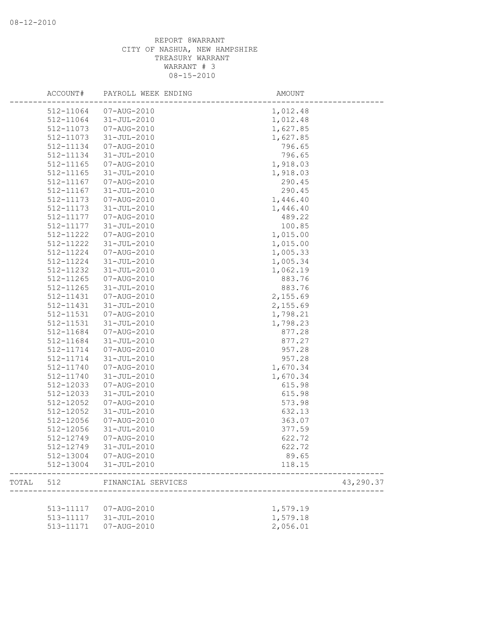|       | ACCOUNT#      | PAYROLL WEEK ENDING    | AMOUNT    |  |
|-------|---------------|------------------------|-----------|--|
|       | 512-11064     | 07-AUG-2010            | 1,012.48  |  |
|       | 512-11064     | 31-JUL-2010            | 1,012.48  |  |
|       | 512-11073     | 07-AUG-2010            | 1,627.85  |  |
|       | 512-11073     | 31-JUL-2010            | 1,627.85  |  |
|       | 512-11134     | 07-AUG-2010            | 796.65    |  |
|       | 512-11134     | $31 - JUL - 2010$      | 796.65    |  |
|       | 512-11165     | 07-AUG-2010            | 1,918.03  |  |
|       | 512-11165     | 31-JUL-2010            | 1,918.03  |  |
|       | 512-11167     | 07-AUG-2010            | 290.45    |  |
|       | $512 - 11167$ | 31-JUL-2010            | 290.45    |  |
|       | 512-11173     | 07-AUG-2010            | 1,446.40  |  |
|       | 512-11173     | 31-JUL-2010            | 1,446.40  |  |
|       | 512-11177     | 07-AUG-2010            | 489.22    |  |
|       | 512-11177     | 31-JUL-2010            | 100.85    |  |
|       | 512-11222     | 07-AUG-2010            | 1,015.00  |  |
|       | 512-11222     | $31 - JUL - 2010$      | 1,015.00  |  |
|       | 512-11224     | 07-AUG-2010            | 1,005.33  |  |
|       | 512-11224     | 31-JUL-2010            | 1,005.34  |  |
|       | 512-11232     | 31-JUL-2010            | 1,062.19  |  |
|       | 512-11265     | 07-AUG-2010            | 883.76    |  |
|       | $512 - 11265$ | 31-JUL-2010            | 883.76    |  |
|       | 512-11431     | 07-AUG-2010            | 2,155.69  |  |
|       | 512-11431     | 31-JUL-2010            | 2,155.69  |  |
|       | 512-11531     | 07-AUG-2010            | 1,798.21  |  |
|       | 512-11531     | 31-JUL-2010            | 1,798.23  |  |
|       | 512-11684     | 07-AUG-2010            | 877.28    |  |
|       | 512-11684     | 31-JUL-2010            | 877.27    |  |
|       | 512-11714     | 07-AUG-2010            | 957.28    |  |
|       | 512-11714     | 31-JUL-2010            | 957.28    |  |
|       | 512-11740     | 07-AUG-2010            | 1,670.34  |  |
|       | 512-11740     | 31-JUL-2010            | 1,670.34  |  |
|       | 512-12033     | 07-AUG-2010            | 615.98    |  |
|       | 512-12033     | 31-JUL-2010            | 615.98    |  |
|       | 512-12052     | 07-AUG-2010            | 573.98    |  |
|       | 512-12052     | 31-JUL-2010            | 632.13    |  |
|       | 512-12056     | 07-AUG-2010            | 363.07    |  |
|       | 512-12056     | 31-JUL-2010            | 377.59    |  |
|       |               | 512-12749 07-AUG-2010  | 622.72    |  |
|       |               | 512-12749 31-JUL-2010  | 622.72    |  |
|       |               | 512-13004 07-AUG-2010  | 89.65     |  |
|       |               | 512-13004 31-JUL-2010  | 118.15    |  |
| TOTAL | 512           | FINANCIAL SERVICES     | 43,290.37 |  |
|       |               |                        |           |  |
|       |               | 513-11117  07-AUG-2010 | 1,579.19  |  |
|       |               | 513-11117 31-JUL-2010  | 1,579.18  |  |
|       | 513-11171     | 07-AUG-2010            | 2,056.01  |  |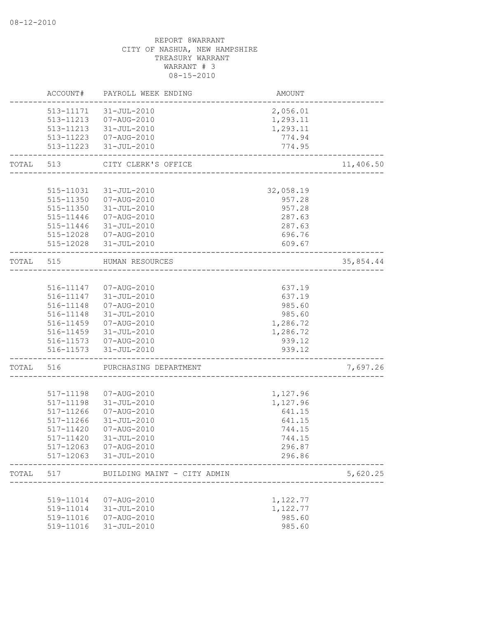|           | ACCOUNT#  | PAYROLL WEEK ENDING                             | AMOUNT                          |           |
|-----------|-----------|-------------------------------------------------|---------------------------------|-----------|
|           | 513-11171 | 31-JUL-2010                                     | 2,056.01                        |           |
|           |           | 513-11213  07-AUG-2010                          | 1,293.11                        |           |
|           |           | 513-11213 31-JUL-2010                           | 1,293.11                        |           |
|           |           | 513-11223  07-AUG-2010                          | 774.94                          |           |
|           |           | 513-11223 31-JUL-2010                           | 774.95<br>_____________________ |           |
| TOTAL     | 513       | CITY CLERK'S OFFICE                             |                                 | 11,406.50 |
|           |           |                                                 |                                 |           |
|           |           | 515-11031 31-JUL-2010                           | 32,058.19                       |           |
|           |           | 515-11350  07-AUG-2010                          | 957.28                          |           |
|           |           | 515-11350 31-JUL-2010                           | 957.28                          |           |
|           | 515-11446 | 07-AUG-2010                                     | 287.63                          |           |
|           | 515-11446 | 31-JUL-2010                                     | 287.63                          |           |
|           |           | 515-12028  07-AUG-2010                          | 696.76                          |           |
|           |           | 515-12028 31-JUL-2010                           | 609.67                          |           |
| TOTAL 515 |           | HUMAN RESOURCES                                 |                                 | 35,854.44 |
|           |           | ____________________                            |                                 |           |
|           |           | 516-11147  07-AUG-2010                          | 637.19                          |           |
|           |           | 516-11147 31-JUL-2010                           | 637.19                          |           |
|           | 516-11148 | 07-AUG-2010                                     | 985.60                          |           |
|           | 516-11148 | 31-JUL-2010                                     | 985.60                          |           |
|           | 516-11459 | 07-AUG-2010                                     | 1,286.72                        |           |
|           | 516-11459 | 31-JUL-2010                                     | 1,286.72                        |           |
|           |           |                                                 |                                 |           |
|           |           | 516-11573  07-AUG-2010<br>516-11573 31-JUL-2010 | 939.12<br>939.12                |           |
| TOTAL     | 516       | PURCHASING DEPARTMENT                           |                                 | 7,697.26  |
|           |           |                                                 |                                 |           |
|           | 517-11198 | 07-AUG-2010                                     | 1,127.96                        |           |
|           | 517-11198 | 31-JUL-2010                                     | 1,127.96                        |           |
|           | 517-11266 | 07-AUG-2010                                     | 641.15                          |           |
|           | 517-11266 | 31-JUL-2010                                     | 641.15                          |           |
|           | 517-11420 |                                                 | 744.15                          |           |
|           |           | 07-AUG-2010                                     |                                 |           |
|           | 517-11420 | 31-JUL-2010                                     | 744.15                          |           |
|           |           | 517-12063  07-AUG-2010<br>517-12063 31-JUL-2010 | 296.87<br>296.86                |           |
|           |           |                                                 |                                 |           |
| TOTAL     | 517       | BUILDING MAINT - CITY ADMIN                     |                                 | 5,620.25  |
|           |           |                                                 |                                 |           |
|           |           | 519-11014  07-AUG-2010                          | 1,122.77                        |           |
|           |           | 519-11014 31-JUL-2010                           | 1,122.77                        |           |
|           | 519-11016 | 07-AUG-2010                                     | 985.60                          |           |
|           | 519-11016 | 31-JUL-2010                                     | 985.60                          |           |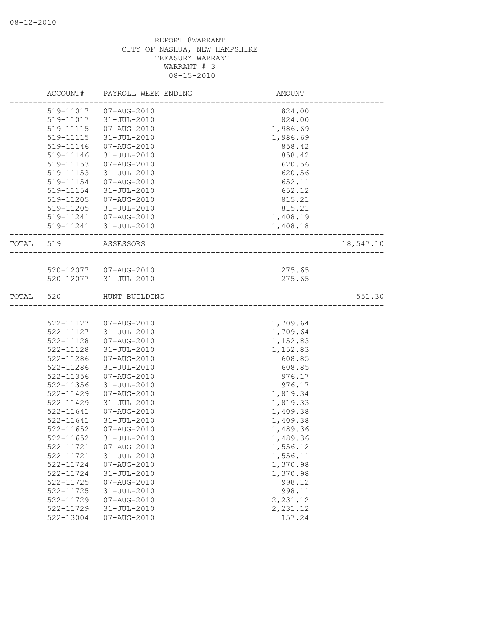|           | ACCOUNT#      | PAYROLL WEEK ENDING    | AMOUNT                 |           |
|-----------|---------------|------------------------|------------------------|-----------|
|           | 519-11017     | 07-AUG-2010            | 824.00                 |           |
|           | 519-11017     | 31-JUL-2010            | 824.00                 |           |
|           | 519-11115     | 07-AUG-2010            | 1,986.69               |           |
|           | 519-11115     | 31-JUL-2010            | 1,986.69               |           |
|           | 519-11146     | 07-AUG-2010            | 858.42                 |           |
|           | 519-11146     | 31-JUL-2010            | 858.42                 |           |
|           | 519-11153     | 07-AUG-2010            | 620.56                 |           |
|           | 519-11153     | 31-JUL-2010            | 620.56                 |           |
|           | 519-11154     | 07-AUG-2010            | 652.11                 |           |
|           | 519-11154     | 31-JUL-2010            | 652.12                 |           |
|           | 519-11205     | 07-AUG-2010            | 815.21                 |           |
|           | 519-11205     | 31-JUL-2010            | 815.21                 |           |
|           |               | 519-11241  07-AUG-2010 | 1,408.19               |           |
|           |               | 519-11241 31-JUL-2010  | 1,408.18               |           |
| TOTAL 519 |               | ASSESSORS              |                        | 18,547.10 |
|           |               |                        | ______________________ |           |
|           |               | 520-12077  07-AUG-2010 | 275.65                 |           |
|           |               | 520-12077 31-JUL-2010  | 275.65                 |           |
| TOTAL     | 520           | HUNT BUILDING          |                        | 551.30    |
|           |               |                        |                        |           |
|           |               | 522-11127  07-AUG-2010 | 1,709.64               |           |
|           | 522-11127     | 31-JUL-2010            | 1,709.64               |           |
|           | 522-11128     | 07-AUG-2010            | 1,152.83               |           |
|           | 522-11128     | 31-JUL-2010            | 1,152.83               |           |
|           | 522-11286     | 07-AUG-2010            | 608.85                 |           |
|           | 522-11286     | $31 - JUL - 2010$      | 608.85                 |           |
|           | 522-11356     | 07-AUG-2010            | 976.17                 |           |
|           | 522-11356     | 31-JUL-2010            | 976.17                 |           |
|           | 522-11429     | 07-AUG-2010            | 1,819.34               |           |
|           | 522-11429     | $31 - JUL - 2010$      | 1,819.33               |           |
|           | 522-11641     | 07-AUG-2010            | 1,409.38               |           |
|           | 522-11641     | 31-JUL-2010            | 1,409.38               |           |
|           | $522 - 11652$ | 07-AUG-2010            | 1,489.36               |           |
|           | 522-11652     | 31-JUL-2010            | 1,489.36               |           |
|           | 522-11721     | 07-AUG-2010            | 1,556.12               |           |
|           | 522-11721     | $31 - JUL - 2010$      | 1,556.11               |           |
|           | 522-11724     | 07-AUG-2010            | 1,370.98               |           |
|           | 522-11724     | $31 - JUL - 2010$      | 1,370.98               |           |
|           | 522-11725     | 07-AUG-2010            | 998.12                 |           |
|           | 522-11725     | $31 - JUL - 2010$      | 998.11                 |           |
|           | 522-11729     | 07-AUG-2010            | 2,231.12               |           |
|           | 522-11729     | $31 - JUL - 2010$      | 2,231.12               |           |
|           | 522-13004     | 07-AUG-2010            | 157.24                 |           |
|           |               |                        |                        |           |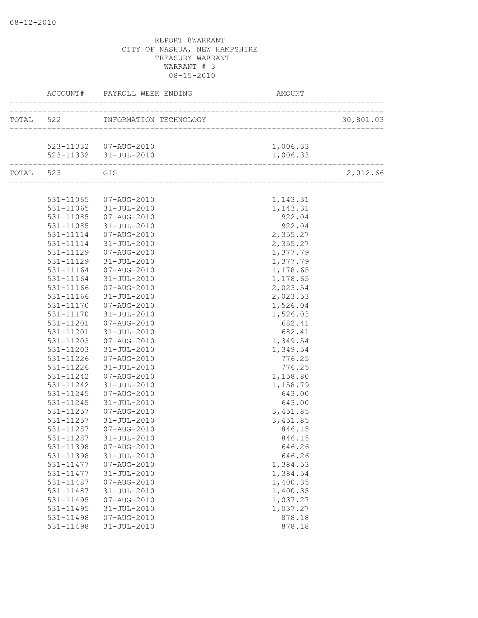|               | ACCOUNT# PAYROLL WEEK ENDING     | AMOUNT                                                   |           |
|---------------|----------------------------------|----------------------------------------------------------|-----------|
|               | TOTAL 522 INFORMATION TECHNOLOGY | _________________<br>1<br>------------------------------ | 30,801.03 |
|               |                                  |                                                          |           |
|               | 523-11332  07-AUG-2010           | 1,006.33                                                 |           |
|               | 523-11332 31-JUL-2010            | 1,006.33                                                 |           |
| TOTAL 523 GIS |                                  |                                                          | 2,012.66  |
|               |                                  |                                                          |           |
|               | 531-11065 07-AUG-2010            | 1,143.31                                                 |           |
|               | 531-11065 31-JUL-2010            | 1,143.31                                                 |           |
|               | 531-11085  07-AUG-2010           | 922.04                                                   |           |
| 531-11085     | 31-JUL-2010                      | 922.04                                                   |           |
| 531-11114     | 07-AUG-2010                      | 2,355.27                                                 |           |
| 531-11114     | 31-JUL-2010                      | 2,355.27                                                 |           |
| 531-11129     | 07-AUG-2010                      | 1,377.79                                                 |           |
| 531-11129     | 31-JUL-2010                      | 1,377.79                                                 |           |
| 531-11164     | 07-AUG-2010                      | 1,178.65                                                 |           |
| 531-11164     | 31-JUL-2010                      | 1,178.65                                                 |           |
| 531-11166     | 07-AUG-2010                      | 2,023.54                                                 |           |
| 531-11166     | 31-JUL-2010                      | 2,023.53                                                 |           |
| 531-11170     | 07-AUG-2010                      | 1,526.04                                                 |           |
| 531-11170     | 31-JUL-2010                      | 1,526.03                                                 |           |
| 531-11201     | 07-AUG-2010                      | 682.41                                                   |           |
| 531-11201     | 31-JUL-2010                      | 682.41                                                   |           |
| 531-11203     | 07-AUG-2010                      | 1,349.54                                                 |           |
| 531-11203     | $31 - JUL - 2010$                | 1,349.54                                                 |           |
| 531-11226     | 07-AUG-2010                      | 776.25                                                   |           |
| 531-11226     | 31-JUL-2010                      | 776.25                                                   |           |
| 531-11242     | 07-AUG-2010                      | 1,158.80                                                 |           |
| 531-11242     | 31-JUL-2010                      | 1,158.79                                                 |           |
| 531-11245     | 07-AUG-2010                      | 643.00                                                   |           |
| 531-11245     | 31-JUL-2010                      | 643.00                                                   |           |
| 531-11257     | 07-AUG-2010                      | 3,451.85                                                 |           |
| 531-11257     | 31-JUL-2010                      | 3,451.85                                                 |           |
| 531-11287     | 07-AUG-2010                      | 846.15                                                   |           |
| 531-11287     | 31-JUL-2010                      | 846.15                                                   |           |
| 531-11398     | 07-AUG-2010                      | 646.26                                                   |           |
| 531-11398     | $31 - JUL - 2010$                | 646.26                                                   |           |
| 531-11477     | 07-AUG-2010                      | 1,384.53                                                 |           |
| 531-11477     | $31 - JUL - 2010$                | 1,384.54                                                 |           |
| 531-11487     | 07-AUG-2010                      | 1,400.35                                                 |           |
| 531-11487     | $31 - JUL - 2010$                | 1,400.35                                                 |           |
| 531-11495     | 07-AUG-2010                      | 1,037.27                                                 |           |
| 531-11495     | $31 - JUL - 2010$                | 1,037.27                                                 |           |
| 531-11498     | 07-AUG-2010                      | 878.18                                                   |           |
| 531-11498     | 31-JUL-2010                      | 878.18                                                   |           |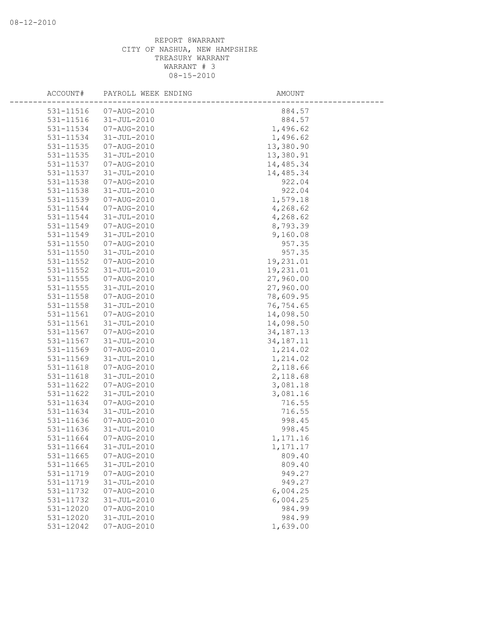| ACCOUNT#               | PAYROLL WEEK ENDING              | AMOUNT           |
|------------------------|----------------------------------|------------------|
| 531-11516              | 07-AUG-2010                      | 884.57           |
| 531-11516              | $31 - JUL - 2010$                | 884.57           |
| 531-11534              | 07-AUG-2010                      | 1,496.62         |
| 531-11534              | $31 - JUL - 2010$                | 1,496.62         |
| 531-11535              | 07-AUG-2010                      | 13,380.90        |
| 531-11535              | $31 - JUL - 2010$                | 13,380.91        |
| 531-11537              | 07-AUG-2010                      | 14,485.34        |
| 531-11537              | 31-JUL-2010                      | 14,485.34        |
| 531-11538              | 07-AUG-2010                      | 922.04           |
| 531-11538              | 31-JUL-2010                      | 922.04           |
| 531-11539              | 07-AUG-2010                      | 1,579.18         |
| 531-11544              | 07-AUG-2010                      | 4,268.62         |
| 531-11544              | $31 - JUL - 2010$                | 4,268.62         |
| 531-11549              | 07-AUG-2010                      | 8,793.39         |
| 531-11549              | $31 - JUL - 2010$                | 9,160.08         |
| 531-11550              | 07-AUG-2010                      | 957.35           |
| 531-11550              | 31-JUL-2010                      | 957.35           |
| 531-11552              | 07-AUG-2010                      | 19,231.01        |
| 531-11552              | 31-JUL-2010                      | 19,231.01        |
| 531-11555              | 07-AUG-2010                      | 27,960.00        |
| 531-11555              | $31 - JUL - 2010$                | 27,960.00        |
| 531-11558              | 07-AUG-2010                      | 78,609.95        |
| 531-11558              | $31 - JUL - 2010$                | 76,754.65        |
| 531-11561              | 07-AUG-2010                      | 14,098.50        |
| 531-11561              | $31 - JUL - 2010$                | 14,098.50        |
| 531-11567              | 07-AUG-2010                      | 34, 187. 13      |
| 531-11567              | $31 - JUL - 2010$                | 34, 187. 11      |
| 531-11569              | 07-AUG-2010                      | 1,214.02         |
| 531-11569              | $31 - JUL - 2010$                | 1,214.02         |
| 531-11618              | 07-AUG-2010                      | 2,118.66         |
| 531-11618              | $31 - JUL - 2010$                | 2,118.68         |
| 531-11622              | 07-AUG-2010                      | 3,081.18         |
| 531-11622              | $31 - JUL - 2010$<br>07-AUG-2010 | 3,081.16         |
| 531-11634<br>531-11634 | $31 - JUL - 2010$                | 716.55           |
| 531-11636              | 07-AUG-2010                      | 716.55<br>998.45 |
| 531-11636              | $31 - JUL - 2010$                | 998.45           |
| 531-11664              | $07 - AUG - 2010$                | 1,171.16         |
| 531-11664              | $31 - JUL - 2010$                | 1,171.17         |
| 531-11665              | 07-AUG-2010                      | 809.40           |
| 531-11665              | $31 - JUL - 2010$                | 809.40           |
| 531-11719              | $07 - AUG - 2010$                | 949.27           |
| 531-11719              | $31 - JUL - 2010$                | 949.27           |
| 531-11732              | 07-AUG-2010                      | 6,004.25         |
| 531-11732              | $31 - JUL - 2010$                | 6,004.25         |
| 531-12020              | $07 - AUG - 2010$                | 984.99           |
| 531-12020              | $31 - JUL - 2010$                | 984.99           |
| 531-12042              | 07-AUG-2010                      | 1,639.00         |
|                        |                                  |                  |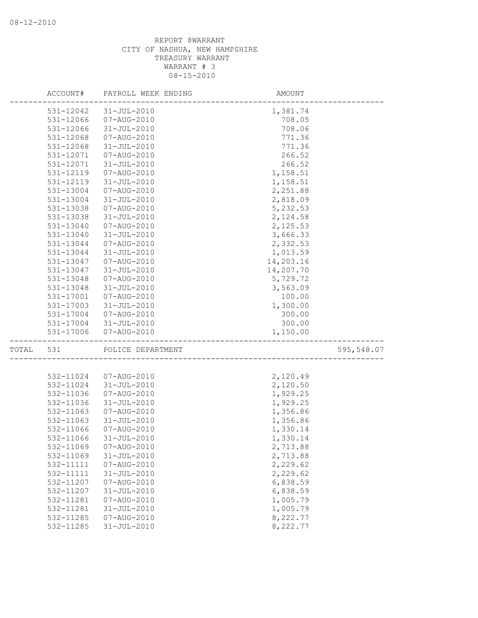|       | ACCOUNT#  | PAYROLL WEEK ENDING | AMOUNT    |            |
|-------|-----------|---------------------|-----------|------------|
|       | 531-12042 | 31-JUL-2010         | 1,381.74  |            |
|       | 531-12066 | 07-AUG-2010         | 708.05    |            |
|       | 531-12066 | $31 - JUL - 2010$   | 708.06    |            |
|       | 531-12068 | 07-AUG-2010         | 771.36    |            |
|       | 531-12068 | $31 - JUL - 2010$   | 771.36    |            |
|       | 531-12071 | 07-AUG-2010         | 266.52    |            |
|       | 531-12071 | $31 - JUL - 2010$   | 266.52    |            |
|       | 531-12119 | 07-AUG-2010         | 1,158.51  |            |
|       | 531-12119 | 31-JUL-2010         | 1,158.51  |            |
|       | 531-13004 | 07-AUG-2010         | 2,251.88  |            |
|       | 531-13004 | 31-JUL-2010         | 2,818.09  |            |
|       | 531-13038 | 07-AUG-2010         | 5,232.53  |            |
|       | 531-13038 | 31-JUL-2010         | 2,124.58  |            |
|       | 531-13040 | 07-AUG-2010         | 2,125.53  |            |
|       | 531-13040 | 31-JUL-2010         | 3,666.33  |            |
|       | 531-13044 | 07-AUG-2010         | 2,332.53  |            |
|       | 531-13044 | $31 - JUL - 2010$   | 1,013.59  |            |
|       | 531-13047 | 07-AUG-2010         | 14,203.16 |            |
|       | 531-13047 | $31 - JUL - 2010$   | 14,207.70 |            |
|       | 531-13048 | 07-AUG-2010         | 5,729.72  |            |
|       | 531-13048 | 31-JUL-2010         | 3,563.09  |            |
|       | 531-17001 | 07-AUG-2010         | 100.00    |            |
|       | 531-17003 | 31-JUL-2010         | 1,300.00  |            |
|       | 531-17004 | 07-AUG-2010         | 300.00    |            |
|       | 531-17004 | 31-JUL-2010         | 300.00    |            |
|       | 531-17006 | 07-AUG-2010         | 1,150.00  |            |
| TOTAL | 531       | POLICE DEPARTMENT   |           | 595,548.07 |
|       |           |                     |           |            |
|       | 532-11024 | 07-AUG-2010         | 2,120.49  |            |
|       | 532-11024 | $31 - JUL - 2010$   | 2,120.50  |            |
|       | 532-11036 | 07-AUG-2010         | 1,929.25  |            |
|       | 532-11036 | $31 - JUL - 2010$   | 1,929.25  |            |
|       | 532-11063 | 07-AUG-2010         | 1,356.86  |            |
|       | 532-11063 | $31 - JUL - 2010$   | 1,356.86  |            |
|       | 532-11066 | 07-AUG-2010         | 1,330.14  |            |
|       | 532-11066 | 31-JUL-2010         | 1,330.14  |            |
|       | 532-11069 | 07-AUG-2010         | 2,713.88  |            |
|       | 532-11069 | $31 - JUL - 2010$   | 2,713.88  |            |
|       | 532-11111 | 07-AUG-2010         | 2,229.62  |            |
|       | 532-11111 | $31 - JUL - 2010$   | 2,229.62  |            |
|       | 532-11207 | 07-AUG-2010         | 6,838.59  |            |
|       | 532-11207 | $31 - JUL - 2010$   | 6,838.59  |            |
|       | 532-11281 | 07-AUG-2010         | 1,005.79  |            |
|       | 532-11281 | $31 - JUL - 2010$   | 1,005.79  |            |
|       | 532-11285 | 07-AUG-2010         | 8,222.77  |            |
|       | 532-11285 | $31 - JUL - 2010$   | 8,222.77  |            |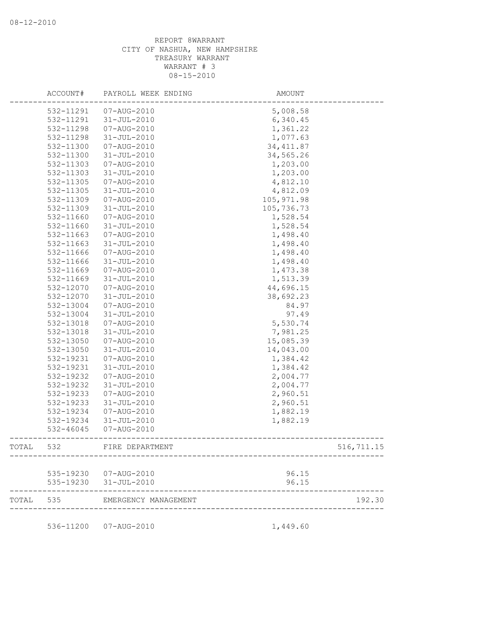|       | ACCOUNT#  | PAYROLL WEEK ENDING                             | <b>AMOUNT</b>  |            |
|-------|-----------|-------------------------------------------------|----------------|------------|
|       | 532-11291 | 07-AUG-2010                                     | 5,008.58       |            |
|       | 532-11291 | $31 - JUL - 2010$                               | 6,340.45       |            |
|       | 532-11298 | 07-AUG-2010                                     | 1,361.22       |            |
|       | 532-11298 | $31 - JUL - 2010$                               | 1,077.63       |            |
|       | 532-11300 | 07-AUG-2010                                     | 34, 411.87     |            |
|       | 532-11300 | 31-JUL-2010                                     | 34,565.26      |            |
|       | 532-11303 | 07-AUG-2010                                     | 1,203.00       |            |
|       | 532-11303 | $31 - JUL - 2010$                               | 1,203.00       |            |
|       | 532-11305 | 07-AUG-2010                                     | 4,812.10       |            |
|       | 532-11305 | $31 - JUL - 2010$                               | 4,812.09       |            |
|       | 532-11309 | 07-AUG-2010                                     | 105, 971.98    |            |
|       | 532-11309 | $31 - JUL - 2010$                               | 105,736.73     |            |
|       | 532-11660 | 07-AUG-2010                                     | 1,528.54       |            |
|       | 532-11660 | 31-JUL-2010                                     | 1,528.54       |            |
|       | 532-11663 | 07-AUG-2010                                     | 1,498.40       |            |
|       | 532-11663 | $31 - JUL - 2010$                               | 1,498.40       |            |
|       | 532-11666 | 07-AUG-2010                                     | 1,498.40       |            |
|       | 532-11666 | $31 - JUL - 2010$                               | 1,498.40       |            |
|       | 532-11669 | 07-AUG-2010                                     | 1,473.38       |            |
|       | 532-11669 | $31 - JUL - 2010$                               | 1,513.39       |            |
|       | 532-12070 | 07-AUG-2010                                     | 44,696.15      |            |
|       | 532-12070 | 31-JUL-2010                                     | 38,692.23      |            |
|       | 532-13004 | 07-AUG-2010                                     | 84.97          |            |
|       | 532-13004 | 31-JUL-2010                                     | 97.49          |            |
|       | 532-13018 | 07-AUG-2010                                     | 5,530.74       |            |
|       | 532-13018 | $31 - JUL - 2010$                               | 7,981.25       |            |
|       | 532-13050 | 07-AUG-2010                                     | 15,085.39      |            |
|       | 532-13050 | $31 - JUL - 2010$                               | 14,043.00      |            |
|       | 532-19231 | 07-AUG-2010                                     | 1,384.42       |            |
|       | 532-19231 | $31 - JUL - 2010$                               | 1,384.42       |            |
|       | 532-19232 | 07-AUG-2010                                     | 2,004.77       |            |
|       | 532-19232 | $31 - JUL - 2010$                               | 2,004.77       |            |
|       | 532-19233 | 07-AUG-2010                                     | 2,960.51       |            |
|       | 532-19233 | $31 - JUL - 2010$                               | 2,960.51       |            |
|       | 532-19234 | 07-AUG-2010                                     | 1,882.19       |            |
|       | 532-19234 | $31 - JUL - 2010$                               | 1,882.19       |            |
|       | 532-46045 | 07-AUG-2010                                     |                |            |
|       |           |                                                 |                |            |
| TOTAL | 532       | FIRE DEPARTMENT                                 |                | 516,711.15 |
|       |           |                                                 |                |            |
|       |           | 535-19230  07-AUG-2010<br>535-19230 31-JUL-2010 | 96.15<br>96.15 |            |
|       |           |                                                 |                |            |
| TOTAL | 535       | EMERGENCY MANAGEMENT                            |                | 192.30     |
|       |           |                                                 |                |            |
|       |           | 536-11200  07-AUG-2010                          | 1,449.60       |            |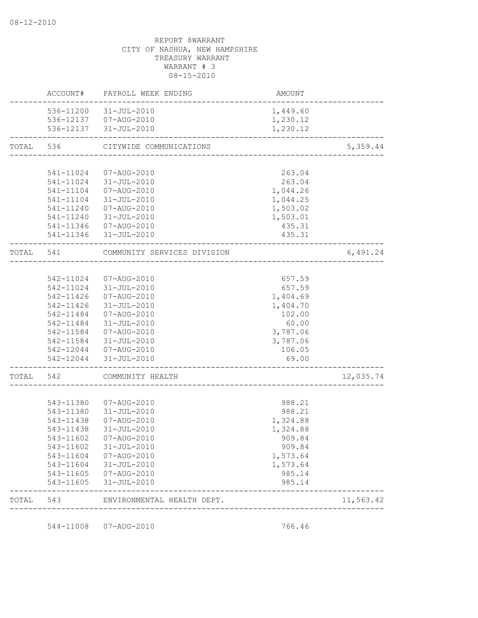| TOTAL 543 |           | ENVIRONMENTAL HEALTH DEPT.                      | ___________________________ | 11,563.42 |
|-----------|-----------|-------------------------------------------------|-----------------------------|-----------|
|           | 543-11605 | 31-JUL-2010                                     | 985.14                      |           |
|           |           | 543-11605  07-AUG-2010                          | 985.14                      |           |
|           |           | 543-11604 31-JUL-2010                           | 1,573.64                    |           |
|           |           | 543-11604  07-AUG-2010                          | 1,573.64                    |           |
|           | 543-11602 | 31-JUL-2010                                     | 909.84                      |           |
|           |           | 543-11602 07-AUG-2010                           | 909.84                      |           |
|           | 543-11438 | 31-JUL-2010                                     | 1,324.88                    |           |
|           | 543-11438 | 07-AUG-2010                                     | 1,324.88                    |           |
|           | 543-11380 | 543-11380  07-AUG-2010<br>31-JUL-2010           | 988.21<br>988.21            |           |
|           |           |                                                 |                             |           |
| TOTAL     | 542       | COMMUNITY HEALTH                                |                             | 12,035.74 |
|           |           | 542-12044 31-JUL-2010                           | 69.00                       |           |
|           |           | 542-12044 07-AUG-2010                           | 106.05                      |           |
|           |           | 542-11584 31-JUL-2010                           | 3,787.06                    |           |
|           | 542-11584 | 07-AUG-2010                                     | 3,787.06                    |           |
|           | 542-11484 | 31-JUL-2010                                     | 60.00                       |           |
|           | 542-11484 | 07-AUG-2010                                     | 102.00                      |           |
|           | 542-11426 | 31-JUL-2010                                     | 1,404.70                    |           |
|           |           | 542-11426  07-AUG-2010                          | 1,404.69                    |           |
|           |           | 542-11024 07-AUG-2010<br>542-11024 31-JUL-2010  | 657.59<br>657.59            |           |
| TOTAL 541 |           | COMMUNITY SERVICES DIVISION                     |                             | 6,491.24  |
|           |           |                                                 |                             |           |
|           |           | 541-11346 31-JUL-2010                           | 435.31                      |           |
|           |           | 541-11346  07-AUG-2010                          | 435.31                      |           |
|           |           | 541-11240  07-AUG-2010<br>541-11240 31-JUL-2010 | 1,503.02<br>1,503.01        |           |
|           |           |                                                 | 1,044.25                    |           |
|           |           | 541-11104  07-AUG-2010<br>541-11104 31-JUL-2010 | 1,044.26                    |           |
|           |           | 541-11024 31-JUL-2010                           | 263.04                      |           |
|           | 541-11024 | 07-AUG-2010                                     | 263.04                      |           |
| TOTAL     | 536       | CITYWIDE COMMUNICATIONS                         |                             | 5,359.44  |
|           |           | 536-12137 31-JUL-2010                           | 1,230.12                    |           |
|           |           | 536-12137  07-AUG-2010                          | 1,230.12                    |           |
|           |           | 536-11200 31-JUL-2010                           | 1,449.60                    |           |
|           |           | ACCOUNT# PAYROLL WEEK ENDING                    | AMOUNT                      |           |

544-11008 07-AUG-2010 766.46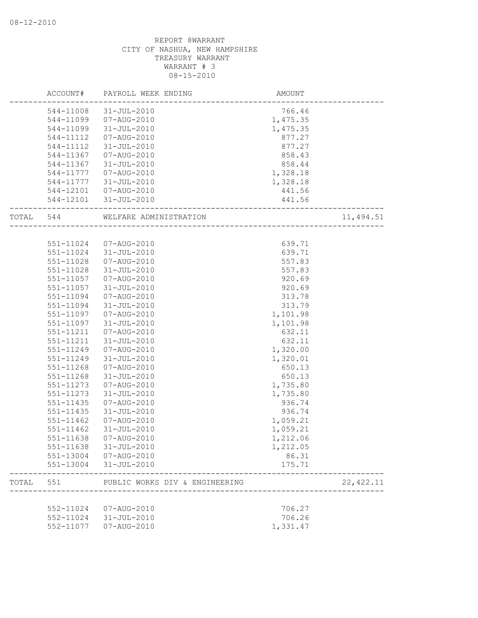|       | ACCOUNT#  | PAYROLL WEEK ENDING                                                    | <b>AMOUNT</b> |            |
|-------|-----------|------------------------------------------------------------------------|---------------|------------|
|       | 544-11008 | 31-JUL-2010                                                            | 766.46        |            |
|       | 544-11099 | 07-AUG-2010                                                            | 1,475.35      |            |
|       | 544-11099 | 31-JUL-2010                                                            | 1,475.35      |            |
|       | 544-11112 | 07-AUG-2010                                                            | 877.27        |            |
|       | 544-11112 | 31-JUL-2010                                                            | 877.27        |            |
|       | 544-11367 | 07-AUG-2010                                                            | 858.43        |            |
|       | 544-11367 | 31-JUL-2010                                                            | 858.44        |            |
|       | 544-11777 | 07-AUG-2010                                                            | 1,328.18      |            |
|       | 544-11777 | 31-JUL-2010                                                            | 1,328.18      |            |
|       |           | 544-12101  07-AUG-2010                                                 | 441.56        |            |
|       |           | 544-12101 31-JUL-2010                                                  | 441.56        |            |
| TOTAL | 544       | WELFARE ADMINISTRATION<br><u> 1988 - Alexandr Alexandr III eta Ant</u> |               | 11,494.51  |
|       |           |                                                                        |               |            |
|       |           | 551-11024 07-AUG-2010                                                  | 639.71        |            |
|       | 551-11024 | 31-JUL-2010                                                            | 639.71        |            |
|       | 551-11028 | 07-AUG-2010                                                            | 557.83        |            |
|       | 551-11028 | 31-JUL-2010                                                            | 557.83        |            |
|       | 551-11057 | 07-AUG-2010                                                            | 920.69        |            |
|       | 551-11057 | 31-JUL-2010                                                            | 920.69        |            |
|       | 551-11094 | 07-AUG-2010                                                            | 313.78        |            |
|       | 551-11094 | 31-JUL-2010                                                            | 313.79        |            |
|       | 551-11097 | 07-AUG-2010                                                            | 1,101.98      |            |
|       | 551-11097 | 31-JUL-2010                                                            | 1,101.98      |            |
|       | 551-11211 | 07-AUG-2010                                                            | 632.11        |            |
|       | 551-11211 | 31-JUL-2010                                                            | 632.11        |            |
|       | 551-11249 | 07-AUG-2010                                                            | 1,320.00      |            |
|       | 551-11249 | $31 - JUL - 2010$                                                      | 1,320.01      |            |
|       | 551-11268 | 07-AUG-2010                                                            | 650.13        |            |
|       | 551-11268 | 31-JUL-2010                                                            | 650.13        |            |
|       | 551-11273 | 07-AUG-2010                                                            | 1,735.80      |            |
|       | 551-11273 | $31 - JUL - 2010$                                                      | 1,735.80      |            |
|       | 551-11435 | 07-AUG-2010                                                            | 936.74        |            |
|       | 551-11435 | $31 - JUL - 2010$                                                      | 936.74        |            |
|       | 551-11462 | 07-AUG-2010                                                            | 1,059.21      |            |
|       | 551-11462 | 31-JUL-2010                                                            | 1,059.21      |            |
|       | 551-11638 | 07-AUG-2010                                                            | 1,212.06      |            |
|       | 551-11638 | 31-JUL-2010                                                            | 1,212.05      |            |
|       | 551-13004 | 07-AUG-2010                                                            | 86.31         |            |
|       | 551-13004 | 31-JUL-2010                                                            | 175.71        |            |
| TOTAL | 551       | PUBLIC WORKS DIV & ENGINEERING                                         |               | 22, 422.11 |
|       |           |                                                                        |               |            |
|       | 552-11024 | 07-AUG-2010                                                            | 706.27        |            |
|       | 552-11024 | 31-JUL-2010                                                            | 706.26        |            |
|       | 552-11077 | $07 - AUG - 2010$                                                      | 1,331.47      |            |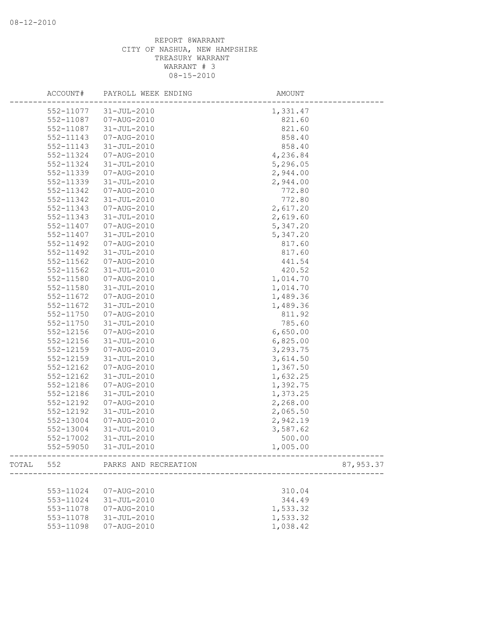|       | ACCOUNT#<br>PAYROLL WEEK ENDING |                       | AMOUNT    |  |  |
|-------|---------------------------------|-----------------------|-----------|--|--|
|       | 552-11077                       | 31-JUL-2010           | 1,331.47  |  |  |
|       | 552-11087                       | 07-AUG-2010           | 821.60    |  |  |
|       | 552-11087                       | 31-JUL-2010           | 821.60    |  |  |
|       | 552-11143                       | 07-AUG-2010           | 858.40    |  |  |
|       | 552-11143                       | $31 - JUL - 2010$     | 858.40    |  |  |
|       | 552-11324                       | 07-AUG-2010           | 4,236.84  |  |  |
|       | 552-11324                       | 31-JUL-2010           | 5,296.05  |  |  |
|       | 552-11339                       | 07-AUG-2010           | 2,944.00  |  |  |
|       | 552-11339                       | $31 - JUL - 2010$     | 2,944.00  |  |  |
|       | 552-11342                       | 07-AUG-2010           | 772.80    |  |  |
|       | 552-11342                       | 31-JUL-2010           | 772.80    |  |  |
|       | 552-11343                       | 07-AUG-2010           | 2,617.20  |  |  |
|       | 552-11343                       | 31-JUL-2010           | 2,619.60  |  |  |
|       | 552-11407                       | 07-AUG-2010           | 5,347.20  |  |  |
|       | 552-11407                       | 31-JUL-2010           | 5,347.20  |  |  |
|       | 552-11492                       | 07-AUG-2010           | 817.60    |  |  |
|       | 552-11492                       | $31 - JUL - 2010$     | 817.60    |  |  |
|       | 552-11562                       | 07-AUG-2010           | 441.54    |  |  |
|       | 552-11562                       | 31-JUL-2010           | 420.52    |  |  |
|       | 552-11580                       | 07-AUG-2010           | 1,014.70  |  |  |
|       | 552-11580                       | 31-JUL-2010           | 1,014.70  |  |  |
|       | 552-11672                       | 07-AUG-2010           | 1,489.36  |  |  |
|       | 552-11672                       | $31 - JUL - 2010$     | 1,489.36  |  |  |
|       | 552-11750                       | 07-AUG-2010           | 811.92    |  |  |
|       | 552-11750                       | 31-JUL-2010           | 785.60    |  |  |
|       |                                 |                       | 6,650.00  |  |  |
|       | 552-12156                       | 07-AUG-2010           |           |  |  |
|       | 552-12156                       | 31-JUL-2010           | 6,825.00  |  |  |
|       | 552-12159                       | 07-AUG-2010           | 3,293.75  |  |  |
|       | 552-12159                       | 31-JUL-2010           | 3,614.50  |  |  |
|       | 552-12162                       | 07-AUG-2010           | 1,367.50  |  |  |
|       | 552-12162                       | $31 - JUL - 2010$     | 1,632.25  |  |  |
|       | 552-12186                       | 07-AUG-2010           | 1,392.75  |  |  |
|       | 552-12186                       | $31 - JUL - 2010$     | 1,373.25  |  |  |
|       | 552-12192                       | 07-AUG-2010           | 2,268.00  |  |  |
|       | 552-12192                       | $31 - JUL - 2010$     | 2,065.50  |  |  |
|       | 552-13004                       | 07-AUG-2010           | 2,942.19  |  |  |
|       | 552-13004                       | $31 - JUL - 2010$     | 3,587.62  |  |  |
|       | 552-17002                       | $31 - JUL - 2010$     | 500.00    |  |  |
|       |                                 | 552-59050 31-JUL-2010 | 1,005.00  |  |  |
| TOTAL | 552                             | PARKS AND RECREATION  | 87,953.37 |  |  |
|       |                                 |                       |           |  |  |
|       | 553-11024                       | 07-AUG-2010           | 310.04    |  |  |
|       | 553-11024                       | $31 - JUL - 2010$     | 344.49    |  |  |
|       | 553-11078                       | 07-AUG-2010           | 1,533.32  |  |  |
|       | 553-11078                       | $31 - JUL - 2010$     | 1,533.32  |  |  |
|       | 553-11098                       | 07-AUG-2010           | 1,038.42  |  |  |
|       |                                 |                       |           |  |  |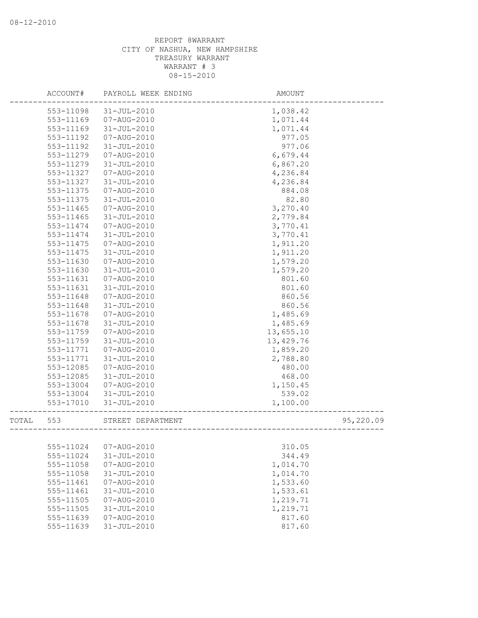|       | ACCOUNT#  | PAYROLL WEEK ENDING | AMOUNT     |           |
|-------|-----------|---------------------|------------|-----------|
|       | 553-11098 | $31 - JUL - 2010$   | 1,038.42   |           |
|       | 553-11169 | 07-AUG-2010         | 1,071.44   |           |
|       | 553-11169 | $31 - JUL - 2010$   | 1,071.44   |           |
|       | 553-11192 | 07-AUG-2010         | 977.05     |           |
|       | 553-11192 | $31 - JUL - 2010$   | 977.06     |           |
|       | 553-11279 | 07-AUG-2010         | 6,679.44   |           |
|       | 553-11279 | $31 - JUL - 2010$   | 6,867.20   |           |
|       | 553-11327 | 07-AUG-2010         | 4,236.84   |           |
|       | 553-11327 | $31 - JUL - 2010$   | 4,236.84   |           |
|       | 553-11375 | 07-AUG-2010         | 884.08     |           |
|       | 553-11375 | $31 - JUL - 2010$   | 82.80      |           |
|       | 553-11465 | 07-AUG-2010         | 3,270.40   |           |
|       | 553-11465 | 31-JUL-2010         | 2,779.84   |           |
|       | 553-11474 | 07-AUG-2010         | 3,770.41   |           |
|       | 553-11474 | 31-JUL-2010         | 3,770.41   |           |
|       | 553-11475 | 07-AUG-2010         | 1,911.20   |           |
|       | 553-11475 | $31 - JUL - 2010$   | 1,911.20   |           |
|       | 553-11630 | 07-AUG-2010         | 1,579.20   |           |
|       | 553-11630 | $31 - JUL - 2010$   | 1,579.20   |           |
|       | 553-11631 | 07-AUG-2010         | 801.60     |           |
|       | 553-11631 | $31 - JUL - 2010$   | 801.60     |           |
|       | 553-11648 | 07-AUG-2010         | 860.56     |           |
|       | 553-11648 | $31 - JUL - 2010$   | 860.56     |           |
|       | 553-11678 | 07-AUG-2010         | 1,485.69   |           |
|       | 553-11678 | $31 - JUL - 2010$   | 1,485.69   |           |
|       | 553-11759 | 07-AUG-2010         | 13,655.10  |           |
|       | 553-11759 | $31 - JUL - 2010$   | 13, 429.76 |           |
|       | 553-11771 | 07-AUG-2010         | 1,859.20   |           |
|       | 553-11771 | $31 - JUL - 2010$   | 2,788.80   |           |
|       | 553-12085 | 07-AUG-2010         | 480.00     |           |
|       | 553-12085 | $31 - JUL - 2010$   | 468.00     |           |
|       | 553-13004 | 07-AUG-2010         | 1,150.45   |           |
|       | 553-13004 | 31-JUL-2010         | 539.02     |           |
|       | 553-17010 | $31 - JUL - 2010$   | 1,100.00   |           |
| TOTAL | 553       | STREET DEPARTMENT   |            | 95,220.09 |
|       |           |                     |            |           |
|       | 555-11024 | $07 - AUG - 2010$   | 310.05     |           |
|       | 555-11024 | $31 - JUL - 2010$   | 344.49     |           |
|       | 555-11058 | 07-AUG-2010         | 1,014.70   |           |
|       | 555-11058 | $31 - JUL - 2010$   | 1,014.70   |           |
|       | 555-11461 | $07 - AUG - 2010$   | 1,533.60   |           |
|       | 555-11461 | $31 - JUL - 2010$   | 1,533.61   |           |
|       | 555-11505 | $07 - AUG - 2010$   | 1,219.71   |           |
|       | 555-11505 | $31 - JUL - 2010$   | 1,219.71   |           |
|       | 555-11639 | 07-AUG-2010         | 817.60     |           |
|       | 555-11639 | $31 - JUL - 2010$   | 817.60     |           |
|       |           |                     |            |           |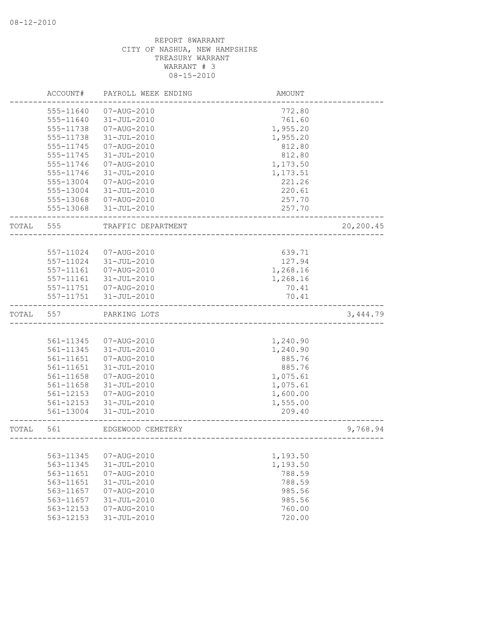|       | ACCOUNT#                   | PAYROLL WEEK ENDING                    | AMOUNT                 |           |
|-------|----------------------------|----------------------------------------|------------------------|-----------|
|       | 555-11640                  | 07-AUG-2010                            | 772.80                 |           |
|       | 555-11640                  | $31 - JUL - 2010$                      | 761.60                 |           |
|       | 555-11738                  | 07-AUG-2010                            | 1,955.20               |           |
|       | 555-11738                  | $31 - JUL - 2010$                      | 1,955.20               |           |
|       | 555-11745                  | 07-AUG-2010                            | 812.80                 |           |
|       | 555-11745                  | $31 - JUL - 2010$                      | 812.80                 |           |
|       | 555-11746                  | 07-AUG-2010                            | 1,173.50               |           |
|       | 555-11746                  | $31 - JUL - 2010$                      | 1,173.51               |           |
|       | 555-13004                  | $07 - AUG - 2010$                      | 221.26                 |           |
|       | 555-13004                  | $31 - JUL - 2010$                      | 220.61                 |           |
|       | 555-13068                  | 07-AUG-2010                            | 257.70                 |           |
|       | 555-13068                  | 31-JUL-2010                            | 257.70                 |           |
| TOTAL | 555                        | TRAFFIC DEPARTMENT                     |                        | 20,200.45 |
|       |                            |                                        |                        |           |
|       | 557-11024                  | 07-AUG-2010                            | 639.71                 |           |
|       | 557-11024                  | 31-JUL-2010                            | 127.94                 |           |
|       | 557-11161                  | 07-AUG-2010                            | 1,268.16               |           |
|       | 557-11161                  | 31-JUL-2010                            | 1,268.16               |           |
|       | 557-11751                  | 07-AUG-2010                            | 70.41                  |           |
|       | 557-11751                  | 31-JUL-2010                            | 70.41                  |           |
| TOTAL | 557                        | PARKING LOTS                           |                        | 3,444.79  |
|       |                            |                                        |                        |           |
|       | 561-11345                  | 07-AUG-2010                            | 1,240.90               |           |
|       | 561-11345                  | $31 - JUL - 2010$                      | 1,240.90               |           |
|       | 561-11651                  | 07-AUG-2010                            | 885.76                 |           |
|       | 561-11651                  | $31 - JUL - 2010$                      | 885.76                 |           |
|       | 561-11658                  | 07-AUG-2010                            | 1,075.61               |           |
|       | 561-11658                  | $31 - JUL - 2010$                      | 1,075.61               |           |
|       | 561-12153                  | 07-AUG-2010                            | 1,600.00               |           |
|       | 561-12153                  | $31 - JUL - 2010$                      | 1,555.00               |           |
|       | 561-13004                  | $31 - JUL - 2010$                      | 209.40                 |           |
| TOTAL | 561                        | EDGEWOOD CEMETERY                      | ---------------------- | 9,768.94  |
|       |                            |                                        |                        |           |
|       | 563-11345                  | 07-AUG-2010                            | 1,193.50               |           |
|       | 563-11345                  | 31-JUL-2010                            | 1,193.50               |           |
|       | 563-11651                  | 07-AUG-2010                            | 788.59                 |           |
|       | 563-11651                  | 31-JUL-2010                            | 788.59                 |           |
|       | 563-11657                  | $07 - AUG - 2010$                      | 985.56                 |           |
|       | 563-11657                  | 31-JUL-2010                            | 985.56                 |           |
|       |                            |                                        |                        |           |
|       | $563 - 12153$<br>563-12153 | $07 - AUG - 2010$<br>$31 - JUL - 2010$ | 760.00<br>720.00       |           |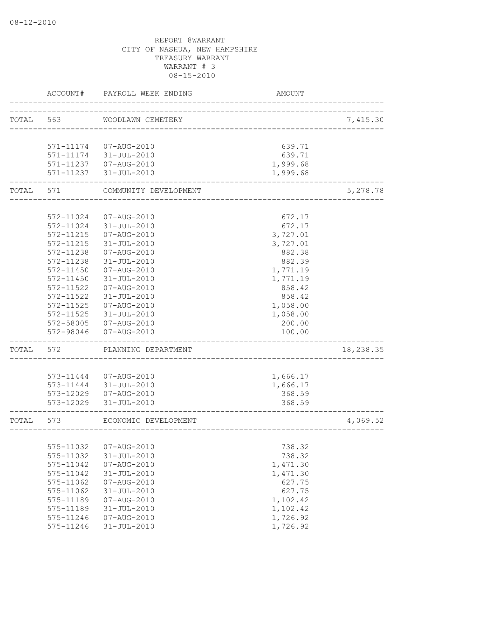|       | ACCOUNT#               | PAYROLL WEEK ENDING                   | AMOUNT               |           |
|-------|------------------------|---------------------------------------|----------------------|-----------|
| TOTAL | 563                    | WOODLAWN CEMETERY                     |                      | 7,415.30  |
|       |                        |                                       |                      |           |
|       | 571-11174              | 07-AUG-2010                           | 639.71               |           |
|       |                        | 571-11174 31-JUL-2010                 | 639.71               |           |
|       | 571-11237              | 571-11237  07-AUG-2010<br>31-JUL-2010 | 1,999.68<br>1,999.68 |           |
| TOTAL | 571                    | COMMUNITY DEVELOPMENT                 |                      | 5,278.78  |
|       |                        |                                       |                      |           |
|       | 572-11024              | 07-AUG-2010                           | 672.17               |           |
|       | 572-11024              | 31-JUL-2010                           | 672.17               |           |
|       | 572-11215              | 07-AUG-2010                           | 3,727.01             |           |
|       | 572-11215              | 31-JUL-2010                           | 3,727.01             |           |
|       | 572-11238              | 07-AUG-2010                           | 882.38               |           |
|       | 572-11238              | $31 - JUL - 2010$                     | 882.39               |           |
|       | 572-11450              | 07-AUG-2010                           | 1,771.19             |           |
|       | 572-11450              | $31 - JUL - 2010$                     | 1,771.19             |           |
|       | 572-11522              | $07 - AUG - 2010$                     | 858.42               |           |
|       | 572-11522              | $31 - JUL - 2010$                     | 858.42               |           |
|       | 572-11525              | 07-AUG-2010                           | 1,058.00             |           |
|       | 572-11525              | 31-JUL-2010                           | 1,058.00             |           |
|       | 572-58005              | 07-AUG-2010                           | 200.00               |           |
|       | 572-98046              | 07-AUG-2010                           | 100.00               |           |
| TOTAL | 572                    | PLANNING DEPARTMENT                   |                      | 18,238.35 |
|       |                        |                                       |                      |           |
|       | 573-11444              | 07-AUG-2010                           | 1,666.17             |           |
|       | 573-11444<br>573-12029 | 31-JUL-2010<br>07-AUG-2010            | 1,666.17             |           |
|       | 573-12029              | $31 - JUL - 2010$                     | 368.59<br>368.59     |           |
|       |                        |                                       |                      |           |
| TOTAL | 573                    | ECONOMIC DEVELOPMENT                  |                      | 4,069.52  |
|       |                        |                                       |                      |           |
|       | 575-11032              | 07-AUG-2010                           | 738.32               |           |
|       | 575-11032              | $31 - JUL - 2010$                     | 738.32               |           |
|       | 575-11042              | 07-AUG-2010                           | 1,471.30             |           |
|       | 575-11042              | $31 - JUL - 2010$                     | 1,471.30             |           |
|       | 575-11062              | 07-AUG-2010                           | 627.75               |           |
|       | 575-11062              | $31 - JUL - 2010$                     | 627.75               |           |
|       | 575-11189              | $07 - AUG - 2010$                     | 1,102.42             |           |
|       | 575-11189              | $31 - JUL - 2010$                     | 1,102.42             |           |
|       | 575-11246              | 07-AUG-2010                           | 1,726.92             |           |
|       | 575-11246              | $31 - JUL - 2010$                     | 1,726.92             |           |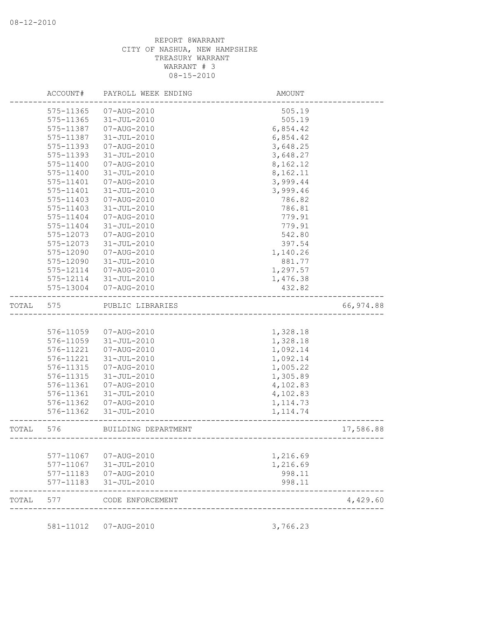|       | ACCOUNT#               | PAYROLL WEEK ENDING        | AMOUNT                               |            |
|-------|------------------------|----------------------------|--------------------------------------|------------|
|       | 575-11365              | 07-AUG-2010                | 505.19                               |            |
|       | 575-11365              | 31-JUL-2010                | 505.19                               |            |
|       | 575-11387              | 07-AUG-2010                | 6,854.42                             |            |
|       | 575-11387              | 31-JUL-2010                | 6,854.42                             |            |
|       | 575-11393              | 07-AUG-2010                | 3,648.25                             |            |
|       | 575-11393              | 31-JUL-2010                | 3,648.27                             |            |
|       | 575-11400              | 07-AUG-2010                | 8,162.12                             |            |
|       | 575-11400              | 31-JUL-2010                | 8,162.11                             |            |
|       | 575-11401              | 07-AUG-2010                | 3,999.44                             |            |
|       | 575-11401              | $31 - JUL - 2010$          | 3,999.46                             |            |
|       | 575-11403              | 07-AUG-2010                | 786.82                               |            |
|       | 575-11403              | 31-JUL-2010                | 786.81                               |            |
|       | 575-11404              | 07-AUG-2010                | 779.91                               |            |
|       | 575-11404              | 31-JUL-2010                | 779.91                               |            |
|       | 575-12073              | 07-AUG-2010                | 542.80                               |            |
|       | 575-12073              | 31-JUL-2010                | 397.54                               |            |
|       | 575-12090              | 07-AUG-2010                | 1,140.26                             |            |
|       | 575-12090              | $31 - JUL - 2010$          | 881.77                               |            |
|       | 575-12114              | 07-AUG-2010                | 1,297.57                             |            |
|       | 575-12114              | 31-JUL-2010                | 1,476.38                             |            |
|       | 575-13004              | 07-AUG-2010                | 432.82                               |            |
| TOTAL | 575                    | PUBLIC LIBRARIES           |                                      | 66, 974.88 |
|       |                        |                            |                                      |            |
|       | 576-11059              | 07-AUG-2010                | 1,328.18                             |            |
|       | 576-11059              | 31-JUL-2010                | 1,328.18                             |            |
|       | 576-11221              | 07-AUG-2010                | 1,092.14                             |            |
|       | 576-11221              | 31-JUL-2010                | 1,092.14                             |            |
|       | 576-11315              | 07-AUG-2010                | 1,005.22                             |            |
|       | 576-11315              | 31-JUL-2010                | 1,305.89                             |            |
|       | 576-11361              | 07-AUG-2010                | 4,102.83                             |            |
|       | 576-11361              | 31-JUL-2010                | 4,102.83                             |            |
|       | 576-11362              | 07-AUG-2010                | 1, 114.73                            |            |
|       | 576-11362              | $31 - JUL - 2010$          | 1, 114.74                            |            |
| TOTAL | 576                    | BUILDING DEPARTMENT        | ------------------------------------ | 17,586.88  |
|       |                        |                            |                                      |            |
|       | 577-11067              | 07-AUG-2010                | 1,216.69                             |            |
|       | 577-11067              | 31-JUL-2010                | 1,216.69                             |            |
|       | 577-11183<br>577-11183 | 07-AUG-2010<br>31-JUL-2010 | 998.11<br>998.11                     |            |
|       |                        |                            |                                      |            |
| TOTAL | 577                    | CODE ENFORCEMENT           |                                      | 4,429.60   |
|       |                        |                            |                                      |            |
|       | 581-11012              | 07-AUG-2010                | 3,766.23                             |            |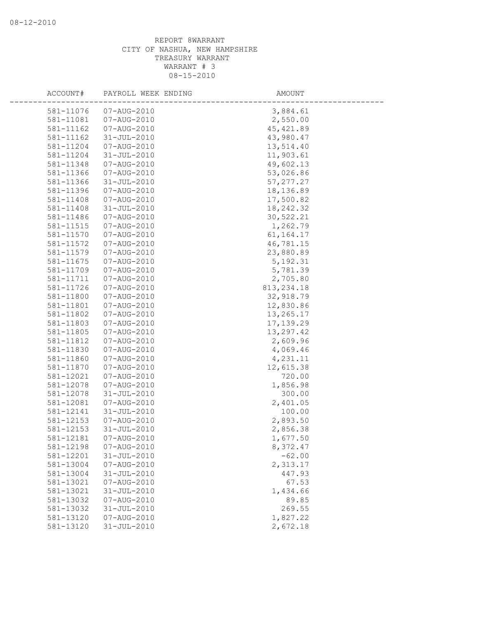| ACCOUNT#               | PAYROLL WEEK ENDING                    | AMOUNT          |  |
|------------------------|----------------------------------------|-----------------|--|
| 581-11076              | 07-AUG-2010                            | 3,884.61        |  |
| 581-11081              | 07-AUG-2010                            | 2,550.00        |  |
| 581-11162              | 07-AUG-2010                            | 45, 421.89      |  |
| 581-11162              | $31 - JUL - 2010$                      | 43,980.47       |  |
| 581-11204              | 07-AUG-2010                            | 13,514.40       |  |
| 581-11204              | 31-JUL-2010                            | 11,903.61       |  |
| 581-11348              | 07-AUG-2010                            | 49,602.13       |  |
| 581-11366              | 07-AUG-2010                            | 53,026.86       |  |
| 581-11366              | $31 - JUL - 2010$                      | 57, 277.27      |  |
| 581-11396              | 07-AUG-2010                            | 18,136.89       |  |
| 581-11408              | 07-AUG-2010                            | 17,500.82       |  |
| 581-11408              | $31 - JUL - 2010$                      | 18, 242.32      |  |
| 581-11486              | 07-AUG-2010                            | 30,522.21       |  |
| 581-11515              | 07-AUG-2010                            | 1,262.79        |  |
| 581-11570              | 07-AUG-2010                            | 61, 164. 17     |  |
| 581-11572              | 07-AUG-2010                            | 46,781.15       |  |
| 581-11579              | 07-AUG-2010                            | 23,880.89       |  |
| 581-11675              | 07-AUG-2010                            | 5, 192.31       |  |
| 581-11709              | 07-AUG-2010                            | 5,781.39        |  |
| 581-11711              | 07-AUG-2010                            | 2,705.80        |  |
| 581-11726              | 07-AUG-2010                            | 813, 234.18     |  |
| 581-11800              | 07-AUG-2010                            | 32,918.79       |  |
| 581-11801              | 07-AUG-2010                            | 12,830.86       |  |
| 581-11802              | 07-AUG-2010                            | 13,265.17       |  |
| 581-11803              | 07-AUG-2010                            | 17, 139.29      |  |
| 581-11805              | 07-AUG-2010                            | 13,297.42       |  |
| 581-11812              | 07-AUG-2010                            | 2,609.96        |  |
| 581-11830              | 07-AUG-2010                            | 4,069.46        |  |
| 581-11860              | 07-AUG-2010                            | 4,231.11        |  |
| 581-11870              | $07 - AUG - 2010$                      | 12,615.38       |  |
| 581-12021              | 07-AUG-2010                            | 720.00          |  |
| 581-12078              | 07-AUG-2010                            | 1,856.98        |  |
| 581-12078              | $31 - JUL - 2010$                      | 300.00          |  |
| 581-12081              | 07-AUG-2010                            | 2,401.05        |  |
| 581-12141              | $31 - JUL - 2010$                      | 100.00          |  |
| 581-12153              | 07-AUG-2010                            | 2,893.50        |  |
| 581-12153              | $31 - JUL - 2010$                      | 2,856.38        |  |
| 581-12181              | 07-AUG-2010                            | 1,677.50        |  |
| 581-12198              | 07-AUG-2010                            | 8,372.47        |  |
| 581-12201              | $31 - JUL - 2010$                      | $-62.00$        |  |
| 581-13004              | 07-AUG-2010                            | 2,313.17        |  |
| 581-13004<br>581-13021 | $31 - JUL - 2010$<br>$07 - AUG - 2010$ | 447.93<br>67.53 |  |
|                        | $31 - JUL - 2010$                      | 1,434.66        |  |
| 581-13021<br>581-13032 | 07-AUG-2010                            |                 |  |
| 581-13032              | $31 - JUL - 2010$                      | 89.85<br>269.55 |  |
| 581-13120              | $07 - AUG - 2010$                      | 1,827.22        |  |
| 581-13120              | $31 - JUL - 2010$                      | 2,672.18        |  |
|                        |                                        |                 |  |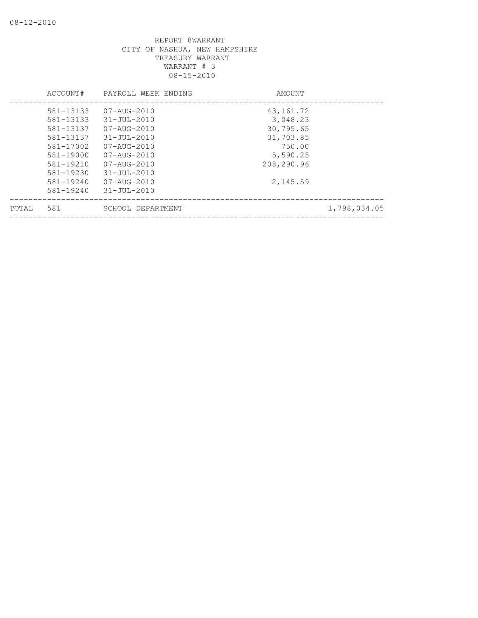|       | ACCOUNT#  | PAYROLL WEEK ENDING      | AMOUNT      |              |
|-------|-----------|--------------------------|-------------|--------------|
|       | 581-13133 | $07 - \text{AUG} - 2010$ | 43, 161. 72 |              |
|       | 581-13133 | $31 - JUL - 2010$        | 3,048.23    |              |
|       | 581-13137 | $07 - \text{AUG} - 2010$ | 30,795.65   |              |
|       | 581-13137 | $31 - JUL - 2010$        | 31,703.85   |              |
|       | 581-17002 | $07 - AUG - 2010$        | 750.00      |              |
|       | 581-19000 | $07 - \text{AUG} - 2010$ | 5,590.25    |              |
|       | 581-19210 | $07 - \text{AUG} - 2010$ | 208,290.96  |              |
|       | 581-19230 | $31 - JUL - 2010$        |             |              |
|       | 581-19240 | $07 - \text{AUG} - 2010$ | 2,145.59    |              |
|       | 581-19240 | $31 - JUL - 2010$        |             |              |
| TOTAL | 581       | SCHOOL DEPARTMENT        |             | 1,798,034.05 |
|       |           |                          |             |              |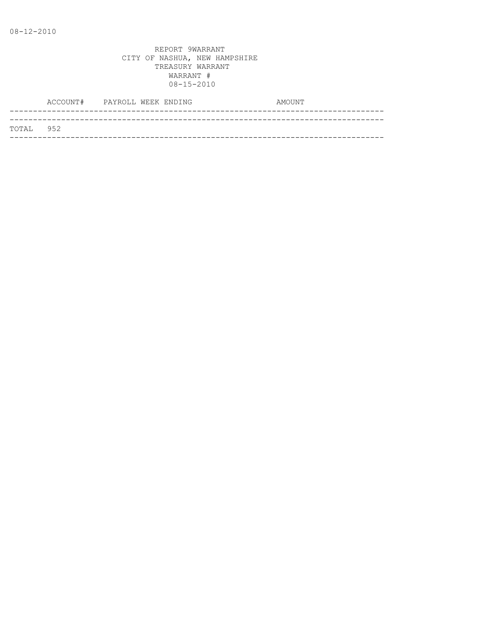|           | ACCOUNT# PAYROLL WEEK ENDING |  |  | AMOUNT |
|-----------|------------------------------|--|--|--------|
|           |                              |  |  |        |
| TOTAL 952 |                              |  |  |        |
|           |                              |  |  |        |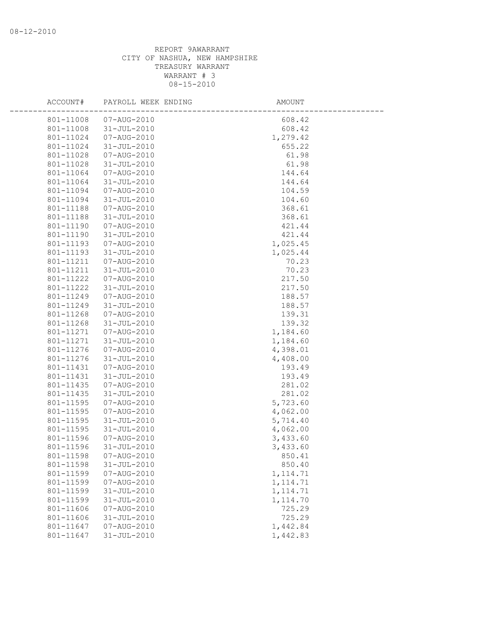| ACCOUNT#  | PAYROLL WEEK ENDING | AMOUNT    |  |
|-----------|---------------------|-----------|--|
| 801-11008 | 07-AUG-2010         | 608.42    |  |
| 801-11008 | 31-JUL-2010         | 608.42    |  |
| 801-11024 | 07-AUG-2010         | 1,279.42  |  |
| 801-11024 | 31-JUL-2010         | 655.22    |  |
| 801-11028 | 07-AUG-2010         | 61.98     |  |
| 801-11028 | 31-JUL-2010         | 61.98     |  |
| 801-11064 | 07-AUG-2010         | 144.64    |  |
| 801-11064 | 31-JUL-2010         | 144.64    |  |
| 801-11094 | 07-AUG-2010         | 104.59    |  |
| 801-11094 | 31-JUL-2010         | 104.60    |  |
| 801-11188 | 07-AUG-2010         | 368.61    |  |
| 801-11188 | 31-JUL-2010         | 368.61    |  |
| 801-11190 | 07-AUG-2010         | 421.44    |  |
| 801-11190 | 31-JUL-2010         | 421.44    |  |
| 801-11193 | 07-AUG-2010         | 1,025.45  |  |
| 801-11193 | 31-JUL-2010         | 1,025.44  |  |
| 801-11211 | 07-AUG-2010         | 70.23     |  |
| 801-11211 | 31-JUL-2010         | 70.23     |  |
| 801-11222 | 07-AUG-2010         | 217.50    |  |
| 801-11222 | 31-JUL-2010         | 217.50    |  |
| 801-11249 | 07-AUG-2010         | 188.57    |  |
| 801-11249 | 31-JUL-2010         | 188.57    |  |
| 801-11268 | 07-AUG-2010         | 139.31    |  |
| 801-11268 | 31-JUL-2010         | 139.32    |  |
| 801-11271 | 07-AUG-2010         | 1,184.60  |  |
| 801-11271 | 31-JUL-2010         | 1,184.60  |  |
| 801-11276 | 07-AUG-2010         | 4,398.01  |  |
| 801-11276 | 31-JUL-2010         | 4,408.00  |  |
| 801-11431 | 07-AUG-2010         | 193.49    |  |
| 801-11431 | 31-JUL-2010         | 193.49    |  |
| 801-11435 | 07-AUG-2010         | 281.02    |  |
| 801-11435 | 31-JUL-2010         | 281.02    |  |
| 801-11595 | 07-AUG-2010         | 5,723.60  |  |
| 801-11595 | 07-AUG-2010         | 4,062.00  |  |
| 801-11595 | 31-JUL-2010         | 5,714.40  |  |
| 801-11595 | 31-JUL-2010         | 4,062.00  |  |
| 801-11596 | 07-AUG-2010         | 3,433.60  |  |
| 801-11596 | 31-JUL-2010         | 3,433.60  |  |
| 801-11598 | 07-AUG-2010         | 850.41    |  |
| 801-11598 | $31 - JUL - 2010$   | 850.40    |  |
| 801-11599 | 07-AUG-2010         | 1, 114.71 |  |
| 801-11599 | 07-AUG-2010         | 1, 114.71 |  |
| 801-11599 | $31 - JUL - 2010$   | 1, 114.71 |  |
| 801-11599 | $31 - JUL - 2010$   | 1,114.70  |  |
| 801-11606 | 07-AUG-2010         | 725.29    |  |
| 801-11606 | $31 - JUL - 2010$   | 725.29    |  |
| 801-11647 | 07-AUG-2010         | 1,442.84  |  |
| 801-11647 | $31 - JUL - 2010$   | 1,442.83  |  |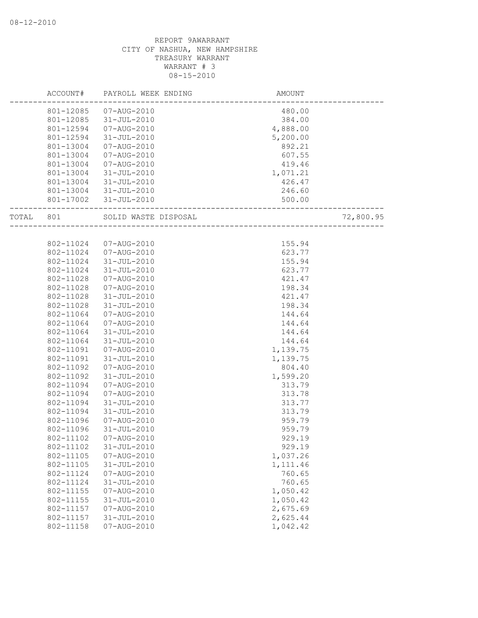|       | ACCOUNT#  | PAYROLL WEEK ENDING   | AMOUNT   |           |
|-------|-----------|-----------------------|----------|-----------|
|       | 801-12085 | 07-AUG-2010           | 480.00   |           |
|       | 801-12085 | 31-JUL-2010           | 384.00   |           |
|       | 801-12594 | 07-AUG-2010           | 4,888.00 |           |
|       | 801-12594 | $31 - JUL - 2010$     | 5,200.00 |           |
|       | 801-13004 | 07-AUG-2010           | 892.21   |           |
|       | 801-13004 | 07-AUG-2010           | 607.55   |           |
|       | 801-13004 | 07-AUG-2010           | 419.46   |           |
|       | 801-13004 | 31-JUL-2010           | 1,071.21 |           |
|       | 801-13004 | 31-JUL-2010           | 426.47   |           |
|       |           | 801-13004 31-JUL-2010 | 246.60   |           |
|       |           | 801-17002 31-JUL-2010 | 500.00   |           |
| TOTAL | 801       | SOLID WASTE DISPOSAL  |          | 72,800.95 |
|       |           |                       |          |           |
|       | 802-11024 | 07-AUG-2010           | 155.94   |           |
|       | 802-11024 | 07-AUG-2010           | 623.77   |           |
|       | 802-11024 | 31-JUL-2010           | 155.94   |           |
|       | 802-11024 | 31-JUL-2010           | 623.77   |           |
|       | 802-11028 | 07-AUG-2010           | 421.47   |           |
|       | 802-11028 | 07-AUG-2010           | 198.34   |           |
|       | 802-11028 | 31-JUL-2010           | 421.47   |           |
|       | 802-11028 | $31 - JUL - 2010$     | 198.34   |           |
|       | 802-11064 | 07-AUG-2010           | 144.64   |           |
|       | 802-11064 | 07-AUG-2010           | 144.64   |           |
|       | 802-11064 | 31-JUL-2010           | 144.64   |           |
|       | 802-11064 | 31-JUL-2010           | 144.64   |           |
|       | 802-11091 | 07-AUG-2010           | 1,139.75 |           |
|       | 802-11091 | $31 - JUL - 2010$     | 1,139.75 |           |
|       | 802-11092 | 07-AUG-2010           | 804.40   |           |
|       | 802-11092 | 31-JUL-2010           | 1,599.20 |           |
|       | 802-11094 | 07-AUG-2010           | 313.79   |           |
|       | 802-11094 | 07-AUG-2010           | 313.78   |           |
|       | 802-11094 | 31-JUL-2010           | 313.77   |           |
|       | 802-11094 | 31-JUL-2010           | 313.79   |           |
|       | 802-11096 | 07-AUG-2010           | 959.79   |           |
|       | 802-11096 | $31 - JUL - 2010$     | 959.79   |           |
|       | 802-11102 | 07-AUG-2010           | 929.19   |           |
|       | 802-11102 | $31 - JUL - 2010$     | 929.19   |           |
|       | 802-11105 | $07 - AUG - 2010$     | 1,037.26 |           |
|       | 802-11105 | $31 - JUL - 2010$     | 1,111.46 |           |
|       | 802-11124 | 07-AUG-2010           | 760.65   |           |
|       | 802-11124 | $31 - JUL - 2010$     | 760.65   |           |
|       | 802-11155 | $07 - AUG - 2010$     | 1,050.42 |           |
|       | 802-11155 | $31 - JUL - 2010$     | 1,050.42 |           |
|       | 802-11157 | 07-AUG-2010           | 2,675.69 |           |
|       | 802-11157 | $31 - JUL - 2010$     | 2,625.44 |           |
|       | 802-11158 | 07-AUG-2010           | 1,042.42 |           |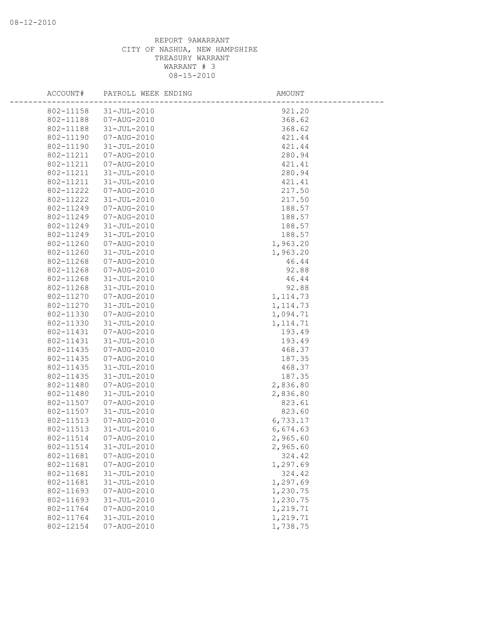| ACCOUNT#  | PAYROLL WEEK ENDING | AMOUNT    |  |
|-----------|---------------------|-----------|--|
| 802-11158 | $31 - JUL - 2010$   | 921.20    |  |
| 802-11188 | 07-AUG-2010         | 368.62    |  |
| 802-11188 | $31 - JUL - 2010$   | 368.62    |  |
| 802-11190 | 07-AUG-2010         | 421.44    |  |
| 802-11190 | $31 - JUL - 2010$   | 421.44    |  |
| 802-11211 | 07-AUG-2010         | 280.94    |  |
| 802-11211 | 07-AUG-2010         | 421.41    |  |
| 802-11211 | $31 - JUL - 2010$   | 280.94    |  |
| 802-11211 | $31 - JUL - 2010$   | 421.41    |  |
| 802-11222 | 07-AUG-2010         | 217.50    |  |
| 802-11222 | $31 - JUL - 2010$   | 217.50    |  |
| 802-11249 | 07-AUG-2010         | 188.57    |  |
| 802-11249 | 07-AUG-2010         | 188.57    |  |
| 802-11249 | $31 - JUL - 2010$   | 188.57    |  |
| 802-11249 | $31 - JUL - 2010$   | 188.57    |  |
| 802-11260 | $07 - AUG - 2010$   | 1,963.20  |  |
| 802-11260 | $31 - JUL - 2010$   | 1,963.20  |  |
| 802-11268 | 07-AUG-2010         | 46.44     |  |
| 802-11268 | 07-AUG-2010         | 92.88     |  |
| 802-11268 | $31 - JUL - 2010$   | 46.44     |  |
| 802-11268 | $31 - JUL - 2010$   | 92.88     |  |
| 802-11270 | 07-AUG-2010         | 1, 114.73 |  |
| 802-11270 | $31 - JUL - 2010$   | 1, 114.73 |  |
| 802-11330 | 07-AUG-2010         | 1,094.71  |  |
| 802-11330 | $31 - JUL - 2010$   | 1, 114.71 |  |
| 802-11431 | 07-AUG-2010         | 193.49    |  |
| 802-11431 | $31 - JUL - 2010$   | 193.49    |  |
| 802-11435 | 07-AUG-2010         | 468.37    |  |
| 802-11435 | 07-AUG-2010         | 187.35    |  |
| 802-11435 | $31 - JUL - 2010$   | 468.37    |  |
| 802-11435 | $31 - JUL - 2010$   | 187.35    |  |
| 802-11480 | 07-AUG-2010         | 2,836.80  |  |
| 802-11480 | $31 - JUL - 2010$   | 2,836.80  |  |
| 802-11507 | $07 - AUG - 2010$   | 823.61    |  |
| 802-11507 | $31 - JUL - 2010$   | 823.60    |  |
| 802-11513 | $07 - AUG - 2010$   | 6,733.17  |  |
| 802-11513 | $31 - JUL - 2010$   | 6,674.63  |  |
| 802-11514 | 07-AUG-2010         | 2,965.60  |  |
| 802-11514 | $31 - JUL - 2010$   | 2,965.60  |  |
| 802-11681 | 07-AUG-2010         | 324.42    |  |
| 802-11681 | 07-AUG-2010         | 1,297.69  |  |
| 802-11681 | $31 - JUL - 2010$   | 324.42    |  |
| 802-11681 | $31 - JUL - 2010$   | 1,297.69  |  |
| 802-11693 | $07 - AUG - 2010$   | 1,230.75  |  |
| 802-11693 | $31 - JUL - 2010$   | 1,230.75  |  |
| 802-11764 | 07-AUG-2010         | 1,219.71  |  |
| 802-11764 | $31 - JUL - 2010$   | 1,219.71  |  |
| 802-12154 | 07-AUG-2010         | 1,738.75  |  |